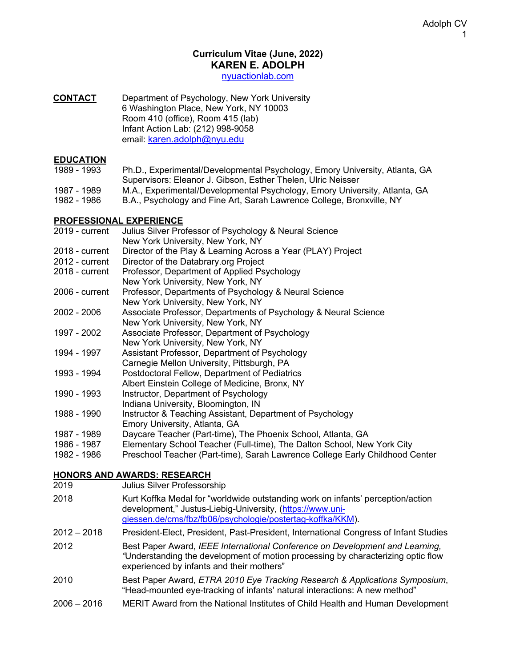#### **Curriculum Vitae (June, 2022) KAREN E. ADOLPH**

nyuactionlab.com

#### **CONTACT** Department of Psychology, New York University 6 Washington Place, New York, NY 10003 Room 410 (office), Room 415 (lab) Infant Action Lab: (212) 998-9058 email: karen.adolph@nyu.edu

#### **EDUCATION**

| 1989 - 1993 | Ph.D., Experimental/Developmental Psychology, Emory University, Atlanta, GA |
|-------------|-----------------------------------------------------------------------------|
|             | Supervisors: Eleanor J. Gibson. Esther Thelen. Ulric Neisser                |
| 1987 - 1989 | M.A., Experimental/Developmental Psychology, Emory University, Atlanta, GA  |

1982 - 1986 B.A., Psychology and Fine Art, Sarah Lawrence College, Bronxville, NY

#### **PROFESSIONAL EXPERIENCE**

| 2019 - current | Julius Silver Professor of Psychology & Neural Science                       |
|----------------|------------------------------------------------------------------------------|
|                | New York University, New York, NY                                            |
| 2018 - current | Director of the Play & Learning Across a Year (PLAY) Project                 |
| 2012 - current | Director of the Databrary.org Project                                        |
| 2018 - current | Professor, Department of Applied Psychology                                  |
|                | New York University, New York, NY                                            |
| 2006 - current | Professor, Departments of Psychology & Neural Science                        |
|                | New York University, New York, NY                                            |
| 2002 - 2006    | Associate Professor, Departments of Psychology & Neural Science              |
|                | New York University, New York, NY                                            |
| 1997 - 2002    | Associate Professor, Department of Psychology                                |
|                | New York University, New York, NY                                            |
| 1994 - 1997    | Assistant Professor, Department of Psychology                                |
|                | Carnegie Mellon University, Pittsburgh, PA                                   |
| 1993 - 1994    | Postdoctoral Fellow, Department of Pediatrics                                |
|                | Albert Einstein College of Medicine, Bronx, NY                               |
| 1990 - 1993    | Instructor, Department of Psychology                                         |
|                | Indiana University, Bloomington, IN                                          |
| 1988 - 1990    | Instructor & Teaching Assistant, Department of Psychology                    |
|                | Emory University, Atlanta, GA                                                |
| 1987 - 1989    | Daycare Teacher (Part-time), The Phoenix School, Atlanta, GA                 |
| 1986 - 1987    | Elementary School Teacher (Full-time), The Dalton School, New York City      |
| 1982 - 1986    | Preschool Teacher (Part-time), Sarah Lawrence College Early Childhood Center |

#### **HONORS AND AWARDS: RESEARCH**

| 2019<br>Julius Silver Professorship |  |  |
|-------------------------------------|--|--|
|-------------------------------------|--|--|

2018 Kurt Koffka Medal for "worldwide outstanding work on infants' perception/action development," Justus-Liebig-University, (https://www.unigiessen.de/cms/fbz/fb06/psychologie/postertag-koffka/KKM).

2012 – 2018 President-Elect, President, Past-President, International Congress of Infant Studies

2012 Best Paper Award, *IEEE International Conference on Development and Learning, "*Understanding the development of motion processing by characterizing optic flow experienced by infants and their mothers"

- 2010 Best Paper Award, *ETRA 2010 Eye Tracking Research & Applications Symposium*, "Head-mounted eye-tracking of infants' natural interactions: A new method"
- 2006 2016 MERIT Award from the National Institutes of Child Health and Human Development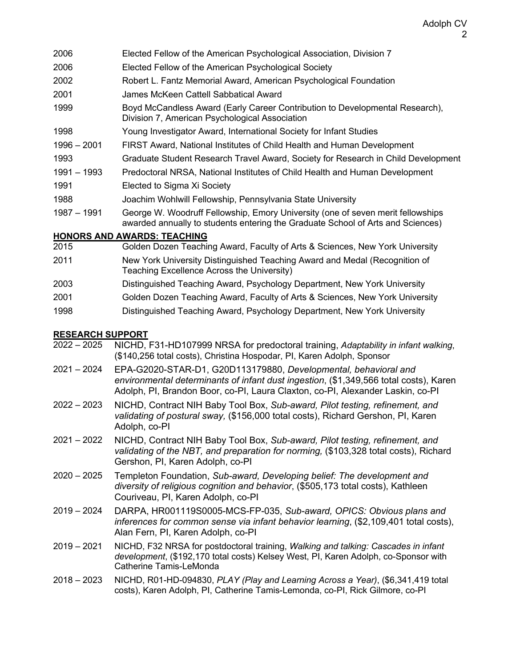- 2006 Elected Fellow of the American Psychological Association, Division 7
- 2006 Elected Fellow of the American Psychological Society
- 2002 Robert L. Fantz Memorial Award, American Psychological Foundation
- 2001 James McKeen Cattell Sabbatical Award
- 1999 Boyd McCandless Award (Early Career Contribution to Developmental Research), Division 7, American Psychological Association
- 1998 Young Investigator Award, International Society for Infant Studies
- 1996 2001 FIRST Award, National Institutes of Child Health and Human Development
- 1993 Graduate Student Research Travel Award, Society for Research in Child Development
- 1991 1993 Predoctoral NRSA, National Institutes of Child Health and Human Development
- 1991 Elected to Sigma Xi Society
- 1988 Joachim Wohlwill Fellowship, Pennsylvania State University
- 1987 1991 George W. Woodruff Fellowship, Emory University (one of seven merit fellowships awarded annually to students entering the Graduate School of Arts and Sciences)

# **HONORS AND AWARDS: TEACHING**

- 2015 Golden Dozen Teaching Award, Faculty of Arts & Sciences, New York University
- 2011 New York University Distinguished Teaching Award and Medal (Recognition of Teaching Excellence Across the University)
- 2003 Distinguished Teaching Award, Psychology Department, New York University
- 2001 Golden Dozen Teaching Award, Faculty of Arts & Sciences, New York University
- 1998 Distinguished Teaching Award, Psychology Department, New York University

# **RESEARCH SUPPORT**

- 2022 2025 NICHD, F31-HD107999 NRSA for predoctoral training, *Adaptability in infant walking*, (\$140,256 total costs), Christina Hospodar, PI, Karen Adolph, Sponsor
- 2021 2024 EPA-G2020-STAR-D1, G20D113179880, *Developmental, behavioral and environmental determinants of infant dust ingestion*, (\$1,349,566 total costs), Karen Adolph, PI, Brandon Boor, co-PI, Laura Claxton, co-PI, Alexander Laskin, co-PI
- 2022 2023 NICHD, Contract NIH Baby Tool Box, *Sub-award, Pilot testing, refinement, and validating of postural sway,* (\$156,000 total costs), Richard Gershon, PI, Karen Adolph, co-PI
- 2021 2022 NICHD, Contract NIH Baby Tool Box, *Sub-award, Pilot testing, refinement, and validating of the NBT, and preparation for norming,* (\$103,328 total costs), Richard Gershon, PI, Karen Adolph, co-PI
- 2020 2025 Templeton Foundation, *Sub-award, Developing belief: The development and diversity of religious cognition and behavior*, (\$505,173 total costs), Kathleen Couriveau, PI, Karen Adolph, co-PI
- 2019 2024 DARPA, HR001119S0005-MCS-FP-035, *Sub-award, OPICS: Obvious plans and inferences for common sense via infant behavior learning*, (\$2,109,401 total costs), Alan Fern, PI, Karen Adolph, co-PI
- 2019 2021 NICHD, F32 NRSA for postdoctoral training, *Walking and talking: Cascades in infant development*, (\$192,170 total costs) Kelsey West, PI, Karen Adolph, co-Sponsor with Catherine Tamis-LeMonda
- 2018 2023 NICHD, R01-HD-094830, *PLAY (Play and Learning Across a Year)*, (\$6,341,419 total costs), Karen Adolph, PI, Catherine Tamis-Lemonda, co-PI, Rick Gilmore, co-PI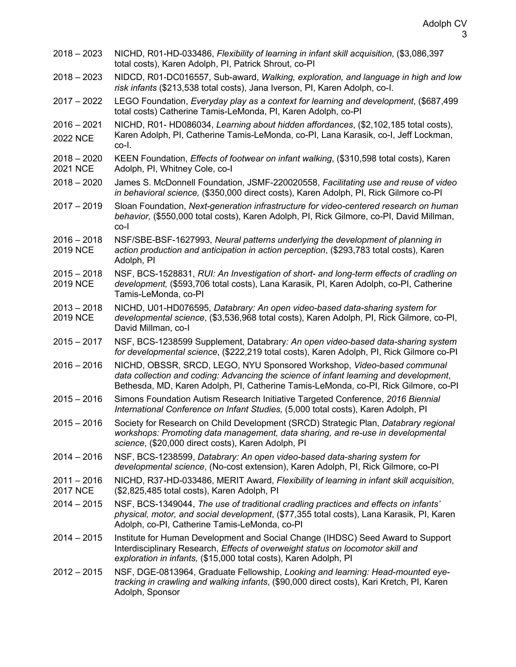| $2018 - 2023$                    | NICHD, R01-HD-033486, Flexibility of learning in infant skill acquisition, (\$3,086,397<br>total costs), Karen Adolph, PI, Patrick Shrout, co-PI                                                                                                       |
|----------------------------------|--------------------------------------------------------------------------------------------------------------------------------------------------------------------------------------------------------------------------------------------------------|
| $2018 - 2023$                    | NIDCD, R01-DC016557, Sub-award, Walking, exploration, and language in high and low<br>risk infants (\$213,538 total costs), Jana Iverson, PI, Karen Adolph, co-I.                                                                                      |
| $2017 - 2022$                    | LEGO Foundation, Everyday play as a context for learning and development, (\$687,499<br>total costs) Catherine Tamis-LeMonda, PI, Karen Adolph, co-PI                                                                                                  |
| $2016 - 2021$<br><b>2022 NCE</b> | NICHD, R01- HD086034, Learning about hidden affordances, (\$2,102,185 total costs),<br>Karen Adolph, PI, Catherine Tamis-LeMonda, co-PI, Lana Karasik, co-I, Jeff Lockman,<br>co-l.                                                                    |
| $2018 - 2020$<br><b>2021 NCE</b> | KEEN Foundation, <i>Effects of footwear on infant walking</i> , (\$310,598 total costs), Karen<br>Adolph, PI, Whitney Cole, co-I                                                                                                                       |
| $2018 - 2020$                    | James S. McDonnell Foundation, JSMF-220020558, Facilitating use and reuse of video<br>in behavioral science, (\$350,000 direct costs), Karen Adolph, PI, Rick Gilmore co-PI                                                                            |
| $2017 - 2019$                    | Sloan Foundation, Next-generation infrastructure for video-centered research on human<br>behavior, (\$550,000 total costs), Karen Adolph, PI, Rick Gilmore, co-PI, David Millman,<br>co-l                                                              |
| $2016 - 2018$<br><b>2019 NCE</b> | NSF/SBE-BSF-1627993, Neural patterns underlying the development of planning in<br>action production and anticipation in action perception, (\$293,783 total costs), Karen<br>Adolph, PI                                                                |
| $2015 - 2018$<br><b>2019 NCE</b> | NSF, BCS-1528831, RUI: An Investigation of short- and long-term effects of cradling on<br>development, (\$593,706 total costs), Lana Karasik, PI, Karen Adolph, co-PI, Catherine<br>Tamis-LeMonda, co-PI                                               |
| $2013 - 2018$<br>2019 NCE        | NICHD, U01-HD076595, Databrary: An open video-based data-sharing system for<br>developmental science, (\$3,536,968 total costs), Karen Adolph, PI, Rick Gilmore, co-PI,<br>David Millman, co-l                                                         |
| $2015 - 2017$                    | NSF, BCS-1238599 Supplement, Databrary: An open video-based data-sharing system<br>for developmental science, (\$222,219 total costs), Karen Adolph, PI, Rick Gilmore co-PI                                                                            |
| $2016 - 2016$                    | NICHD, OBSSR, SRCD, LEGO, NYU Sponsored Workshop, Video-based communal<br>data collection and coding: Advancing the science of infant learning and development,<br>Bethesda, MD, Karen Adolph, PI, Catherine Tamis-LeMonda, co-PI, Rick Gilmore, co-PI |
| $2015 - 2016$                    | Simons Foundation Autism Research Initiative Targeted Conference, 2016 Biennial<br>International Conference on Infant Studies, (5,000 total costs), Karen Adolph, PI                                                                                   |
| $2015 - 2016$                    | Society for Research on Child Development (SRCD) Strategic Plan, Databrary regional<br>workshops: Promoting data management, data sharing, and re-use in developmental<br>science, (\$20,000 direct costs), Karen Adolph, PI                           |
| $2014 - 2016$                    | NSF, BCS-1238599, Databrary: An open video-based data-sharing system for<br>developmental science, (No-cost extension), Karen Adolph, PI, Rick Gilmore, co-PI                                                                                          |
| $2011 - 2016$<br><b>2017 NCE</b> | NICHD, R37-HD-033486, MERIT Award, Flexibility of learning in infant skill acquisition,<br>(\$2,825,485 total costs), Karen Adolph, PI                                                                                                                 |
| $2014 - 2015$                    | NSF, BCS-1349044, The use of traditional cradling practices and effects on infants'<br>physical, motor, and social development, (\$77,355 total costs), Lana Karasik, PI, Karen<br>Adolph, co-PI, Catherine Tamis-LeMonda, co-PI                       |
| $2014 - 2015$                    | Institute for Human Development and Social Change (IHDSC) Seed Award to Support<br>Interdisciplinary Research, Effects of overweight status on locomotor skill and<br>exploration in infants, (\$15,000 total costs), Karen Adolph, PI                 |
| $2012 - 2015$                    | NSF, DGE-0813964, Graduate Fellowship, Looking and learning: Head-mounted eye-<br>tracking in crawling and walking infants, (\$90,000 direct costs), Kari Kretch, PI, Karen<br>Adolph, Sponsor                                                         |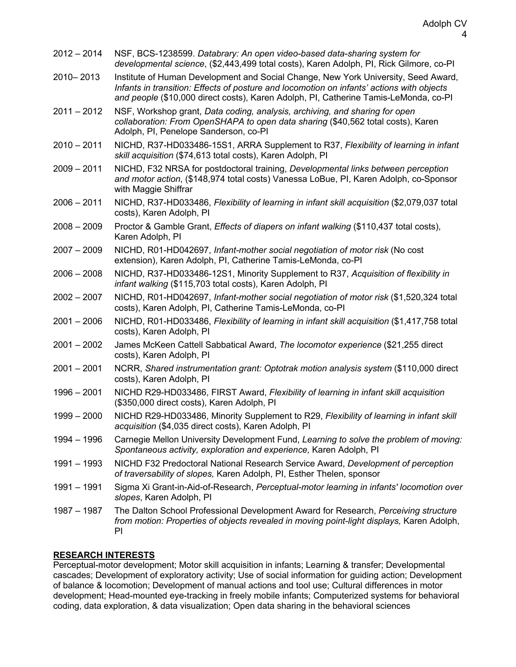| $2012 - 2014$ | NSF, BCS-1238599. Databrary: An open video-based data-sharing system for<br>developmental science, (\$2,443,499 total costs), Karen Adolph, PI, Rick Gilmore, co-PI                                                                                                     |
|---------------|-------------------------------------------------------------------------------------------------------------------------------------------------------------------------------------------------------------------------------------------------------------------------|
| 2010-2013     | Institute of Human Development and Social Change, New York University, Seed Award,<br>Infants in transition: Effects of posture and locomotion on infants' actions with objects<br>and people (\$10,000 direct costs), Karen Adolph, PI, Catherine Tamis-LeMonda, co-PI |
| $2011 - 2012$ | NSF, Workshop grant, Data coding, analysis, archiving, and sharing for open<br>collaboration: From OpenSHAPA to open data sharing (\$40,562 total costs), Karen<br>Adolph, PI, Penelope Sanderson, co-PI                                                                |
| $2010 - 2011$ | NICHD, R37-HD033486-15S1, ARRA Supplement to R37, Flexibility of learning in infant<br>skill acquisition (\$74,613 total costs), Karen Adolph, PI                                                                                                                       |
| $2009 - 2011$ | NICHD, F32 NRSA for postdoctoral training, Developmental links between perception<br>and motor action, (\$148,974 total costs) Vanessa LoBue, PI, Karen Adolph, co-Sponsor<br>with Maggie Shiffrar                                                                      |
| $2006 - 2011$ | NICHD, R37-HD033486, Flexibility of learning in infant skill acquisition (\$2,079,037 total<br>costs), Karen Adolph, Pl                                                                                                                                                 |
| $2008 - 2009$ | Proctor & Gamble Grant, Effects of diapers on infant walking (\$110,437 total costs),<br>Karen Adolph, PI                                                                                                                                                               |
| $2007 - 2009$ | NICHD, R01-HD042697, Infant-mother social negotiation of motor risk (No cost<br>extension), Karen Adolph, PI, Catherine Tamis-LeMonda, co-PI                                                                                                                            |
| $2006 - 2008$ | NICHD, R37-HD033486-12S1, Minority Supplement to R37, Acquisition of flexibility in<br>infant walking (\$115,703 total costs), Karen Adolph, PI                                                                                                                         |
| $2002 - 2007$ | NICHD, R01-HD042697, Infant-mother social negotiation of motor risk (\$1,520,324 total<br>costs), Karen Adolph, PI, Catherine Tamis-LeMonda, co-PI                                                                                                                      |
| $2001 - 2006$ | NICHD, R01-HD033486, Flexibility of learning in infant skill acquisition (\$1,417,758 total<br>costs), Karen Adolph, Pl                                                                                                                                                 |
| $2001 - 2002$ | James McKeen Cattell Sabbatical Award, The locomotor experience (\$21,255 direct<br>costs), Karen Adolph, Pl                                                                                                                                                            |
| $2001 - 2001$ | NCRR, Shared instrumentation grant: Optotrak motion analysis system (\$110,000 direct<br>costs), Karen Adolph, Pl                                                                                                                                                       |
| $1996 - 2001$ | NICHD R29-HD033486, FIRST Award, Flexibility of learning in infant skill acquisition<br>(\$350,000 direct costs), Karen Adolph, PI                                                                                                                                      |
| $1999 - 2000$ | NICHD R29-HD033486, Minority Supplement to R29, Flexibility of learning in infant skill<br>acquisition (\$4,035 direct costs), Karen Adolph, PI                                                                                                                         |
| 1994 - 1996   | Carnegie Mellon University Development Fund, Learning to solve the problem of moving:<br>Spontaneous activity, exploration and experience, Karen Adolph, PI                                                                                                             |
| $1991 - 1993$ | NICHD F32 Predoctoral National Research Service Award, Development of perception<br>of traversability of slopes, Karen Adolph, PI, Esther Thelen, sponsor                                                                                                               |
| $1991 - 1991$ | Sigma Xi Grant-in-Aid-of-Research, Perceptual-motor learning in infants' locomotion over<br>slopes, Karen Adolph, Pl                                                                                                                                                    |
| 1987 - 1987   | The Dalton School Professional Development Award for Research, Perceiving structure<br>from motion: Properties of objects revealed in moving point-light displays, Karen Adolph,<br>PI                                                                                  |

# **RESEARCH INTERESTS**

Perceptual-motor development; Motor skill acquisition in infants; Learning & transfer; Developmental cascades; Development of exploratory activity; Use of social information for guiding action; Development of balance & locomotion; Development of manual actions and tool use; Cultural differences in motor development; Head-mounted eye-tracking in freely mobile infants; Computerized systems for behavioral coding, data exploration, & data visualization; Open data sharing in the behavioral sciences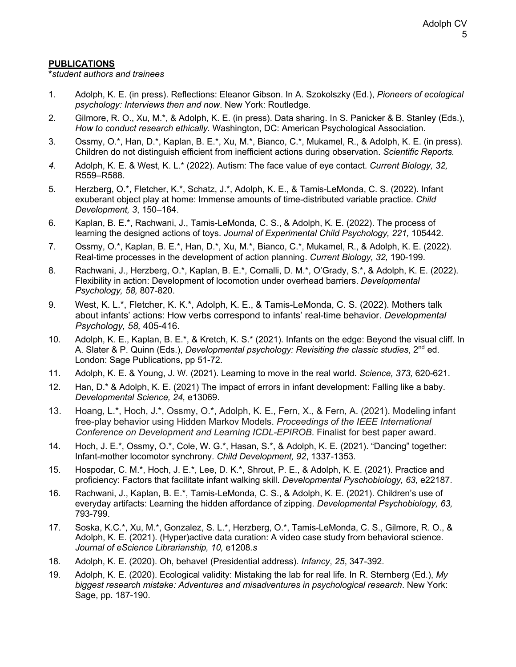## **PUBLICATIONS**

**\****student authors and trainees*

- 1. Adolph, K. E. (in press). Reflections: Eleanor Gibson. In A. Szokolszky (Ed.), *Pioneers of ecological psychology: Interviews then and now*. New York: Routledge.
- 2. Gilmore, R. O., Xu, M.\*, & Adolph, K. E. (in press). Data sharing. In S. Panicker & B. Stanley (Eds.), *How to conduct research ethically*. Washington, DC: American Psychological Association.
- 3. Ossmy, O.\*, Han, D.\*, Kaplan, B. E.\*, Xu, M.\*, Bianco, C.\*, Mukamel, R., & Adolph, K. E. (in press). Children do not distinguish efficient from inefficient actions during observation. *Scientific Reports.*
- *4.* Adolph, K. E. & West, K. L.\* (2022). Autism: The face value of eye contact. *Current Biology, 32,*  R559–R588.
- 5. Herzberg, O.\*, Fletcher, K.\*, Schatz, J.\*, Adolph, K. E., & Tamis-LeMonda, C. S. (2022). Infant exuberant object play at home: Immense amounts of time-distributed variable practice. *Child Development, 3*, 150–164.
- 6. Kaplan, B. E.\*, Rachwani, J., Tamis-LeMonda, C. S., & Adolph, K. E. (2022). The process of learning the designed actions of toys. *Journal of Experimental Child Psychology, 221,* 105442*.*
- 7. Ossmy, O.\*, Kaplan, B. E.\*, Han, D.\*, Xu, M.\*, Bianco, C.\*, Mukamel, R., & Adolph, K. E. (2022). Real-time processes in the development of action planning. *Current Biology, 32,* 190-199.
- 8. Rachwani, J., Herzberg, O.\*, Kaplan, B. E.\*, Comalli, D. M.\*, O'Grady, S.\*, & Adolph, K. E. (2022). Flexibility in action: Development of locomotion under overhead barriers. *Developmental Psychology, 58,* 807-820.
- 9. West, K. L.\*, Fletcher, K. K.\*, Adolph, K. E., & Tamis-LeMonda, C. S. (2022). Mothers talk about infants' actions: How verbs correspond to infants' real-time behavior. *Developmental Psychology, 58,* 405-416.
- 10. Adolph, K. E., Kaplan, B. E.\*, & Kretch, K. S.\* (2021). Infants on the edge: Beyond the visual cliff. In A. Slater & P. Quinn (Eds.), *Developmental psychology: Revisiting the classic studies*, 2<sup>nd</sup> ed. London: Sage Publications, pp 51-72.
- 11. Adolph, K. E. & Young, J. W. (2021). Learning to move in the real world. *Science, 373,* 620-621.
- 12. Han, D.\* & Adolph, K. E. (2021) The impact of errors in infant development: Falling like a baby. *Developmental Science, 24,* e13069.
- 13. Hoang, L.\*, Hoch, J.\*, Ossmy, O.\*, Adolph, K. E., Fern, X., & Fern, A. (2021). Modeling infant free-play behavior using Hidden Markov Models. *Proceedings of the IEEE International Conference on Development and Learning ICDL-EPIROB*. Finalist for best paper award.
- 14. Hoch, J. E.\*, Ossmy, O.\*, Cole, W. G.\*, Hasan, S.\*, & Adolph, K. E. (2021). "Dancing" together: Infant-mother locomotor synchrony. *Child Development, 92*, 1337-1353.
- 15. Hospodar, C. M.\*, Hoch, J. E.\*, Lee, D. K.\*, Shrout, P. E., & Adolph, K. E. (2021). Practice and proficiency: Factors that facilitate infant walking skill. *Developmental Pyschobiology, 63,* e22187.
- 16. Rachwani, J., Kaplan, B. E.\*, Tamis-LeMonda, C. S., & Adolph, K. E. (2021). Children's use of everyday artifacts: Learning the hidden affordance of zipping. *Developmental Psychobiology, 63,*  793-799.
- 17. Soska, K.C.\*, Xu, M.\*, Gonzalez, S. L.\*, Herzberg, O.\*, Tamis-LeMonda, C. S., Gilmore, R. O., & Adolph, K. E. (2021). (Hyper)active data curation: A video case study from behavioral science. *Journal of eScience Librarianship, 10,* e1208*.s*
- 18. Adolph, K. E. (2020). Oh, behave! (Presidential address). *Infancy*, *25*, 347-392*.*
- 19. Adolph, K. E. (2020). Ecological validity: Mistaking the lab for real life. In R. Sternberg (Ed.), *My biggest research mistake: Adventures and misadventures in psychological research*. New York: Sage, pp. 187-190.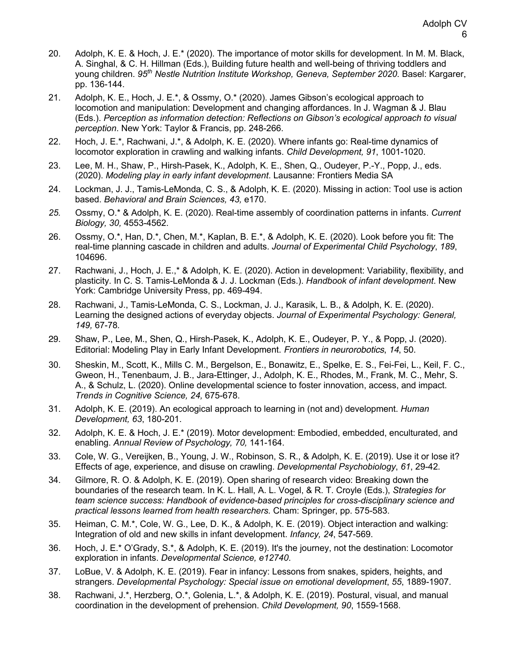- 20. Adolph, K. E. & Hoch, J. E.\* (2020). The importance of motor skills for development. In M. M. Black, A. Singhal, & C. H. Hillman (Eds.), Building future health and well-being of thriving toddlers and young children. *95th Nestle Nutrition Institute Workshop, Geneva, September 2020.* Basel: Kargarer, pp. 136-144.
- 21. Adolph, K. E., Hoch, J. E.\*, & Ossmy, O.\* (2020). James Gibson's ecological approach to locomotion and manipulation: Development and changing affordances. In J. Wagman & J. Blau (Eds.). *Perception as information detection: Reflections on Gibson's ecological approach to visual perception*. New York: Taylor & Francis, pp. 248-266.
- 22. Hoch, J. E.\*, Rachwani, J.\*, & Adolph, K. E. (2020). Where infants go: Real-time dynamics of locomotor exploration in crawling and walking infants. *Child Development, 91*, 1001-1020.
- 23. Lee, M. H., Shaw, P., Hirsh-Pasek, K., Adolph, K. E., Shen, Q., Oudeyer, P.-Y., Popp, J., eds. (2020). *Modeling play in early infant development*. Lausanne: Frontiers Media SA
- 24. Lockman, J. J., Tamis-LeMonda, C. S., & Adolph, K. E. (2020). Missing in action: Tool use is action based. *Behavioral and Brain Sciences, 43,* e170.
- *25.* Ossmy, O.\* & Adolph, K. E. (2020). Real-time assembly of coordination patterns in infants. *Current Biology, 30,* 4553-4562.
- 26. Ossmy, O.\*, Han, D.\*, Chen, M.\*, Kaplan, B. E.\*, & Adolph, K. E. (2020). Look before you fit: The real-time planning cascade in children and adults. *Journal of Experimental Child Psychology*, *189*, 104696.
- 27. Rachwani, J., Hoch, J. E.,\* & Adolph, K. E. (2020). Action in development: Variability, flexibility, and plasticity. In C. S. Tamis-LeMonda & J. J. Lockman (Eds.). *Handbook of infant development*. New York: Cambridge University Press, pp. 469-494.
- 28. Rachwani, J., Tamis-LeMonda, C. S., Lockman, J. J., Karasik, L. B., & Adolph, K. E. (2020). Learning the designed actions of everyday objects. *Journal of Experimental Psychology: General, 149,* 67-78*.*
- 29. Shaw, P., Lee, M., Shen, Q., Hirsh-Pasek, K., Adolph, K. E., Oudeyer, P. Y., & Popp, J. (2020). Editorial: Modeling Play in Early Infant Development. *Frontiers in neurorobotics*, *14*, 50.
- 30. Sheskin, M., Scott, K., Mills C. M., Bergelson, E., Bonawitz, E., Spelke, E. S., Fei-Fei, L., Keil, F. C., Gweon, H., Tenenbaum, J. B., Jara-Ettinger, J., Adolph, K. E., Rhodes, M., Frank, M. C., Mehr, S. A., & Schulz, L. (2020). Online developmental science to foster innovation, access, and impact. *Trends in Cognitive Science, 24,* 675-678.
- 31. Adolph, K. E. (2019). An ecological approach to learning in (not and) development. *Human Development, 63*, 180-201.
- 32. Adolph, K. E. & Hoch, J. E.\* (2019). Motor development: Embodied, embedded, enculturated, and enabling. *Annual Review of Psychology, 70,* 141-164.
- 33. Cole, W. G., Vereijken, B., Young, J. W., Robinson, S. R., & Adolph, K. E. (2019). Use it or lose it? Effects of age, experience, and disuse on crawling. *Developmental Psychobiology*, *61*, 29-42*.*
- 34. Gilmore, R. O. & Adolph, K. E. (2019). Open sharing of research video: Breaking down the boundaries of the research team. In K. L. Hall, A. L. Vogel, & R. T. Croyle (Eds.), *Strategies for team science success: Handbook of evidence-based principles for cross-disciplinary science and practical lessons learned from health researchers.* Cham: Springer, pp. 575-583.
- 35. Heiman, C. M.\*, Cole, W. G., Lee, D. K., & Adolph, K. E. (2019). Object interaction and walking: Integration of old and new skills in infant development. *Infancy, 24*, 547-569.
- 36. Hoch, J. E.\* O'Grady, S.\*, & Adolph, K. E. (2019). It's the journey, not the destination: Locomotor exploration in infants. *Developmental Science, e12740*.
- 37. LoBue, V. & Adolph, K. E. (2019). Fear in infancy: Lessons from snakes, spiders, heights, and strangers. *Developmental Psychology: Special issue on emotional development*, *55*, 1889-1907.
- 38. Rachwani, J.\*, Herzberg, O.\*, Golenia, L.\*, & Adolph, K. E. (2019). Postural, visual, and manual coordination in the development of prehension. *Child Development, 90*, 1559-1568.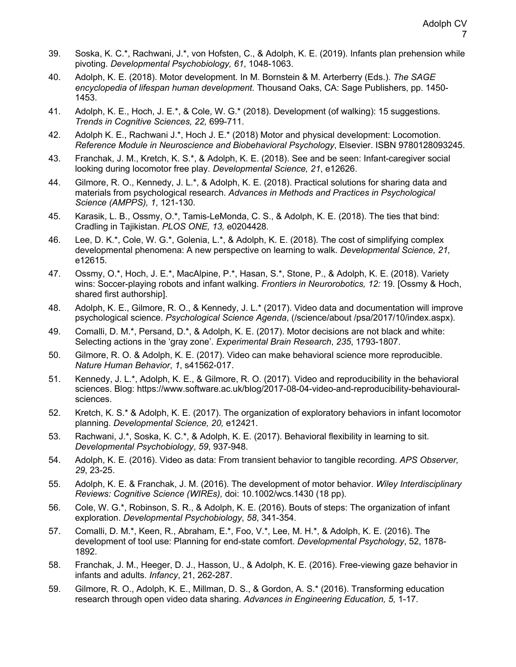- 39. Soska, K. C.\*, Rachwani, J.\*, von Hofsten, C., & Adolph, K. E. (2019). Infants plan prehension while pivoting. *Developmental Psychobiology, 61*, 1048-1063.
- 40. Adolph, K. E. (2018). Motor development. In M. Bornstein & M. Arterberry (Eds.). *The SAGE encyclopedia of lifespan human development*. Thousand Oaks, CA: Sage Publishers, pp. 1450- 1453.
- 41. Adolph, K. E., Hoch, J. E.\*, & Cole, W. G.\* (2018). Development (of walking): 15 suggestions. *Trends in Cognitive Sciences, 22,* 699-711.
- 42. Adolph K. E., Rachwani J.\*, Hoch J. E.\* (2018) Motor and physical development: Locomotion. *Reference Module in Neuroscience and Biobehavioral Psychology*, Elsevier. ISBN 9780128093245.
- 43. Franchak, J. M., Kretch, K. S.\*, & Adolph, K. E. (2018). See and be seen: Infant-caregiver social looking during locomotor free play. *Developmental Science, 21*, e12626.
- 44. Gilmore, R. O., Kennedy, J. L.\*, & Adolph, K. E. (2018). Practical solutions for sharing data and materials from psychological research. *Advances in Methods and Practices in Psychological Science (AMPPS), 1*, 121-130*.*
- 45. Karasik, L. B., Ossmy, O.\*, Tamis-LeMonda, C. S., & Adolph, K. E. (2018). The ties that bind: Cradling in Tajikistan. *PLOS ONE, 13,* e0204428*.*
- 46. Lee, D. K.\*, Cole, W. G.\*, Golenia, L.\*, & Adolph, K. E. (2018). The cost of simplifying complex developmental phenomena: A new perspective on learning to walk. *Developmental Science, 21,*  e12615.
- 47. Ossmy, O.\*, Hoch, J. E.\*, MacAlpine, P.\*, Hasan, S.\*, Stone, P., & Adolph, K. E. (2018). Variety wins: Soccer-playing robots and infant walking. *Frontiers in Neurorobotics, 12:* 19*.* [Ossmy & Hoch, shared first authorship].
- 48. Adolph, K. E., Gilmore, R. O., & Kennedy, J. L.\* (2017). Video data and documentation will improve psychological science. *Psychological Science Agenda*, (/science/about /psa/2017/10/index.aspx).
- 49. Comalli, D. M.\*, Persand, D.\*, & Adolph, K. E. (2017). Motor decisions are not black and white: Selecting actions in the 'gray zone'. *Experimental Brain Research*, *235*, 1793-1807.
- 50. Gilmore, R. O. & Adolph, K. E. (2017). Video can make behavioral science more reproducible. *Nature Human Behavior*, *1*, s41562-017.
- 51. Kennedy, J. L.\*, Adolph, K. E., & Gilmore, R. O. (2017). Video and reproducibility in the behavioral sciences. Blog: https://www.software.ac.uk/blog/2017-08-04-video-and-reproducibility-behaviouralsciences.
- 52. Kretch, K. S.\* & Adolph, K. E. (2017). The organization of exploratory behaviors in infant locomotor planning. *Developmental Science, 20,* e12421.
- 53. Rachwani, J.\*, Soska, K. C.\*, & Adolph, K. E. (2017). Behavioral flexibility in learning to sit. *Developmental Psychobiology*, *59*, 937-948.
- 54. Adolph, K. E. (2016). Video as data: From transient behavior to tangible recording. *APS Observer, 29*, 23-25.
- 55. Adolph, K. E. & Franchak, J. M. (2016). The development of motor behavior. *Wiley Interdisciplinary Reviews: Cognitive Science (WIREs),* doi: 10.1002/wcs.1430 (18 pp).
- 56. Cole, W. G.\*, Robinson, S. R., & Adolph, K. E. (2016). Bouts of steps: The organization of infant exploration. *Developmental Psychobiology*, *58*, 341-354.
- 57. Comalli, D. M.\*, Keen, R., Abraham, E.\*, Foo, V.\*, Lee, M. H.\*, & Adolph, K. E. (2016). The development of tool use: Planning for end-state comfort. *Developmental Psychology*, 52, 1878- 1892.
- 58. Franchak, J. M., Heeger, D. J., Hasson, U., & Adolph, K. E. (2016). Free-viewing gaze behavior in infants and adults. *Infancy*, 21, 262-287.
- 59. Gilmore, R. O., Adolph, K. E., Millman, D. S., & Gordon, A. S.\* (2016). Transforming education research through open video data sharing. *Advances in Engineering Education, 5,* 1-17.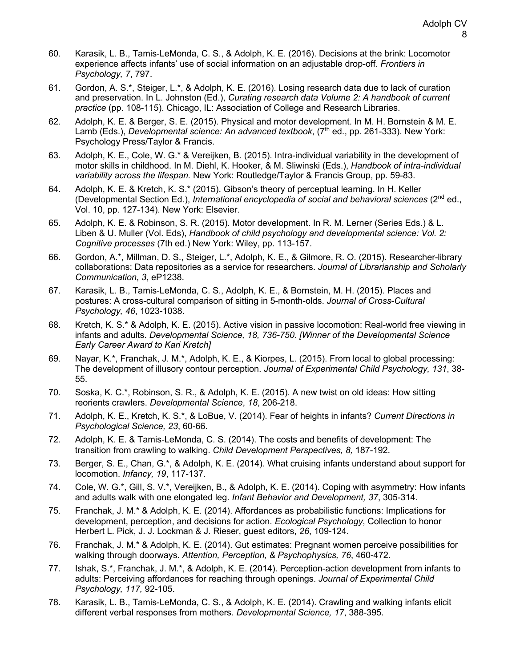- 60. Karasik, L. B., Tamis-LeMonda, C. S., & Adolph, K. E. (2016). Decisions at the brink: Locomotor experience affects infants' use of social information on an adjustable drop-off. *Frontiers in Psychology, 7*, 797.
- 61. Gordon, A. S.\*, Steiger, L.\*, & Adolph, K. E. (2016). Losing research data due to lack of curation and preservation. In L. Johnston (Ed.), *Curating research data Volume 2: A handbook of current practice* (pp. 108-115). Chicago, IL: Association of College and Research Libraries.
- 62. Adolph, K. E. & Berger, S. E. (2015). Physical and motor development. In M. H. Bornstein & M. E. Lamb (Eds.), *Developmental science: An advanced textbook*, (7<sup>th</sup> ed., pp. 261-333). New York: Psychology Press/Taylor & Francis.
- 63. Adolph, K. E., Cole, W. G.\* & Vereijken, B. (2015). Intra-individual variability in the development of motor skills in childhood. In M. Diehl, K. Hooker, & M. Sliwinski (Eds.), *Handbook of intra-individual variability across the lifespan.* New York: Routledge/Taylor & Francis Group, pp. 59-83.
- 64. Adolph, K. E. & Kretch, K. S.\* (2015). Gibson's theory of perceptual learning. In H. Keller (Developmental Section Ed.), *International encyclopedia of social and behavioral sciences* (2nd ed., Vol. 10, pp. 127-134). New York: Elsevier.
- 65. Adolph, K. E. & Robinson, S. R. (2015). Motor development. In R. M. Lerner (Series Eds.) & L. Liben & U. Muller (Vol. Eds), *Handbook of child psychology and developmental science: Vol. 2: Cognitive processes* (7th ed.) New York: Wiley, pp. 113-157.
- 66. Gordon, A.\*, Millman, D. S., Steiger, L.\*, Adolph, K. E., & Gilmore, R. O. (2015). Researcher-library collaborations: Data repositories as a service for researchers. *Journal of Librarianship and Scholarly Communication*, *3*, eP1238.
- 67. Karasik, L. B., Tamis-LeMonda, C. S., Adolph, K. E., & Bornstein, M. H. (2015). Places and postures: A cross-cultural comparison of sitting in 5-month-olds. *Journal of Cross-Cultural Psychology, 46*, 1023-1038*.*
- 68. Kretch, K. S.\* & Adolph, K. E. (2015). Active vision in passive locomotion: Real-world free viewing in infants and adults. *Developmental Science, 18, 736-750*. *[Winner of the Developmental Science Early Career Award to Kari Kretch]*
- 69. Nayar, K.\*, Franchak, J. M.\*, Adolph, K. E., & Kiorpes, L. (2015). From local to global processing: The development of illusory contour perception. *Journal of Experimental Child Psychology, 131*, 38- 55.
- 70. Soska, K. C.\*, Robinson, S. R., & Adolph, K. E. (2015). A new twist on old ideas: How sitting reorients crawlers. *Developmental Science*, *18*, 206-218.
- 71. Adolph, K. E., Kretch, K. S.\*, & LoBue, V. (2014). Fear of heights in infants? *Current Directions in Psychological Science, 23*, 60-66.
- 72. Adolph, K. E. & Tamis-LeMonda, C. S. (2014). The costs and benefits of development: The transition from crawling to walking. *Child Development Perspectives, 8,* 187-192.
- 73. Berger, S. E., Chan, G.\*, & Adolph, K. E. (2014). What cruising infants understand about support for locomotion. *Infancy, 19*, 117-137.
- 74. Cole, W. G.\*, Gill, S. V.\*, Vereijken, B., & Adolph, K. E. (2014). Coping with asymmetry: How infants and adults walk with one elongated leg. *Infant Behavior and Development, 37*, 305-314.
- 75. Franchak, J. M.\* & Adolph, K. E. (2014). Affordances as probabilistic functions: Implications for development, perception, and decisions for action. *Ecological Psychology*, Collection to honor Herbert L. Pick, J. J. Lockman & J. Rieser, guest editors, *26*, 109-124.
- 76. Franchak, J. M.\* & Adolph, K. E. (2014). Gut estimates: Pregnant women perceive possibilities for walking through doorways. *Attention, Perception, & Psychophysics, 76*, 460-472.
- 77. Ishak, S.\*, Franchak, J. M.\*, & Adolph, K. E. (2014). Perception-action development from infants to adults: Perceiving affordances for reaching through openings. *Journal of Experimental Child Psychology, 117,* 92-105.
- 78. Karasik, L. B., Tamis-LeMonda, C. S., & Adolph, K. E. (2014). Crawling and walking infants elicit different verbal responses from mothers. *Developmental Science, 17*, 388-395.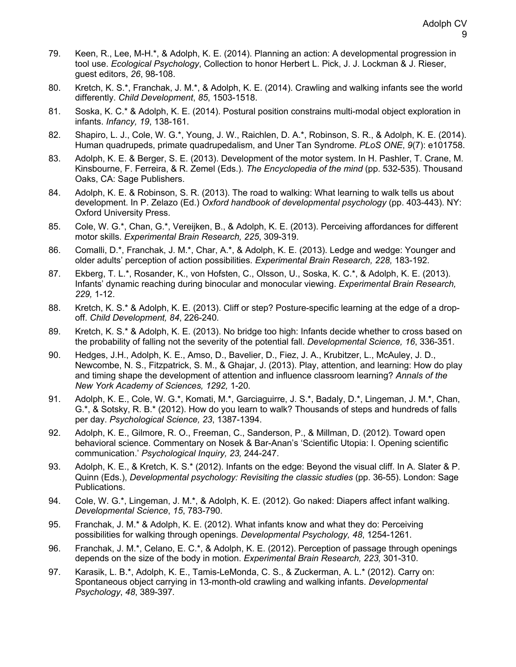- 79. Keen, R., Lee, M-H.\*, & Adolph, K. E. (2014). Planning an action: A developmental progression in tool use. *Ecological Psychology*, Collection to honor Herbert L. Pick, J. J. Lockman & J. Rieser, guest editors, *26*, 98-108.
- 80. Kretch, K. S.\*, Franchak, J. M.\*, & Adolph, K. E. (2014). Crawling and walking infants see the world differently. *Child Development*, *85*, 1503-1518.
- 81. Soska, K. C.\* & Adolph, K. E. (2014). Postural position constrains multi-modal object exploration in infants. *Infancy, 19*, 138-161.
- 82. Shapiro, L. J., Cole, W. G.\*, Young, J. W., Raichlen, D. A.\*, Robinson, S. R., & Adolph, K. E. (2014). Human quadrupeds, primate quadrupedalism, and Uner Tan Syndrome. *PLoS ONE*, *9*(7): e101758.
- 83. Adolph, K. E. & Berger, S. E. (2013). Development of the motor system. In H. Pashler, T. Crane, M. Kinsbourne, F. Ferreira, & R. Zemel (Eds.). *The Encyclopedia of the mind* (pp. 532-535). Thousand Oaks, CA: Sage Publishers.
- 84. Adolph, K. E. & Robinson, S. R. (2013). The road to walking: What learning to walk tells us about development. In P. Zelazo (Ed.) *Oxford handbook of developmental psychology* (pp. 403-443). NY: Oxford University Press.
- 85. Cole, W. G.\*, Chan, G.\*, Vereijken, B., & Adolph, K. E. (2013). Perceiving affordances for different motor skills. *Experimental Brain Research, 225*, 309-319.
- 86. Comalli, D.\*, Franchak, J. M.\*, Char, A.\*, & Adolph, K. E. (2013). Ledge and wedge: Younger and older adults' perception of action possibilities. *Experimental Brain Research, 228,* 183-192.
- 87. Ekberg, T. L.\*, Rosander, K., von Hofsten, C., Olsson, U., Soska, K. C.\*, & Adolph, K. E. (2013). Infants' dynamic reaching during binocular and monocular viewing. *Experimental Brain Research, 229,* 1-12.
- 88. Kretch, K. S.\* & Adolph, K. E. (2013). Cliff or step? Posture-specific learning at the edge of a dropoff. *Child Development, 84*, 226-240*.*
- 89. Kretch, K. S.\* & Adolph, K. E. (2013). No bridge too high: Infants decide whether to cross based on the probability of falling not the severity of the potential fall. *Developmental Science, 16*, 336-351.
- 90. Hedges, J.H., Adolph, K. E., Amso, D., Bavelier, D., Fiez, J. A., Krubitzer, L., McAuley, J. D., Newcombe, N. S., Fitzpatrick, S. M., & Ghajar, J. (2013). Play, attention, and learning: How do play and timing shape the development of attention and influence classroom learning? *Annals of the New York Academy of Sciences, 1292,* 1-20*.*
- 91. Adolph, K. E., Cole, W. G.\*, Komati, M.\*, Garciaguirre, J. S.\*, Badaly, D.\*, Lingeman, J. M.\*, Chan, G.\*, & Sotsky, R. B.\* (2012). How do you learn to walk? Thousands of steps and hundreds of falls per day. *Psychological Science, 23*, 1387-1394.
- 92. Adolph, K. E., Gilmore, R. O., Freeman, C., Sanderson, P., & Millman, D. (2012). Toward open behavioral science. Commentary on Nosek & Bar-Anan's 'Scientific Utopia: I. Opening scientific communication.' *Psychological Inquiry, 23,* 244-247.
- 93. Adolph, K. E., & Kretch, K. S.\* (2012). Infants on the edge: Beyond the visual cliff. In A. Slater & P. Quinn (Eds.), *Developmental psychology: Revisiting the classic studies* (pp. 36-55). London: Sage Publications.
- 94. Cole, W. G.\*, Lingeman, J. M.\*, & Adolph, K. E. (2012). Go naked: Diapers affect infant walking. *Developmental Science*, *15*, 783-790.
- 95. Franchak, J. M.\* & Adolph, K. E. (2012). What infants know and what they do: Perceiving possibilities for walking through openings. *Developmental Psychology, 48*, 1254-1261.
- 96. Franchak, J. M.\*, Celano, E. C.\*, & Adolph, K. E. (2012). Perception of passage through openings depends on the size of the body in motion. *Experimental Brain Research, 223,* 301-310.
- 97. Karasik, L. B.\*, Adolph, K. E., Tamis-LeMonda, C. S., & Zuckerman, A. L.\* (2012). Carry on: Spontaneous object carrying in 13-month-old crawling and walking infants. *Developmental Psychology*, *48*, 389-397*.*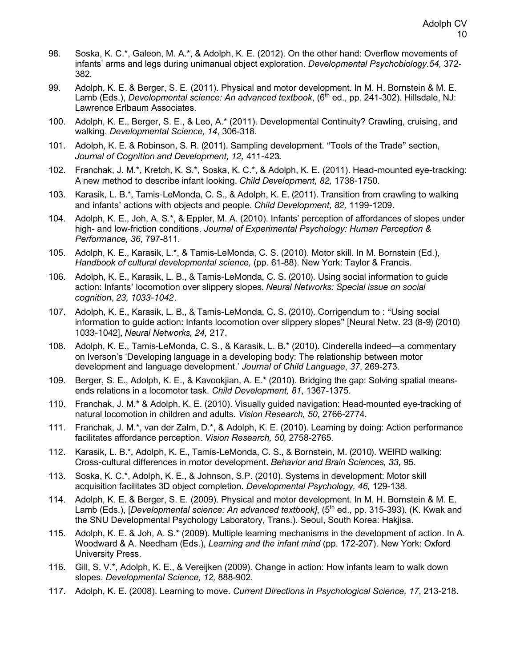- 98. Soska, K. C.\*, Galeon, M. A.\*, & Adolph, K. E. (2012). On the other hand: Overflow movements of infants' arms and legs during unimanual object exploration. *Developmental Psychobiology.54,* 372- 382*.*
- 99. Adolph, K. E. & Berger, S. E. (2011). Physical and motor development. In M. H. Bornstein & M. E. Lamb (Eds.), *Developmental science: An advanced textbook*, (6<sup>th</sup> ed., pp. 241-302). Hillsdale, NJ: Lawrence Erlbaum Associates.
- 100. Adolph, K. E., Berger, S. E., & Leo, A.\* (2011). Developmental Continuity? Crawling, cruising, and walking. *Developmental Science, 14*, 306-318.
- 101. Adolph, K. E. & Robinson, S. R. (2011). Sampling development. "Tools of the Trade" section, *Journal of Cognition and Development, 12,* 411-423*.*
- 102. Franchak, J. M.\*, Kretch, K. S.\*, Soska, K. C.\*, & Adolph, K. E. (2011). Head-mounted eye-tracking: A new method to describe infant looking. *Child Development, 82,* 1738-1750.
- 103. Karasik, L. B.\*, Tamis-LeMonda, C. S., & Adolph, K. E. (2011). Transition from crawling to walking and infants' actions with objects and people. *Child Development, 82,* 1199-1209.
- 104. Adolph, K. E., Joh, A. S.\*, & Eppler, M. A. (2010). Infants' perception of affordances of slopes under high- and low-friction conditions. *Journal of Experimental Psychology: Human Perception & Performance, 36*, 797-811*.*
- 105. Adolph, K. E., Karasik, L.\*, & Tamis-LeMonda, C. S. (2010). Motor skill. In M. Bornstein (Ed.), *Handbook of cultural developmental science,* (pp. 61-88). New York: Taylor & Francis.
- 106. Adolph, K. E., Karasik, L. B., & Tamis-LeMonda, C. S. (2010). Using social information to guide action: Infants' locomotion over slippery slopes. *Neural Networks: Special issue on social cognition*, *23, 1033-1042*.
- 107. Adolph, K. E., Karasik, L. B., & Tamis-LeMonda, C. S. (2010). Corrigendum to : "Using social information to guide action: Infants locomotion over slippery slopes" [Neural Netw. 23 (8-9) (2010) 1033-1042], *Neural Networks, 24,* 217.
- 108. Adolph, K. E., Tamis-LeMonda, C. S., & Karasik, L. B.\* (2010). Cinderella indeed—a commentary on Iverson's 'Developing language in a developing body: The relationship between motor development and language development.' *Journal of Child Language*, *37*, 269-273.
- 109. Berger, S. E., Adolph, K. E., & Kavookjian, A. E.\* (2010). Bridging the gap: Solving spatial meansends relations in a locomotor task. *Child Development, 81*, 1367-1375*.*
- 110. Franchak, J. M.\* & Adolph, K. E. (2010). Visually guided navigation: Head-mounted eye-tracking of natural locomotion in children and adults. *Vision Research, 50*, 2766-2774*.*
- 111. Franchak, J. M.\*, van der Zalm, D.\*, & Adolph, K. E. (2010). Learning by doing: Action performance facilitates affordance perception. *Vision Research, 50,* 2758-2765*.*
- 112. Karasik, L. B.\*, Adolph, K. E., Tamis-LeMonda, C. S., & Bornstein, M. (2010). WEIRD walking: Cross-cultural differences in motor development. *Behavior and Brain Sciences, 33,* 95*.*
- 113. Soska, K. C.\*, Adolph, K. E., & Johnson, S.P. (2010). Systems in development: Motor skill acquisition facilitates 3D object completion. *Developmental Psychology, 46,* 129-138*.*
- 114. Adolph, K. E. & Berger, S. E. (2009). Physical and motor development. In M. H. Bornstein & M. E. Lamb (Eds.), [*Developmental science: An advanced textbook]*, (5<sup>th</sup> ed., pp. 315-393). (K. Kwak and the SNU Developmental Psychology Laboratory, Trans.). Seoul, South Korea: Hakjisa.
- 115. Adolph, K. E. & Joh, A. S.\* (2009). Multiple learning mechanisms in the development of action. In A. Woodward & A. Needham (Eds.), *Learning and the infant mind* (pp. 172-207). New York: Oxford University Press.
- 116. Gill, S. V.\*, Adolph, K. E., & Vereijken (2009). Change in action: How infants learn to walk down slopes. *Developmental Science, 12,* 888-902*.*
- 117. Adolph, K. E. (2008). Learning to move. *Current Directions in Psychological Science, 17*, 213-218.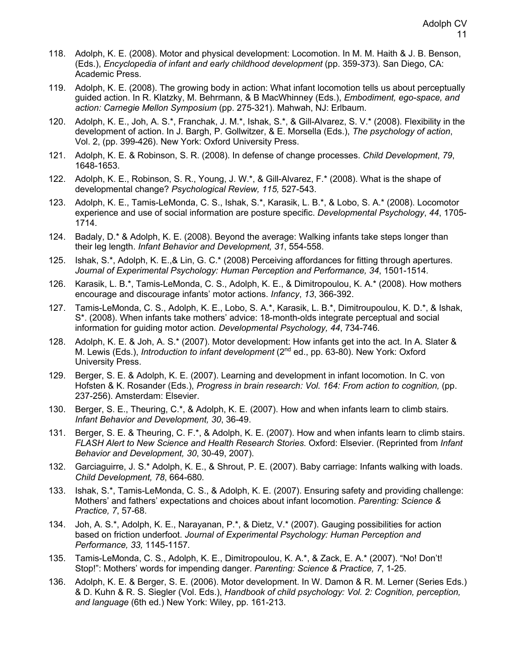- 118. Adolph, K. E. (2008). Motor and physical development: Locomotion. In M. M. Haith & J. B. Benson, (Eds.), *Encyclopedia of infant and early childhood development* (pp. 359-373). San Diego, CA: Academic Press.
- 119. Adolph, K. E. (2008). The growing body in action: What infant locomotion tells us about perceptually guided action. In R. Klatzky, M. Behrmann, & B MacWhinney (Eds.), *Embodiment, ego-space, and action: Carnegie Mellon Symposium* (pp. 275-321). Mahwah, NJ: Erlbaum.
- 120. Adolph, K. E., Joh, A. S.\*, Franchak, J. M.\*, Ishak, S.\*, & Gill-Alvarez, S. V.\* (2008). Flexibility in the development of action. In J. Bargh, P. Gollwitzer, & E. Morsella (Eds.), *The psychology of action*, Vol. 2, (pp. 399-426). New York: Oxford University Press.
- 121. Adolph, K. E. & Robinson, S. R. (2008). In defense of change processes. *Child Development*, *79*, 1648-1653.
- 122. Adolph, K. E., Robinson, S. R., Young, J. W.\*, & Gill-Alvarez, F.\* (2008). What is the shape of developmental change? *Psychological Review, 115,* 527-543.
- 123. Adolph, K. E., Tamis-LeMonda, C. S., Ishak, S.\*, Karasik, L. B.\*, & Lobo, S. A.\* (2008). Locomotor experience and use of social information are posture specific. *Developmental Psychology*, *44*, 1705- 1714.
- 124. Badaly, D.\* & Adolph, K. E. (2008). Beyond the average: Walking infants take steps longer than their leg length. *Infant Behavior and Development, 31*, 554-558.
- 125. Ishak, S.\*, Adolph, K. E.,& Lin, G. C.\* (2008) Perceiving affordances for fitting through apertures. *Journal of Experimental Psychology: Human Perception and Performance, 34*, 1501-1514*.*
- 126. Karasik, L. B.\*, Tamis-LeMonda, C. S., Adolph, K. E., & Dimitropoulou, K. A.\* (2008). How mothers encourage and discourage infants' motor actions. *Infancy*, *13*, 366-392.
- 127. Tamis-LeMonda, C. S., Adolph, K. E., Lobo, S. A.\*, Karasik, L. B.\*, Dimitroupoulou, K. D.\*, & Ishak, S\*. (2008). When infants take mothers' advice: 18-month-olds integrate perceptual and social information for guiding motor action*. Developmental Psychology, 44*, 734-746*.*
- 128. Adolph, K. E. & Joh, A. S.\* (2007). Motor development: How infants get into the act. In A. Slater & M. Lewis (Eds.), *Introduction to infant development* (2nd ed., pp. 63-80). New York: Oxford University Press.
- 129. Berger, S. E. & Adolph, K. E. (2007). Learning and development in infant locomotion. In C. von Hofsten & K. Rosander (Eds.), *Progress in brain research: Vol. 164: From action to cognition,* (pp. 237-256). Amsterdam: Elsevier.
- 130. Berger, S. E., Theuring, C.\*, & Adolph, K. E. (2007). How and when infants learn to climb stairs*. Infant Behavior and Development, 30*, 36-49.
- 131. Berger, S. E. & Theuring, C. F.\*, & Adolph, K. E. (2007). How and when infants learn to climb stairs. *FLASH Alert to New Science and Health Research Stories*. Oxford: Elsevier. (Reprinted from *Infant Behavior and Development, 30*, 30-49, 2007).
- 132. Garciaguirre, J. S.\* Adolph, K. E., & Shrout, P. E. (2007). Baby carriage: Infants walking with loads. *Child Development, 78*, 664-680*.*
- 133. Ishak, S.\*, Tamis-LeMonda, C. S., & Adolph, K. E. (2007). Ensuring safety and providing challenge: Mothers' and fathers' expectations and choices about infant locomotion. *Parenting: Science & Practice, 7*, 57-68.
- 134. Joh, A. S.\*, Adolph, K. E., Narayanan, P.\*, & Dietz, V.\* (2007). Gauging possibilities for action based on friction underfoot. *Journal of Experimental Psychology: Human Perception and Performance, 33,* 1145-1157*.*
- 135. Tamis-LeMonda, C. S., Adolph, K. E., Dimitropoulou, K. A.\*, & Zack, E. A.\* (2007). "No! Don't! Stop!": Mothers' words for impending danger. *Parenting: Science & Practice, 7*, 1-25.
- 136. Adolph, K. E. & Berger, S. E. (2006). Motor development. In W. Damon & R. M. Lerner (Series Eds.) & D. Kuhn & R. S. Siegler (Vol. Eds.), *Handbook of child psychology: Vol. 2: Cognition, perception, and language* (6th ed.) New York: Wiley, pp. 161-213.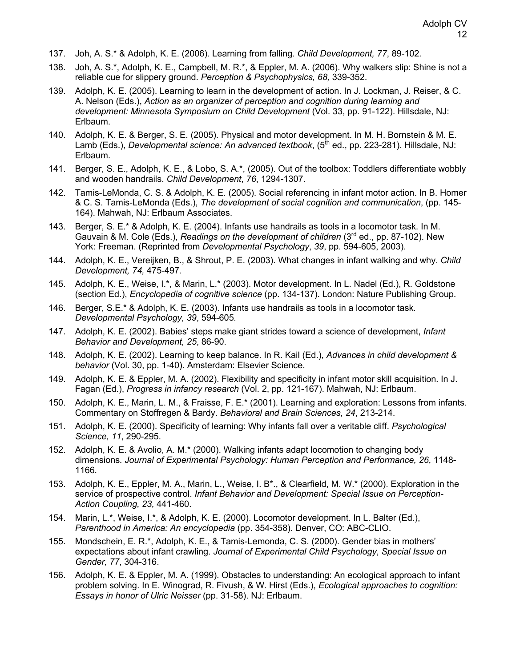- 137. Joh, A. S.\* & Adolph, K. E. (2006). Learning from falling. *Child Development, 77*, 89-102*.*
- 138. Joh, A. S.\*, Adolph, K. E., Campbell, M. R.\*, & Eppler, M. A. (2006). Why walkers slip: Shine is not a reliable cue for slippery ground. *Perception & Psychophysics, 68,* 339-352.
- 139. Adolph, K. E. (2005). Learning to learn in the development of action. In J. Lockman, J. Reiser, & C. A. Nelson (Eds.), *Action as an organizer of perception and cognition during learning and development: Minnesota Symposium on Child Development* (Vol. 33, pp. 91-122). Hillsdale, NJ: Erlbaum.
- 140. Adolph, K. E. & Berger, S. E. (2005). Physical and motor development. In M. H. Bornstein & M. E. Lamb (Eds.), *Developmental science: An advanced textbook*, (5<sup>th</sup> ed., pp. 223-281). Hillsdale, NJ: Erlbaum.
- 141. Berger, S. E., Adolph, K. E., & Lobo, S. A.\*, (2005). Out of the toolbox: Toddlers differentiate wobbly and wooden handrails. *Child Development*, *76*, 1294-1307.
- 142. Tamis-LeMonda, C. S. & Adolph, K. E. (2005). Social referencing in infant motor action. In B. Homer & C. S. Tamis-LeMonda (Eds.), *The development of social cognition and communication*, (pp. 145- 164). Mahwah, NJ: Erlbaum Associates.
- 143. Berger, S. E.\* & Adolph, K. E. (2004). Infants use handrails as tools in a locomotor task. In M. Gauvain & M. Cole (Eds.), *Readings on the development of children* (3rd ed., pp. 87-102). New York: Freeman. (Reprinted from *Developmental Psychology*, *39*, pp. 594-605, 2003).
- 144. Adolph, K. E., Vereijken, B., & Shrout, P. E. (2003). What changes in infant walking and why. *Child Development, 74,* 475-497*.*
- 145. Adolph, K. E., Weise, I.\*, & Marin, L.\* (2003). Motor development. In L. Nadel (Ed.), R. Goldstone (section Ed.), *Encyclopedia of cognitive science* (pp. 134-137). London: Nature Publishing Group.
- 146. Berger, S.E.\* & Adolph, K. E. (2003). Infants use handrails as tools in a locomotor task. *Developmental Psychology, 39*, 594-605*.*
- 147. Adolph, K. E. (2002). Babies' steps make giant strides toward a science of development, *Infant Behavior and Development, 25*, 86-90.
- 148. Adolph, K. E. (2002). Learning to keep balance. In R. Kail (Ed.), *Advances in child development & behavior* (Vol. 30, pp. 1-40). Amsterdam: Elsevier Science.
- 149. Adolph, K. E. & Eppler, M. A. (2002). Flexibility and specificity in infant motor skill acquisition. In J. Fagan (Ed.), *Progress in infancy research* (Vol. 2, pp. 121-167). Mahwah, NJ: Erlbaum.
- 150. Adolph, K. E., Marin, L. M., & Fraisse, F. E.\* (2001). Learning and exploration: Lessons from infants. Commentary on Stoffregen & Bardy. *Behavioral and Brain Sciences, 24*, 213-214.
- 151. Adolph, K. E. (2000). Specificity of learning: Why infants fall over a veritable cliff. *Psychological Science, 11*, 290-295.
- 152. Adolph, K. E. & Avolio, A. M.\* (2000). Walking infants adapt locomotion to changing body dimensions*. Journal of Experimental Psychology: Human Perception and Performance, 26*, 1148- 1166*.*
- 153. Adolph, K. E., Eppler, M. A., Marin, L., Weise, I. B\*., & Clearfield, M. W.\* (2000). Exploration in the service of prospective control. *Infant Behavior and Development: Special Issue on Perception-Action Coupling, 23,* 441-460.
- 154. Marin, L.\*, Weise, I.\*, & Adolph, K. E. (2000). Locomotor development. In L. Balter (Ed.), *Parenthood in America: An encyclopedia* (pp. 354-358)*.* Denver, CO: ABC-CLIO.
- 155. Mondschein, E. R.\*, Adolph, K. E., & Tamis-Lemonda, C. S. (2000). Gender bias in mothers' expectations about infant crawling. *Journal of Experimental Child Psychology*, *Special Issue on Gender, 77*, 304-316.
- 156. Adolph, K. E. & Eppler, M. A. (1999). Obstacles to understanding: An ecological approach to infant problem solving. In E. Winograd, R. Fivush, & W. Hirst (Eds.), *Ecological approaches to cognition: Essays in honor of Ulric Neisser* (pp. 31-58). NJ: Erlbaum.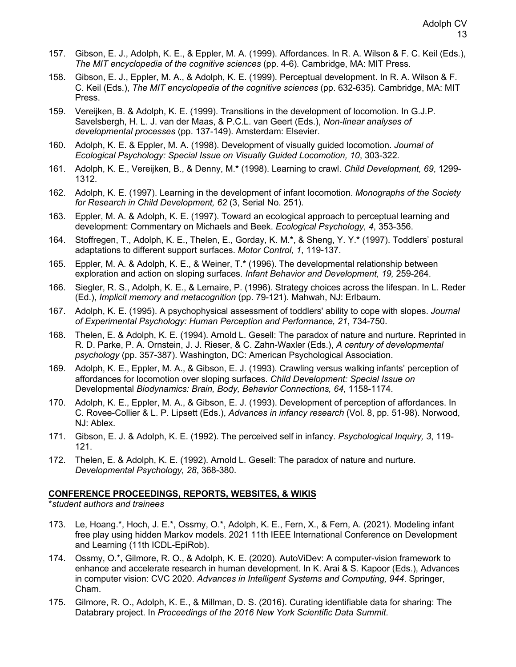- 157. Gibson, E. J., Adolph, K. E., & Eppler, M. A. (1999). Affordances. In R. A. Wilson & F. C. Keil (Eds.), *The MIT encyclopedia of the cognitive sciences* (pp. 4-6)*.* Cambridge, MA: MIT Press.
- 158. Gibson, E. J., Eppler, M. A., & Adolph, K. E. (1999). Perceptual development. In R. A. Wilson & F. C. Keil (Eds.), *The MIT encyclopedia of the cognitive sciences* (pp. 632-635)*.* Cambridge, MA: MIT Press.
- 159. Vereijken, B. & Adolph, K. E. (1999). Transitions in the development of locomotion. In G.J.P. Savelsbergh, H. L. J. van der Maas, & P.C.L. van Geert (Eds.), *Non-linear analyses of developmental processes* (pp. 137-149). Amsterdam: Elsevier.
- 160. Adolph, K. E. & Eppler, M. A. (1998). Development of visually guided locomotion. *Journal of Ecological Psychology: Special Issue on Visually Guided Locomotion, 10*, 303-322*.*
- 161. Adolph, K. E., Vereijken, B., & Denny, M.**\*** (1998). Learning to crawl. *Child Development, 69*, 1299- 1312.
- 162. Adolph, K. E. (1997). Learning in the development of infant locomotion. *Monographs of the Society for Research in Child Development, 62* (3, Serial No. 251).
- 163. Eppler, M. A. & Adolph, K. E. (1997). Toward an ecological approach to perceptual learning and development: Commentary on Michaels and Beek. *Ecological Psychology, 4*, 353-356.
- 164. Stoffregen, T., Adolph, K. E., Thelen, E., Gorday, K. M.**\***, & Sheng, Y. Y.**\*** (1997). Toddlers' postural adaptations to different support surfaces. *Motor Control, 1*, 119-137.
- 165. Eppler, M. A. & Adolph, K. E., & Weiner, T.**\*** (1996). The developmental relationship between exploration and action on sloping surfaces. *Infant Behavior and Development, 19,* 259-264.
- 166. Siegler, R. S., Adolph, K. E., & Lemaire, P. (1996). Strategy choices across the lifespan. In L. Reder (Ed.), *Implicit memory and metacognition* (pp. 79-121). Mahwah, NJ: Erlbaum.
- 167. Adolph, K. E. (1995). A psychophysical assessment of toddlers' ability to cope with slopes. *Journal of Experimental Psychology: Human Perception and Performance, 21*, 734-750.
- 168. Thelen, E. & Adolph, K. E. (1994). Arnold L. Gesell: The paradox of nature and nurture. Reprinted in R. D. Parke, P. A. Ornstein, J. J. Rieser, & C. Zahn-Waxler (Eds.), *A century of developmental psychology* (pp. 357-387). Washington, DC: American Psychological Association.
- 169. Adolph, K. E., Eppler, M. A., & Gibson, E. J. (1993). Crawling versus walking infants' perception of affordances for locomotion over sloping surfaces. *Child Development: Special Issue on*  Developmental *Biodynamics: Brain, Body, Behavior Connections, 64,* 1158-1174.
- 170. Adolph, K. E., Eppler, M. A., & Gibson, E. J. (1993). Development of perception of affordances. In C. Rovee-Collier & L. P. Lipsett (Eds.), *Advances in infancy research* (Vol. 8, pp. 51-98). Norwood, NJ: Ablex.
- 171. Gibson, E. J. & Adolph, K. E. (1992). The perceived self in infancy. *Psychological Inquiry, 3*, 119- 121.
- 172. Thelen, E. & Adolph, K. E. (1992). Arnold L. Gesell: The paradox of nature and nurture. *Developmental Psychology, 28*, 368-380.

#### **CONFERENCE PROCEEDINGS, REPORTS, WEBSITES, & WIKIS**

\**student authors and trainees*

- 173. Le, Hoang.\*, Hoch, J. E.\*, Ossmy, O.\*, Adolph, K. E., Fern, X., & Fern, A. (2021). Modeling infant free play using hidden Markov models. 2021 11th IEEE International Conference on Development and Learning (11th ICDL-EpiRob).
- 174. Ossmy, O.\*, Gilmore, R. O., & Adolph, K. E. (2020). AutoViDev: A computer-vision framework to enhance and accelerate research in human development. In K. Arai & S. Kapoor (Eds.), Advances in computer vision: CVC 2020. *Advances in Intelligent Systems and Computing, 944*. Springer, Cham.
- 175. Gilmore, R. O., Adolph, K. E., & Millman, D. S. (2016). Curating identifiable data for sharing: The Databrary project. In *Proceedings of the 2016 New York Scientific Data Summit*.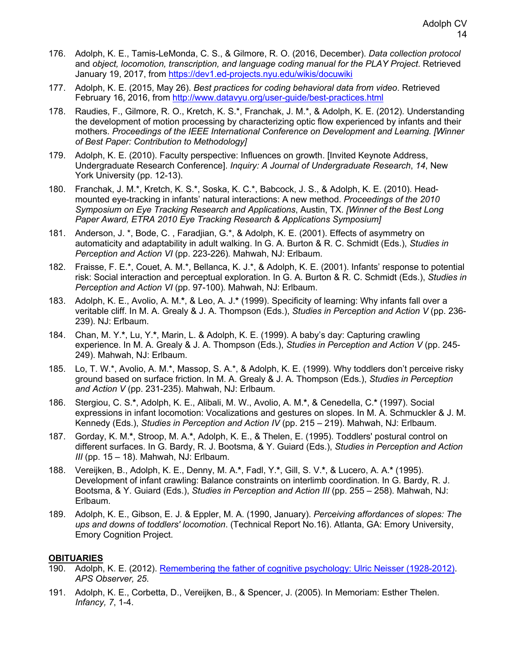- 176. Adolph, K. E., Tamis-LeMonda, C. S., & Gilmore, R. O. (2016, December). *Data collection protocol* and *object, locomotion, transcription, and language coding manual for the PLAY Project*. Retrieved January 19, 2017, from https://dev1.ed-projects.nyu.edu/wikis/docuwiki
- 177. Adolph, K. E. (2015, May 26). *Best practices for coding behavioral data from video*. Retrieved February 16, 2016, from http://www.datavyu.org/user-guide/best-practices.html
- 178. Raudies, F., Gilmore, R. O., Kretch, K. S.\*, Franchak, J. M.\*, & Adolph, K. E. (2012). Understanding the development of motion processing by characterizing optic flow experienced by infants and their mothers. *Proceedings of the IEEE International Conference on Development and Learning. [Winner of Best Paper: Contribution to Methodology]*
- 179. Adolph, K. E. (2010). Faculty perspective: Influences on growth. [Invited Keynote Address, Undergraduate Research Conference]. *Inquiry: A Journal of Undergraduate Research*, *14*, New York University (pp. 12-13).
- 180. Franchak, J. M.\*, Kretch, K. S.\*, Soska, K. C.\*, Babcock, J. S., & Adolph, K. E. (2010). Headmounted eye-tracking in infants' natural interactions: A new method. *Proceedings of the 2010 Symposium on Eye Tracking Research and Applications*, Austin, TX. *[Winner of the Best Long Paper Award, ETRA 2010 Eye Tracking Research & Applications Symposium]*
- 181. Anderson, J. \*, Bode, C. , Faradjian, G.\*, & Adolph, K. E. (2001). Effects of asymmetry on automaticity and adaptability in adult walking. In G. A. Burton & R. C. Schmidt (Eds.), *Studies in Perception and Action VI* (pp. 223-226)*.* Mahwah, NJ: Erlbaum.
- 182. Fraisse, F. E.\*, Couet, A. M.\*, Bellanca, K. J.\*, & Adolph, K. E. (2001). Infants' response to potential risk: Social interaction and perceptual exploration. In G. A. Burton & R. C. Schmidt (Eds.), *Studies in Perception and Action VI* (pp. 97-100)*.* Mahwah, NJ: Erlbaum.
- 183. Adolph, K. E., Avolio, A. M.**\***, & Leo, A. J.**\*** (1999). Specificity of learning: Why infants fall over a veritable cliff. In M. A. Grealy & J. A. Thompson (Eds.), *Studies in Perception and Action V* (pp. 236- 239). NJ: Erlbaum.
- 184. Chan, M. Y.**\***, Lu, Y.**\***, Marin, L. & Adolph, K. E. (1999). A baby's day: Capturing crawling experience. In M. A. Grealy & J. A. Thompson (Eds.), *Studies in Perception and Action V* (pp. 245- 249). Mahwah, NJ: Erlbaum.
- 185. Lo, T. W.\*, Avolio, A. M.\*, Massop, S. A.\*, & Adolph, K. E. (1999). Why toddlers don't perceive risky ground based on surface friction. In M. A. Grealy & J. A. Thompson (Eds.), *Studies in Perception and Action V* (pp. 231-235). Mahwah, NJ: Erlbaum.
- 186. Stergiou, C. S.**\***, Adolph, K. E., Alibali, M. W., Avolio, A. M.**\***, & Cenedella, C.**\*** (1997). Social expressions in infant locomotion: Vocalizations and gestures on slopes. In M. A. Schmuckler & J. M. Kennedy (Eds.), *Studies in Perception and Action IV* (pp. 215 – 219). Mahwah, NJ: Erlbaum.
- 187. Gorday, K. M.**\***, Stroop, M. A.**\***, Adolph, K. E., & Thelen, E. (1995). Toddlers' postural control on different surfaces. In G. Bardy, R. J. Bootsma, & Y. Guiard (Eds.), *Studies in Perception and Action III* (pp. 15 – 18). Mahwah, NJ: Erlbaum.
- 188. Vereijken, B., Adolph, K. E., Denny, M. A.**\***, Fadl, Y.**\***, Gill, S. V.**\***, & Lucero, A. A.**\*** (1995). Development of infant crawling: Balance constraints on interlimb coordination. In G. Bardy, R. J. Bootsma, & Y. Guiard (Eds.), *Studies in Perception and Action III* (pp. 255 – 258). Mahwah, NJ: Erlbaum.
- 189. Adolph, K. E., Gibson, E. J. & Eppler, M. A. (1990, January). *Perceiving affordances of slopes: The ups and downs of toddlers' locomotion*. (Technical Report No.16). Atlanta, GA: Emory University, Emory Cognition Project.

# **OBITUARIES**

- 190. Adolph, K. E. (2012). Remembering the father of cognitive psychology: Ulric Neisser (1928-2012). *APS Observer, 25*.
- 191. Adolph, K. E., Corbetta, D., Vereijken, B., & Spencer, J. (2005). In Memoriam: Esther Thelen. *Infancy, 7*, 1-4.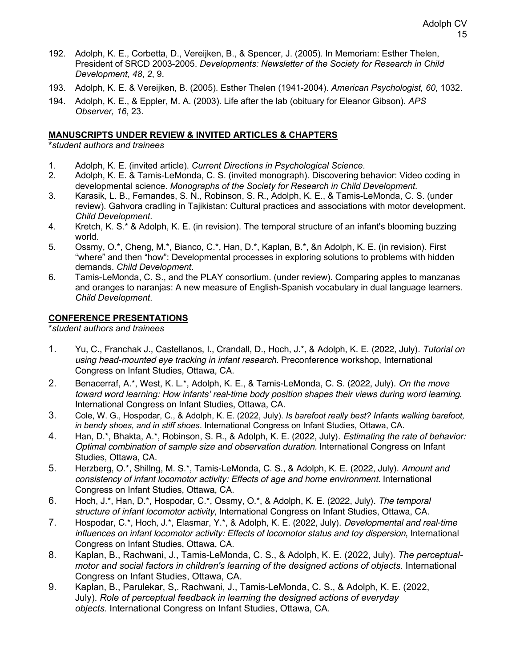- 192. Adolph, K. E., Corbetta, D., Vereijken, B., & Spencer, J. (2005). In Memoriam: Esther Thelen, President of SRCD 2003-2005. *Developments: Newsletter of the Society for Research in Child Development, 48*, *2*, 9.
- 193. Adolph, K. E. & Vereijken, B. (2005). Esther Thelen (1941-2004). *American Psychologist, 60*, 1032.
- 194. Adolph, K. E., & Eppler, M. A. (2003). Life after the lab (obituary for Eleanor Gibson). *APS Observer, 16*, 23.

## **MANUSCRIPTS UNDER REVIEW & INVITED ARTICLES & CHAPTERS**

**\****student authors and trainees*

- 1. Adolph, K. E. (invited article). *Current Directions in Psychological Science*.
- 2. Adolph, K. E. & Tamis-LeMonda, C. S. (invited monograph). Discovering behavior: Video coding in developmental science. *Monographs of the Society for Research in Child Development*.
- 3. Karasik, L. B., Fernandes, S. N., Robinson, S. R., Adolph, K. E., & Tamis-LeMonda, C. S. (under review). Gahvora cradling in Tajikistan: Cultural practices and associations with motor development. *Child Development*.
- 4. Kretch, K. S.\* & Adolph, K. E. (in revision). The temporal structure of an infant's blooming buzzing world.
- 5. Ossmy, O.\*, Cheng, M.\*, Bianco, C.\*, Han, D.\*, Kaplan, B.\*, &n Adolph, K. E. (in revision). First "where" and then "how": Developmental processes in exploring solutions to problems with hidden demands. *Child Development*.
- 6. Tamis-LeMonda, C. S., and the PLAY consortium. (under review). Comparing apples to manzanas and oranges to naranjas: A new measure of English-Spanish vocabulary in dual language learners. *Child Development*.

# **CONFERENCE PRESENTATIONS**

\**student authors and trainees*

- 1. Yu, C., Franchak J., Castellanos, I., Crandall, D., Hoch, J.\*, & Adolph, K. E. (2022, July). *Tutorial on using head-mounted eye tracking in infant research.* Preconference workshop, International Congress on Infant Studies, Ottawa, CA.
- 2. Benacerraf, A.\*, West, K. L.\*, Adolph, K. E., & Tamis-LeMonda, C. S. (2022, July). *On the move toward word learning: How infants' real-time body position shapes their views during word learning*. International Congress on Infant Studies, Ottawa, CA.
- 3. Cole, W. G., Hospodar, C., & Adolph, K. E. (2022, July). *Is barefoot really best? Infants walking barefoot, in bendy shoes, and in stiff shoes*. International Congress on Infant Studies, Ottawa, CA.
- 4. Han, D.\*, Bhakta, A.\*, Robinson, S. R., & Adolph, K. E. (2022, July). *Estimating the rate of behavior: Optimal combination of sample size and observation duration.* International Congress on Infant Studies, Ottawa, CA.
- 5. Herzberg, O.\*, Shillng, M. S.\*, Tamis-LeMonda, C. S., & Adolph, K. E. (2022, July). *Amount and consistency of infant locomotor activity: Effects of age and home environment.* International Congress on Infant Studies, Ottawa, CA.
- 6. Hoch, J.\*, Han, D.\*, Hospodar, C.\*, Ossmy, O.\*, & Adolph, K. E. (2022, July). *The temporal structure of infant locomotor activity*, International Congress on Infant Studies, Ottawa, CA.
- 7. Hospodar, C.\*, Hoch, J.\*, Elasmar, Y.\*, & Adolph, K. E. (2022, July). *Developmental and real-time influences on infant locomotor activity: Effects of locomotor status and toy dispersion*, International Congress on Infant Studies, Ottawa, CA.
- 8. Kaplan, B., Rachwani, J., Tamis-LeMonda, C. S., & Adolph, K. E. (2022, July). *The perceptualmotor and social factors in children's learning of the designed actions of objects.* International Congress on Infant Studies, Ottawa, CA.
- 9. Kaplan, B., Parulekar, S,. Rachwani, J., Tamis-LeMonda, C. S., & Adolph, K. E. (2022, July). *Role of perceptual feedback in learning the designed actions of everyday objects.* International Congress on Infant Studies, Ottawa, CA.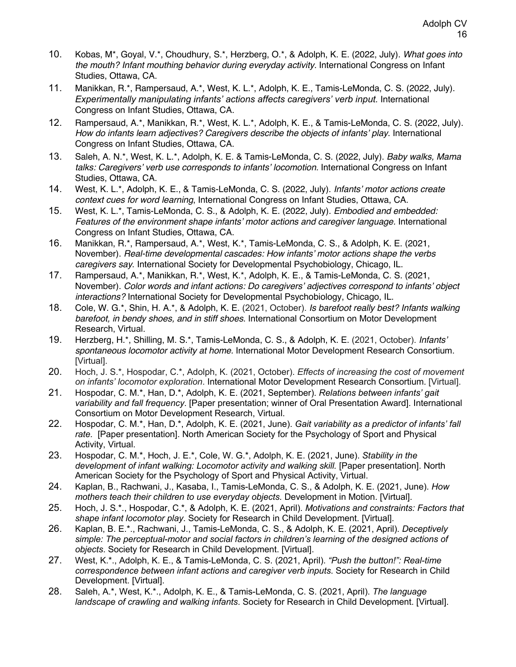- 10. Kobas, M\*, Goyal, V.\*, Choudhury, S.\*, Herzberg, O.\*, & Adolph, K. E. (2022, July). *What goes into the mouth? Infant mouthing behavior during everyday activity.* International Congress on Infant Studies, Ottawa, CA.
- 11. Manikkan, R.\*, Rampersaud, A.\*, West, K. L.\*, Adolph, K. E., Tamis-LeMonda, C. S. (2022, July). *Experimentally manipulating infants' actions affects caregivers' verb input.* International Congress on Infant Studies, Ottawa, CA.
- 12. Rampersaud, A.\*, Manikkan, R.\*, West, K. L.\*, Adolph, K. E., & Tamis-LeMonda, C. S. (2022, July). *How do infants learn adjectives? Caregivers describe the objects of infants' play*. International Congress on Infant Studies, Ottawa, CA.
- 13. Saleh, A. N.\*, West, K. L.\*, Adolph, K. E. & Tamis-LeMonda, C. S. (2022, July). *Baby walks, Mama talks: Caregivers' verb use corresponds to infants' locomotion.* International Congress on Infant Studies, Ottawa, CA.
- 14. West, K. L.\*, Adolph, K. E., & Tamis-LeMonda, C. S. (2022, July). *Infants' motor actions create context cues for word learning*, International Congress on Infant Studies, Ottawa, CA.
- 15. West, K. L.\*, Tamis-LeMonda, C. S., & Adolph, K. E. (2022, July). *Embodied and embedded: Features of the environment shape infants' motor actions and caregiver language.* International Congress on Infant Studies, Ottawa, CA.
- 16. Manikkan, R.\*, Rampersaud, A.\*, West, K.\*, Tamis-LeMonda, C. S., & Adolph, K. E. (2021, November). *Real-time developmental cascades: How infants' motor actions shape the verbs caregivers say*. International Society for Developmental Psychobiology, Chicago, IL.
- 17. Rampersaud, A.\*, Manikkan, R.\*, West, K.\*, Adolph, K. E., & Tamis-LeMonda, C. S. (2021, November). *Color words and infant actions: Do caregivers' adjectives correspond to infants' object interactions?* International Society for Developmental Psychobiology, Chicago, IL.
- 18. Cole, W. G.\*, Shin, H. A.\*, & Adolph, K. E. (2021, October). *Is barefoot really best? Infants walking barefoot, in bendy shoes, and in stiff shoes*. International Consortium on Motor Development Research, Virtual.
- 19. Herzberg, H.\*, Shilling, M. S.\*, Tamis-LeMonda, C. S., & Adolph, K. E. (2021, October). *Infants' spontaneous locomotor activity at home.* International Motor Development Research Consortium. [Virtual].
- 20. Hoch, J. S.\*, Hospodar, C.\*, Adolph, K. (2021, October). *Effects of increasing the cost of movement on infants' locomotor exploration*. International Motor Development Research Consortium. [Virtual].
- 21. Hospodar, C. M.\*, Han, D.\*, Adolph, K. E. (2021, September). *Relations between infants' gait variability and fall frequency*. [Paper presentation; winner of Oral Presentation Award]. International Consortium on Motor Development Research, Virtual.
- 22. Hospodar, C. M.\*, Han, D.\*, Adolph, K. E. (2021, June). *Gait variability as a predictor of infants' fall rate.* [Paper presentation]. North American Society for the Psychology of Sport and Physical Activity, Virtual.
- 23. Hospodar, C. M.\*, Hoch, J. E.\*, Cole, W. G.\*, Adolph, K. E. (2021, June). *Stability in the development of infant walking: Locomotor activity and walking skill.* [Paper presentation]. North American Society for the Psychology of Sport and Physical Activity, Virtual.
- 24. Kaplan, B., Rachwani, J., Kasaba, I., Tamis-LeMonda, C. S., & Adolph, K. E. (2021, June). *How mothers teach their children to use everyday objects.* Development in Motion. [Virtual].
- 25. Hoch, J. S.\*., Hospodar, C.\*, & Adolph, K. E. (2021, April). *Motivations and constraints: Factors that shape infant locomotor play*. Society for Research in Child Development. [Virtual].
- 26. Kaplan, B. E.\*., Rachwani, J., Tamis-LeMonda, C. S., & Adolph, K. E. (2021, April). *Deceptively simple: The perceptual-motor and social factors in children's learning of the designed actions of objects*. Society for Research in Child Development. [Virtual].
- 27. West, K.\*., Adolph, K. E., & Tamis-LeMonda, C. S. (2021, April). *"Push the button!": Real-time correspondence between infant actions and caregiver verb inputs*. Society for Research in Child Development. [Virtual].
- 28. Saleh, A.\*, West, K.\*., Adolph, K. E., & Tamis-LeMonda, C. S. (2021, April). *The language landscape of crawling and walking infants*. Society for Research in Child Development. [Virtual].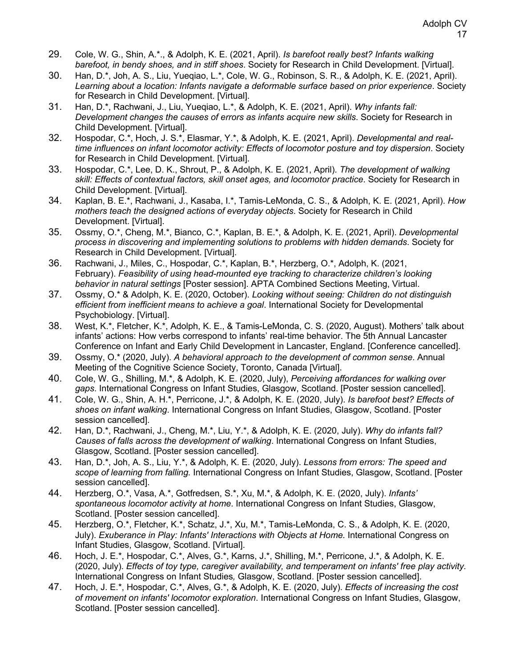- 29. Cole, W. G., Shin, A.\*., & Adolph, K. E. (2021, April). *Is barefoot really best? Infants walking barefoot, in bendy shoes, and in stiff shoes*. Society for Research in Child Development. [Virtual].
- 30. Han, D.\*, Joh, A. S., Liu, Yueqiao, L.\*, Cole, W. G., Robinson, S. R., & Adolph, K. E. (2021, April). *Learning about a location: Infants navigate a deformable surface based on prior experience*. Society for Research in Child Development. [Virtual].
- 31. Han, D.\*, Rachwani, J., Liu, Yueqiao, L.\*, & Adolph, K. E. (2021, April). *Why infants fall: Development changes the causes of errors as infants acquire new skills*. Society for Research in Child Development. [Virtual].
- 32. Hospodar, C.\*, Hoch, J. S.\*, Elasmar, Y.\*, & Adolph, K. E. (2021, April). *Developmental and realtime influences on infant locomotor activity: Effects of locomotor posture and toy dispersion*. Society for Research in Child Development. [Virtual].
- 33. Hospodar, C.\*, Lee, D. K., Shrout, P., & Adolph, K. E. (2021, April). *The development of walking skill: Effects of contextual factors, skill onset ages, and locomotor practice*. Society for Research in Child Development. [Virtual].
- 34. Kaplan, B. E.\*, Rachwani, J., Kasaba, I.\*, Tamis-LeMonda, C. S., & Adolph, K. E. (2021, April). *How mothers teach the designed actions of everyday objects*. Society for Research in Child Development. [Virtual].
- 35. Ossmy, O.\*, Cheng, M.\*, Bianco, C.\*, Kaplan, B. E.\*, & Adolph, K. E. (2021, April). *Developmental process in discovering and implementing solutions to problems with hidden demands*. Society for Research in Child Development. [Virtual].
- 36. Rachwani, J., Miles, C., Hospodar, C.\*, Kaplan, B.\*, Herzberg, O.\*, Adolph, K. (2021, February). *Feasibility of using head-mounted eye tracking to characterize children's looking behavior in natural settings* [Poster session]. APTA Combined Sections Meeting, Virtual.
- 37. Ossmy, O.\* & Adolph, K. E. (2020, October). *Looking without seeing: Children do not distinguish efficient from inefficient means to achieve a goal*. International Society for Developmental Psychobiology. [Virtual].
- 38. West, K.\*, Fletcher, K.\*, Adolph, K. E., & Tamis-LeMonda, C. S. (2020, August). Mothers' talk about infants' actions: How verbs correspond to infants' real-time behavior. The 5th Annual Lancaster Conference on Infant and Early Child Development in Lancaster, England. [Conference cancelled].
- 39. Ossmy, O.\* (2020, July). *A behavioral approach to the development of common sense*. Annual Meeting of the Cognitive Science Society, Toronto, Canada [Virtual].
- 40. Cole, W. G., Shilling, M.\*, & Adolph, K. E. (2020, July), *Perceiving affordances for walking over gaps*. International Congress on Infant Studies, Glasgow, Scotland. [Poster session cancelled].
- 41. Cole, W. G., Shin, A. H.\*, Perricone, J.\*, & Adolph, K. E. (2020, July). *Is barefoot best? Effects of shoes on infant walking*. International Congress on Infant Studies, Glasgow, Scotland. [Poster session cancelled].
- 42. Han, D.\*, Rachwani, J., Cheng, M.\*, Liu, Y.\*, & Adolph, K. E. (2020, July). *Why do infants fall? Causes of falls across the development of walking*. International Congress on Infant Studies, Glasgow, Scotland. [Poster session cancelled].
- 43. Han, D.\*, Joh, A. S., Liu, Y.\*, & Adolph, K. E. (2020, July). *Lessons from errors: The speed and scope of learning from falling.* International Congress on Infant Studies, Glasgow, Scotland. [Poster session cancelled].
- 44. Herzberg, O.\*, Vasa, A.\*, Gotfredsen, S.\*, Xu, M.\*, & Adolph, K. E. (2020, July). *Infants' spontaneous locomotor activity at home*. International Congress on Infant Studies, Glasgow, Scotland. [Poster session cancelled].
- 45. Herzberg, O.\*, Fletcher, K.\*, Schatz, J.\*, Xu, M.\*, Tamis-LeMonda, C. S., & Adolph, K. E. (2020, July). *Exuberance in Play: Infants' Interactions with Objects at Home.* International Congress on Infant Studies, Glasgow, Scotland. [Virtual].
- 46. Hoch, J. E.\*, Hospodar, C.\*, Alves, G.\*, Karns, J.\*, Shilling, M.\*, Perricone, J.\*, & Adolph, K. E. (2020, July). *Effects of toy type, caregiver availability, and temperament on infants' free play activity.*  International Congress on Infant Studies*,* Glasgow, Scotland. [Poster session cancelled].
- 47. Hoch, J. E.\*, Hospodar, C.\*, Alves, G.\*, & Adolph, K. E. (2020, July). *Effects of increasing the cost of movement on infants' locomotor exploration*. International Congress on Infant Studies, Glasgow, Scotland. [Poster session cancelled].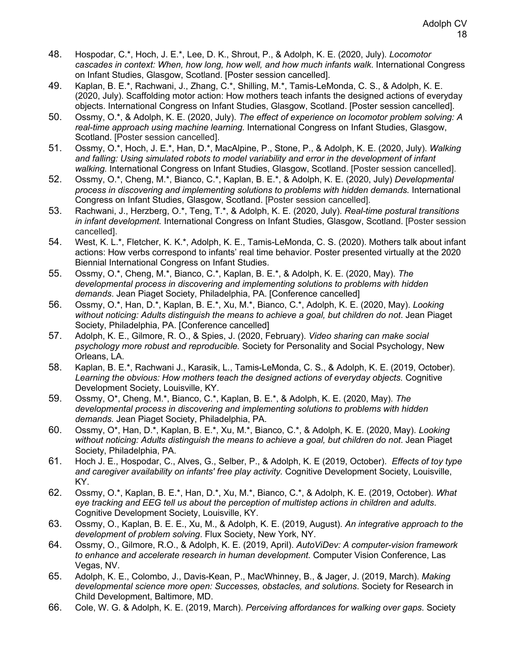- 48. Hospodar, C.\*, Hoch, J. E.\*, Lee, D. K., Shrout, P., & Adolph, K. E. (2020, July). *Locomotor cascades in context: When, how long, how well, and how much infants walk*. International Congress on Infant Studies, Glasgow, Scotland. [Poster session cancelled].
- 49. Kaplan, B. E.\*, Rachwani, J., Zhang, C.\*, Shilling, M.\*, Tamis-LeMonda, C. S., & Adolph, K. E. (2020, July). Scaffolding motor action: How mothers teach infants the designed actions of everyday objects. International Congress on Infant Studies, Glasgow, Scotland. [Poster session cancelled].
- 50. Ossmy, O.\*, & Adolph, K. E. (2020, July). *The effect of experience on locomotor problem solving: A real-time approach using machine learning.* International Congress on Infant Studies, Glasgow, Scotland. [Poster session cancelled].
- 51. Ossmy, O.\*, Hoch, J. E.\*, Han, D.\*, MacAlpine, P., Stone, P., & Adolph, K. E. (2020, July). *Walking and falling: Using simulated robots to model variability and error in the development of infant walking.* International Congress on Infant Studies, Glasgow, Scotland. [Poster session cancelled].
- 52. Ossmy, O.\*, Cheng, M.\*, Bianco, C.\*, Kaplan, B. E.\*, & Adolph, K. E. (2020, July) *Developmental process in discovering and implementing solutions to problems with hidden demands.* International Congress on Infant Studies, Glasgow, Scotland. [Poster session cancelled].
- 53. Rachwani, J., Herzberg, O.\*, Teng, T.\*, & Adolph, K. E. (2020, July). *Real-time postural transitions in infant development.* International Congress on Infant Studies, Glasgow, Scotland. [Poster session cancelled].
- 54. West, K. L.\*, Fletcher, K. K.\*, Adolph, K. E., Tamis-LeMonda, C. S. (2020). Mothers talk about infant actions: How verbs correspond to infants' real time behavior. Poster presented virtually at the 2020 Biennial International Congress on Infant Studies.
- 55. Ossmy, O.\*, Cheng, M.\*, Bianco, C.\*, Kaplan, B. E.\*, & Adolph, K. E. (2020, May). *The developmental process in discovering and implementing solutions to problems with hidden demands*. Jean Piaget Society, Philadelphia, PA. [Conference cancelled]
- 56. Ossmy, O.\*, Han, D.\*, Kaplan, B. E.\*, Xu, M.\*, Bianco, C.\*, Adolph, K. E. (2020, May). *Looking without noticing: Adults distinguish the means to achieve a goal, but children do not*. Jean Piaget Society, Philadelphia, PA. [Conference cancelled]
- 57. Adolph, K. E., Gilmore, R. O., & Spies, J. (2020, February). *Video sharing can make social psychology more robust and reproducible.* Society for Personality and Social Psychology, New Orleans, LA.
- 58. Kaplan, B. E.\*, Rachwani J., Karasik, L., Tamis-LeMonda, C. S., & Adolph, K. E. (2019, October). Learning the obvious: How mothers teach the designed actions of everyday objects. Cognitive Development Society, Louisville, KY.
- 59. Ossmy, O\*, Cheng, M.\*, Bianco, C.\*, Kaplan, B. E.\*, & Adolph, K. E. (2020, May). *The developmental process in discovering and implementing solutions to problems with hidden demands.* Jean Piaget Society, Philadelphia, PA.
- 60. Ossmy, O\*, Han, D.\*, Kaplan, B. E.\*, Xu, M.\*, Bianco, C.\*, & Adolph, K. E. (2020, May). *Looking without noticing: Adults distinguish the means to achieve a goal, but children do not*. Jean Piaget Society, Philadelphia, PA.
- 61. Hoch J. E., Hospodar, C., Alves, G., Selber, P., & Adolph, K. E (2019, October). *Effects of toy type and caregiver availability on infants' free play activity.* Cognitive Development Society, Louisville, KY.
- 62. Ossmy, O.\*, Kaplan, B. E.\*, Han, D.\*, Xu, M.\*, Bianco, C.\*, & Adolph, K. E. (2019, October). *What eye tracking and EEG tell us about the perception of multistep actions in children and adults*. Cognitive Development Society, Louisville, KY.
- 63. Ossmy, O., Kaplan, B. E. E., Xu, M., & Adolph, K. E. (2019, August). *An integrative approach to the development of problem solving*. Flux Society, New York, NY.
- 64. Ossmy, O., Gilmore, R.O., & Adolph, K. E. (2019, April). *AutoViDev: A computer-vision framework to enhance and accelerate research in human development.* Computer Vision Conference, Las Vegas, NV.
- 65. Adolph, K. E., Colombo, J., Davis-Kean, P., MacWhinney, B., & Jager, J. (2019, March). *Making developmental science more open: Successes, obstacles, and solutions*. Society for Research in Child Development, Baltimore, MD.
- 66. Cole, W. G. & Adolph, K. E. (2019, March). *Perceiving affordances for walking over gaps*. Society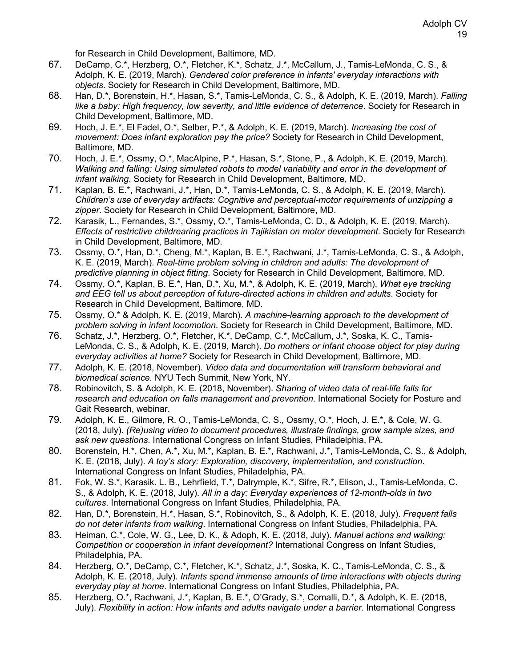for Research in Child Development, Baltimore, MD.

- 67. DeCamp, C.\*, Herzberg, O.\*, Fletcher, K.\*, Schatz, J.\*, McCallum, J., Tamis-LeMonda, C. S., & Adolph, K. E. (2019, March). *Gendered color preference in infants' everyday interactions with objects*. Society for Research in Child Development, Baltimore, MD.
- 68. Han, D.\*, Borenstein, H.\*, Hasan, S.\*, Tamis-LeMonda, C. S., & Adolph, K. E. (2019, March). *Falling like a baby: High frequency, low severity, and little evidence of deterrence*. Society for Research in Child Development, Baltimore, MD.
- 69. Hoch, J. E.\*, El Fadel, O.\*, Selber, P.\*, & Adolph, K. E. (2019, March). *Increasing the cost of movement: Does infant exploration pay the price?* Society for Research in Child Development, Baltimore, MD.
- 70. Hoch, J. E.\*, Ossmy, O.\*, MacAlpine, P.\*, Hasan, S.\*, Stone, P., & Adolph, K. E. (2019, March). *Walking and falling: Using simulated robots to model variability and error in the development of infant walking*. Society for Research in Child Development, Baltimore, MD.
- 71. Kaplan, B. E.\*, Rachwani, J.\*, Han, D.\*, Tamis-LeMonda, C. S., & Adolph, K. E. (2019, March). *Children's use of everyday artifacts: Cognitive and perceptual-motor requirements of unzipping a zipper*. Society for Research in Child Development, Baltimore, MD.
- 72. Karasik, L., Fernandes, S.\*, Ossmy, O.\*, Tamis-LeMonda, C. D., & Adolph, K. E. (2019, March). *Effects of restrictive childrearing practices in Tajikistan on motor development*. Society for Research in Child Development, Baltimore, MD.
- 73. Ossmy, O.\*, Han, D.\*, Cheng, M.\*, Kaplan, B. E.\*, Rachwani, J.\*, Tamis-LeMonda, C. S., & Adolph, K. E. (2019, March). *Real-time problem solving in children and adults: The development of predictive planning in object fitting*. Society for Research in Child Development, Baltimore, MD.
- 74. Ossmy, O.\*, Kaplan, B. E.\*, Han, D.\*, Xu, M.\*, & Adolph, K. E. (2019, March). *What eye tracking and EEG tell us about perception of future-directed actions in children and adults*. Society for Research in Child Development, Baltimore, MD.
- 75. Ossmy, O.\* & Adolph, K. E. (2019, March). *A machine-learning approach to the development of problem solving in infant locomotion*. Society for Research in Child Development, Baltimore, MD.
- 76. Schatz, J.\*, Herzberg, O.\*, Fletcher, K.\*, DeCamp, C.\*, McCallum, J.\*, Soska, K. C., Tamis-LeMonda, C. S., & Adolph, K. E. (2019, March). *Do mothers or infant choose object for play during everyday activities at home?* Society for Research in Child Development, Baltimore, MD.
- 77. Adolph, K. E. (2018, November). *Video data and documentation will transform behavioral and biomedical science.* NYU Tech Summit, New York, NY.
- 78. Robinovitch, S. & Adolph, K. E. (2018, November). *Sharing of video data of real-life falls for research and education on falls management and prevention*. International Society for Posture and Gait Research, webinar.
- 79. Adolph, K. E., Gilmore, R. O., Tamis-LeMonda, C. S., Ossmy, O.\*, Hoch, J. E.\*, & Cole, W. G. (2018, July). *(Re)using video to document procedures, illustrate findings, grow sample sizes, and ask new questions*. International Congress on Infant Studies, Philadelphia, PA.
- 80. Borenstein, H.\*, Chen, A.\*, Xu, M.\*, Kaplan, B. E.\*, Rachwani, J.\*, Tamis-LeMonda, C. S., & Adolph, K. E. (2018, July). *A toy's story: Exploration, discovery, implementation, and construction*. International Congress on Infant Studies, Philadelphia, PA.
- 81. Fok, W. S.\*, Karasik. L. B., Lehrfield, T.\*, Dalrymple, K.\*, Sifre, R.\*, Elison, J., Tamis-LeMonda, C. S., & Adolph, K. E. (2018, July). *All in a day: Everyday experiences of 12-month-olds in two cultures*. International Congress on Infant Studies, Philadelphia, PA.
- 82. Han, D.\*, Borenstein, H.\*, Hasan, S.\*, Robinovitch, S., & Adolph, K. E. (2018, July). *Frequent falls do not deter infants from walking*. International Congress on Infant Studies, Philadelphia, PA.
- 83. Heiman, C.\*, Cole, W. G., Lee, D. K., & Adoph, K. E. (2018, July). *Manual actions and walking: Competition or cooperation in infant development?* International Congress on Infant Studies, Philadelphia, PA.
- 84. Herzberg, O.\*, DeCamp, C.\*, Fletcher, K.\*, Schatz, J.\*, Soska, K. C., Tamis-LeMonda, C. S., & Adolph, K. E. (2018, July). *Infants spend immense amounts of time interactions with objects during everyday play at home*. International Congress on Infant Studies, Philadelphia, PA.
- 85. Herzberg, O.\*, Rachwani, J.\*, Kaplan, B. E.\*, O'Grady, S.\*, Comalli, D.\*, & Adolph, K. E. (2018, July). *Flexibility in action: How infants and adults navigate under a barrier*. International Congress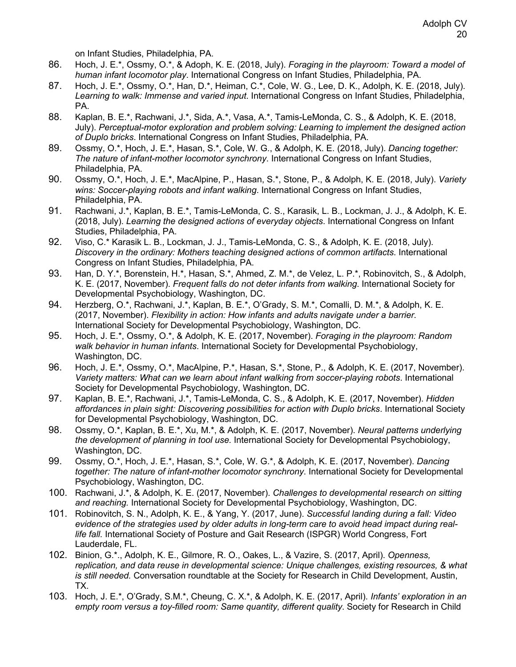on Infant Studies, Philadelphia, PA.

- 86. Hoch, J. E.\*, Ossmy, O.\*, & Adoph, K. E. (2018, July). *Foraging in the playroom: Toward a model of human infant locomotor play*. International Congress on Infant Studies, Philadelphia, PA.
- 87. Hoch, J. E.\*, Ossmy, O.\*, Han, D.\*, Heiman, C.\*, Cole, W. G., Lee, D. K., Adolph, K. E. (2018, July). *Learning to walk: Immense and varied input*. International Congress on Infant Studies, Philadelphia, PA.
- 88. Kaplan, B. E.\*, Rachwani, J.\*, Sida, A.\*, Vasa, A.\*, Tamis-LeMonda, C. S., & Adolph, K. E. (2018, July). *Perceptual-motor exploration and problem solving: Learning to implement the designed action of Duplo bricks*. International Congress on Infant Studies, Philadelphia, PA.
- 89. Ossmy, O.\*, Hoch, J. E.\*, Hasan, S.\*, Cole, W. G., & Adolph, K. E. (2018, July). *Dancing together: The nature of infant-mother locomotor synchrony*. International Congress on Infant Studies, Philadelphia, PA.
- 90. Ossmy, O.\*, Hoch, J. E.\*, MacAlpine, P., Hasan, S.\*, Stone, P., & Adolph, K. E. (2018, July). *Variety wins: Soccer-playing robots and infant walking*. International Congress on Infant Studies, Philadelphia, PA.
- 91. Rachwani, J.\*, Kaplan, B. E.\*, Tamis-LeMonda, C. S., Karasik, L. B., Lockman, J. J., & Adolph, K. E. (2018, July). *Learning the designed actions of everyday objects*. International Congress on Infant Studies, Philadelphia, PA.
- 92. Viso, C.\* Karasik L. B., Lockman, J. J., Tamis-LeMonda, C. S., & Adolph, K. E. (2018, July). *Discovery in the ordinary: Mothers teaching designed actions of common artifacts*. International Congress on Infant Studies, Philadelphia, PA.
- 93. Han, D. Y.\*, Borenstein, H.\*, Hasan, S.\*, Ahmed, Z. M.\*, de Velez, L. P.\*, Robinovitch, S., & Adolph, K. E. (2017, November). *Frequent falls do not deter infants from walking*. International Society for Developmental Psychobiology, Washington, DC.
- 94. Herzberg, O.\*, Rachwani, J.\*, Kaplan, B. E.\*, O'Grady, S. M.\*, Comalli, D. M.\*, & Adolph, K. E. (2017, November). *Flexibility in action: How infants and adults navigate under a barrier*. International Society for Developmental Psychobiology, Washington, DC.
- 95. Hoch, J. E.\*, Ossmy, O.\*, & Adolph, K. E. (2017, November). *Foraging in the playroom: Random walk behavior in human infants*. International Society for Developmental Psychobiology, Washington, DC.
- 96. Hoch, J. E.\*, Ossmy, O.\*, MacAlpine, P.\*, Hasan, S.\*, Stone, P., & Adolph, K. E. (2017, November). *Variety matters: What can we learn about infant walking from soccer-playing robots*. International Society for Developmental Psychobiology, Washington, DC.
- 97. Kaplan, B. E.\*, Rachwani, J.\*, Tamis-LeMonda, C. S., & Adolph, K. E. (2017, November). *Hidden affordances in plain sight: Discovering possibilities for action with Duplo bricks*. International Society for Developmental Psychobiology, Washington, DC.
- 98. Ossmy, O.\*, Kaplan, B. E.\*, Xu, M.\*, & Adolph, K. E. (2017, November). *Neural patterns underlying the development of planning in tool use.* International Society for Developmental Psychobiology, Washington, DC.
- 99. Ossmy, O.\*, Hoch, J. E.\*, Hasan, S.\*, Cole, W. G.\*, & Adolph, K. E. (2017, November). *Dancing together: The nature of infant-mother locomotor synchrony*. International Society for Developmental Psychobiology, Washington, DC.
- 100. Rachwani, J.\*, & Adolph, K. E. (2017, November). *Challenges to developmental research on sitting and reaching.* International Society for Developmental Psychobiology, Washington, DC.
- 101. Robinovitch, S. N., Adolph, K. E., & Yang, Y. (2017, June). *Successful landing during a fall: Video evidence of the strategies used by older adults in long-term care to avoid head impact during reallife fall.* International Society of Posture and Gait Research (ISPGR) World Congress, Fort Lauderdale, FL.
- 102. Binion, G.\*., Adolph, K. E., Gilmore, R. O., Oakes, L., & Vazire, S. (2017, April). *Openness, replication, and data reuse in developmental science: Unique challenges, existing resources, & what is still needed.* Conversation roundtable at the Society for Research in Child Development, Austin, TX.
- 103. Hoch, J. E.\*, O'Grady, S.M.\*, Cheung, C. X.\*, & Adolph, K. E. (2017, April). *Infants' exploration in an empty room versus a toy-filled room: Same quantity, different quality*. Society for Research in Child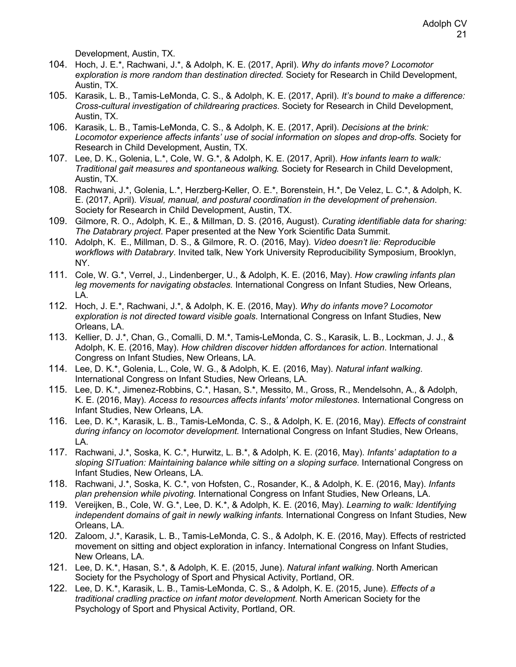Development, Austin, TX.

- 104. Hoch, J. E.\*, Rachwani, J.\*, & Adolph, K. E. (2017, April). *Why do infants move? Locomotor exploration is more random than destination directed.* Society for Research in Child Development, Austin, TX.
- 105. Karasik, L. B., Tamis-LeMonda, C. S., & Adolph, K. E. (2017, April). *It's bound to make a difference: Cross-cultural investigation of childrearing practices*. Society for Research in Child Development, Austin, TX.
- 106. Karasik, L. B., Tamis-LeMonda, C. S., & Adolph, K. E. (2017, April). *Decisions at the brink: Locomotor experience affects infants' use of social information on slopes and drop-offs*. Society for Research in Child Development, Austin, TX.
- 107. Lee, D. K., Golenia, L.\*, Cole, W. G.\*, & Adolph, K. E. (2017, April). *How infants learn to walk: Traditional gait measures and spontaneous walking.* Society for Research in Child Development, Austin, TX.
- 108. Rachwani, J.\*, Golenia, L.\*, Herzberg-Keller, O. E.\*, Borenstein, H.\*, De Velez, L. C.\*, & Adolph, K. E. (2017, April). *Visual, manual, and postural coordination in the development of prehension*. Society for Research in Child Development, Austin, TX.
- 109. Gilmore, R. O., Adolph, K. E., & Millman, D. S. (2016, August). *Curating identifiable data for sharing: The Databrary project*. Paper presented at the New York Scientific Data Summit.
- 110. Adolph, K. E., Millman, D. S., & Gilmore, R. O. (2016, May). *Video doesn't lie: Reproducible workflows with Databrary*. Invited talk, New York University Reproducibility Symposium, Brooklyn, NY.
- 111. Cole, W. G.\*, Verrel, J., Lindenberger, U., & Adolph, K. E. (2016, May). *How crawling infants plan leg movements for navigating obstacles.* International Congress on Infant Studies, New Orleans, LA.
- 112. Hoch, J. E.\*, Rachwani, J.\*, & Adolph, K. E. (2016, May). *Why do infants move? Locomotor exploration is not directed toward visible goals*. International Congress on Infant Studies, New Orleans, LA.
- 113. Kellier, D. J.\*, Chan, G., Comalli, D. M.\*, Tamis-LeMonda, C. S., Karasik, L. B., Lockman, J. J., & Adolph, K. E. (2016, May). *How children discover hidden affordances for action*. International Congress on Infant Studies, New Orleans, LA.
- 114. Lee, D. K.\*, Golenia, L., Cole, W. G., & Adolph, K. E. (2016, May). *Natural infant walking*. International Congress on Infant Studies, New Orleans, LA.
- 115. Lee, D. K.\*, Jimenez-Robbins, C.\*, Hasan, S.\*, Messito, M., Gross, R., Mendelsohn, A., & Adolph, K. E. (2016, May). *Access to resources affects infants' motor milestones*. International Congress on Infant Studies, New Orleans, LA.
- 116. Lee, D. K.\*, Karasik, L. B., Tamis-LeMonda, C. S., & Adolph, K. E. (2016, May). *Effects of constraint during infancy on locomotor development.* International Congress on Infant Studies, New Orleans, LA.
- 117. Rachwani, J.\*, Soska, K. C.\*, Hurwitz, L. B.\*, & Adolph, K. E. (2016, May). *Infants' adaptation to a sloping SITuation: Maintaining balance while sitting on a sloping surface.* International Congress on Infant Studies, New Orleans, LA.
- 118. Rachwani, J.\*, Soska, K. C.\*, von Hofsten, C., Rosander, K., & Adolph, K. E. (2016, May). *Infants plan prehension while pivoting.* International Congress on Infant Studies, New Orleans, LA.
- 119. Vereijken, B., Cole, W. G.\*, Lee, D. K.\*, & Adolph, K. E. (2016, May). *Learning to walk: Identifying independent domains of gait in newly walking infants.* International Congress on Infant Studies, New Orleans, LA.
- 120. Zaloom, J.\*, Karasik, L. B., Tamis-LeMonda, C. S., & Adolph, K. E. (2016, May). Effects of restricted movement on sitting and object exploration in infancy. International Congress on Infant Studies, New Orleans, LA.
- 121. Lee, D. K.\*, Hasan, S.\*, & Adolph, K. E. (2015, June). *Natural infant walking*. North American Society for the Psychology of Sport and Physical Activity, Portland, OR.
- 122. Lee, D. K.\*, Karasik, L. B., Tamis-LeMonda, C. S., & Adolph, K. E. (2015, June). *Effects of a traditional cradling practice on infant motor development*. North American Society for the Psychology of Sport and Physical Activity, Portland, OR.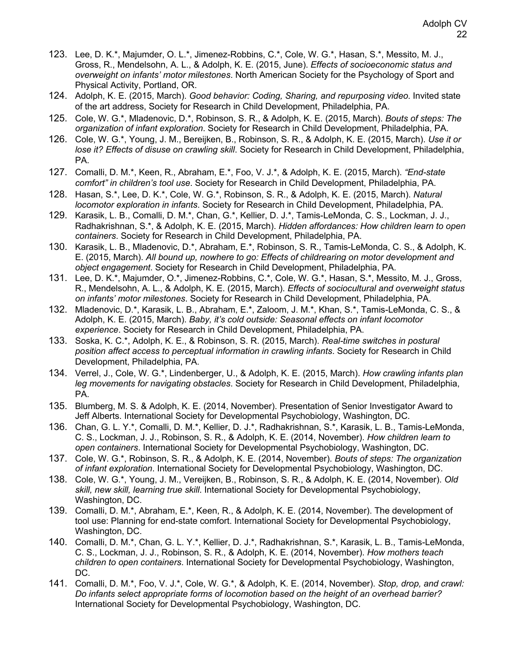- 123. Lee, D. K.\*, Majumder, O. L.\*, Jimenez-Robbins, C.\*, Cole, W. G.\*, Hasan, S.\*, Messito, M. J., Gross, R., Mendelsohn, A. L., & Adolph, K. E. (2015, June). *Effects of socioeconomic status and overweight on infants' motor milestones*. North American Society for the Psychology of Sport and Physical Activity, Portland, OR.
- 124. Adolph, K. E. (2015, March). *Good behavior: Coding, Sharing, and repurposing video*. Invited state of the art address, Society for Research in Child Development, Philadelphia, PA.
- 125. Cole, W. G.\*, Mladenovic, D.\*, Robinson, S. R., & Adolph, K. E. (2015, March). *Bouts of steps: The organization of infant exploration*. Society for Research in Child Development, Philadelphia, PA.
- 126. Cole, W. G.\*, Young, J. M., Bereijken, B., Robinson, S. R., & Adolph, K. E. (2015, March). *Use it or lose it? Effects of disuse on crawling skill*. Society for Research in Child Development, Philadelphia, PA.
- 127. Comalli, D. M.\*, Keen, R., Abraham, E.\*, Foo, V. J.\*, & Adolph, K. E. (2015, March). *"End-state comfort" in children's tool use*. Society for Research in Child Development, Philadelphia, PA.
- 128. Hasan, S.\*, Lee, D. K.\*, Cole, W. G.\*, Robinson, S. R., & Adolph, K. E. (2015, March). *Natural locomotor exploration in infants*. Society for Research in Child Development, Philadelphia, PA.
- 129. Karasik, L. B., Comalli, D. M.\*, Chan, G.\*, Kellier, D. J.\*, Tamis-LeMonda, C. S., Lockman, J. J., Radhakrishnan, S.\*, & Adolph, K. E. (2015, March). *Hidden affordances: How children learn to open containers*. Society for Research in Child Development, Philadelphia, PA.
- 130. Karasik, L. B., Mladenovic, D.\*, Abraham, E.\*, Robinson, S. R., Tamis-LeMonda, C. S., & Adolph, K. E. (2015, March). *All bound up, nowhere to go: Effects of childrearing on motor development and object engagement*. Society for Research in Child Development, Philadelphia, PA.
- 131. Lee, D. K.\*, Majumder, O.\*, Jimenez-Robbins, C.\*, Cole, W. G.\*, Hasan, S.\*, Messito, M. J., Gross, R., Mendelsohn, A. L., & Adolph, K. E. (2015, March). *Effects of sociocultural and overweight status on infants' motor milestones*. Society for Research in Child Development, Philadelphia, PA.
- 132. Mladenovic, D.\*, Karasik, L. B., Abraham, E.\*, Zaloom, J. M.\*, Khan, S.\*, Tamis-LeMonda, C. S., & Adolph, K. E. (2015, March). *Baby, it's cold outside: Seasonal effects on infant locomotor experience*. Society for Research in Child Development, Philadelphia, PA.
- 133. Soska, K. C.\*, Adolph, K. E., & Robinson, S. R. (2015, March). *Real-time switches in postural position affect access to perceptual information in crawling infants*. Society for Research in Child Development, Philadelphia, PA.
- 134. Verrel, J., Cole, W. G.\*, Lindenberger, U., & Adolph, K. E. (2015, March). *How crawling infants plan leg movements for navigating obstacles*. Society for Research in Child Development, Philadelphia, PA.
- 135. Blumberg, M. S. & Adolph, K. E. (2014, November). Presentation of Senior Investigator Award to Jeff Alberts. International Society for Developmental Psychobiology, Washington, DC.
- 136. Chan, G. L. Y.\*, Comalli, D. M.\*, Kellier, D. J.\*, Radhakrishnan, S.\*, Karasik, L. B., Tamis-LeMonda, C. S., Lockman, J. J., Robinson, S. R., & Adolph, K. E. (2014, November). *How children learn to open containers*. International Society for Developmental Psychobiology, Washington, DC.
- 137. Cole, W. G.\*, Robinson, S. R., & Adolph, K. E. (2014, November). *Bouts of steps: The organization of infant exploration*. International Society for Developmental Psychobiology, Washington, DC.
- 138. Cole, W. G.\*, Young, J. M., Vereijken, B., Robinson, S. R., & Adolph, K. E. (2014, November). *Old skill, new skill, learning true skill*. International Society for Developmental Psychobiology, Washington, DC.
- 139. Comalli, D. M.\*, Abraham, E.\*, Keen, R., & Adolph, K. E. (2014, November). The development of tool use: Planning for end-state comfort. International Society for Developmental Psychobiology, Washington, DC.
- 140. Comalli, D. M.\*, Chan, G. L. Y.\*, Kellier, D. J.\*, Radhakrishnan, S.\*, Karasik, L. B., Tamis-LeMonda, C. S., Lockman, J. J., Robinson, S. R., & Adolph, K. E. (2014, November). *How mothers teach children to open containers*. International Society for Developmental Psychobiology, Washington, DC.
- 141. Comalli, D. M.\*, Foo, V. J.\*, Cole, W. G.\*, & Adolph, K. E. (2014, November). *Stop, drop, and crawl: Do infants select appropriate forms of locomotion based on the height of an overhead barrier?* International Society for Developmental Psychobiology, Washington, DC.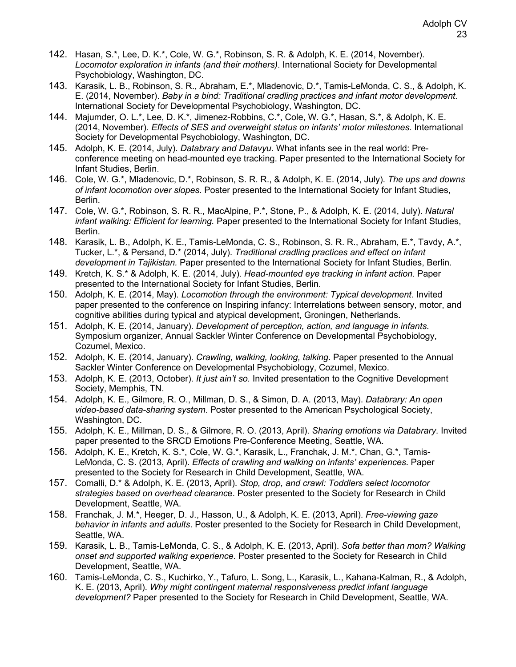- 142. Hasan, S.\*, Lee, D. K.\*, Cole, W. G.\*, Robinson, S. R. & Adolph, K. E. (2014, November). *Locomotor exploration in infants (and their mothers)*. International Society for Developmental Psychobiology, Washington, DC.
- 143. Karasik, L. B., Robinson, S. R., Abraham, E.\*, Mladenovic, D.\*, Tamis-LeMonda, C. S., & Adolph, K. E. (2014, November). *Baby in a bind: Traditional cradling practices and infant motor development*. International Society for Developmental Psychobiology, Washington, DC.
- 144. Majumder, O. L.\*, Lee, D. K.\*, Jimenez-Robbins, C.\*, Cole, W. G.\*, Hasan, S.\*, & Adolph, K. E. (2014, November). *Effects of SES and overweight status on infants' motor milestones*. International Society for Developmental Psychobiology, Washington, DC.
- 145. Adolph, K. E. (2014, July). *Databrary and Datavyu.* What infants see in the real world: Preconference meeting on head-mounted eye tracking. Paper presented to the International Society for Infant Studies, Berlin.
- 146. Cole, W. G.\*, Mladenovic, D.\*, Robinson, S. R. R., & Adolph, K. E. (2014, July). *The ups and downs of infant locomotion over slopes.* Poster presented to the International Society for Infant Studies, Berlin.
- 147. Cole, W. G.\*, Robinson, S. R. R., MacAlpine, P.\*, Stone, P., & Adolph, K. E. (2014, July). *Natural infant walking: Efficient for learning.* Paper presented to the International Society for Infant Studies, Berlin.
- 148. Karasik, L. B., Adolph, K. E., Tamis-LeMonda, C. S., Robinson, S. R. R., Abraham, E.\*, Tavdy, A.\*, Tucker, L.\*, & Persand, D.\* (2014, July). *Traditional cradling practices and effect on infant development in Tajikistan.* Paper presented to the International Society for Infant Studies, Berlin.
- 149. Kretch, K. S.\* & Adolph, K. E. (2014, July). *Head-mounted eye tracking in infant action*. Paper presented to the International Society for Infant Studies, Berlin.
- 150. Adolph, K. E. (2014, May). *Locomotion through the environment: Typical development*. Invited paper presented to the conference on Inspiring infancy: Interrelations between sensory, motor, and cognitive abilities during typical and atypical development, Groningen, Netherlands.
- 151. Adolph, K. E. (2014, January). *Development of perception, action, and language in infants*. Symposium organizer, Annual Sackler Winter Conference on Developmental Psychobiology, Cozumel, Mexico.
- 152. Adolph, K. E. (2014, January). *Crawling, walking, looking, talking*. Paper presented to the Annual Sackler Winter Conference on Developmental Psychobiology, Cozumel, Mexico.
- 153. Adolph, K. E. (2013, October). *It just ain't so.* Invited presentation to the Cognitive Development Society, Memphis, TN.
- 154. Adolph, K. E., Gilmore, R. O., Millman, D. S., & Simon, D. A. (2013, May). *Databrary: An open video-based data-sharing system*. Poster presented to the American Psychological Society, Washington, DC.
- 155. Adolph, K. E., Millman, D. S., & Gilmore, R. O. (2013, April). *Sharing emotions via Databrary*. Invited paper presented to the SRCD Emotions Pre-Conference Meeting, Seattle, WA.
- 156. Adolph, K. E., Kretch, K. S.\*, Cole, W. G.\*, Karasik, L., Franchak, J. M.\*, Chan, G.\*, Tamis-LeMonda, C. S. (2013, April). *Effects of crawling and walking on infants' experiences*. Paper presented to the Society for Research in Child Development, Seattle, WA.
- 157. Comalli, D.\* & Adolph, K. E. (2013, April). *Stop, drop, and crawl: Toddlers select locomotor strategies based on overhead clearanc*e. Poster presented to the Society for Research in Child Development, Seattle, WA.
- 158. Franchak, J. M.\*, Heeger, D. J., Hasson, U., & Adolph, K. E. (2013, April). *Free-viewing gaze behavior in infants and adults*. Poster presented to the Society for Research in Child Development, Seattle, WA.
- 159. Karasik, L. B., Tamis-LeMonda, C. S., & Adolph, K. E. (2013, April). *Sofa better than mom? Walking onset and supported walking experience*. Poster presented to the Society for Research in Child Development, Seattle, WA.
- 160. Tamis-LeMonda, C. S., Kuchirko, Y., Tafuro, L. Song, L., Karasik, L., Kahana-Kalman, R., & Adolph, K. E. (2013, April). *Why might contingent maternal responsiveness predict infant language development?* Paper presented to the Society for Research in Child Development, Seattle, WA.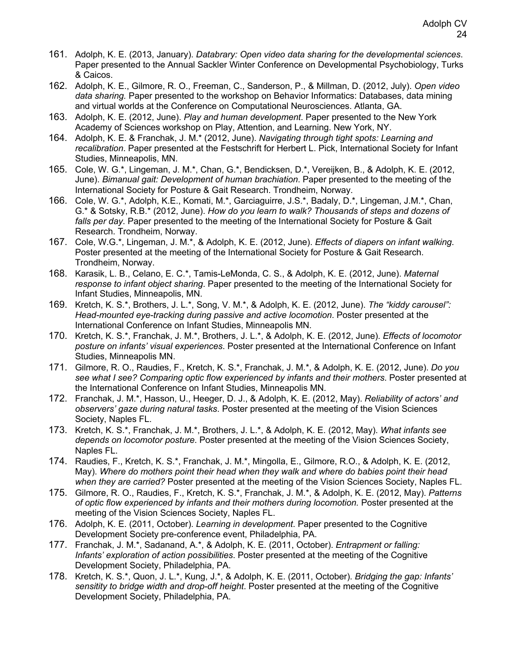- 161. Adolph, K. E. (2013, January). *Databrary: Open video data sharing for the developmental sciences*. Paper presented to the Annual Sackler Winter Conference on Developmental Psychobiology, Turks & Caicos.
- 162. Adolph, K. E., Gilmore, R. O., Freeman, C., Sanderson, P., & Millman, D. (2012, July). *Open video data sharing.* Paper presented to the workshop on Behavior Informatics: Databases, data mining and virtual worlds at the Conference on Computational Neurosciences. Atlanta, GA.
- 163. Adolph, K. E. (2012, June). *Play and human development*. Paper presented to the New York Academy of Sciences workshop on Play, Attention, and Learning. New York, NY.
- 164. Adolph, K. E. & Franchak, J. M.\* (2012, June). *Navigating through tight spots: Learning and recalibration*. Paper presented at the Festschrift for Herbert L. Pick, International Society for Infant Studies, Minneapolis, MN.
- 165. Cole, W. G.\*, Lingeman, J. M.\*, Chan, G.\*, Bendicksen, D.\*, Vereijken, B., & Adolph, K. E. (2012, June). *Bimanual gait: Development of human brachiation*. Paper presented to the meeting of the International Society for Posture & Gait Research. Trondheim, Norway.
- 166. Cole, W. G.\*, Adolph, K.E., Komati, M.\*, Garciaguirre, J.S.\*, Badaly, D.\*, Lingeman, J.M.\*, Chan, G.\* & Sotsky, R.B.\* (2012, June). *How do you learn to walk? Thousands of steps and dozens of falls per day*. Paper presented to the meeting of the International Society for Posture & Gait Research. Trondheim, Norway.
- 167. Cole, W.G.\*, Lingeman, J. M.\*, & Adolph, K. E. (2012, June). *Effects of diapers on infant walking*. Poster presented at the meeting of the International Society for Posture & Gait Research. Trondheim, Norway.
- 168. Karasik, L. B., Celano, E. C.\*, Tamis-LeMonda, C. S., & Adolph, K. E. (2012, June). *Maternal response to infant object sharing*. Paper presented to the meeting of the International Society for Infant Studies, Minneapolis, MN.
- 169. Kretch, K. S.\*, Brothers, J. L.\*, Song, V. M.\*, & Adolph, K. E. (2012, June). *The "kiddy carousel": Head-mounted eye-tracking during passive and active locomotion*. Poster presented at the International Conference on Infant Studies, Minneapolis MN.
- 170. Kretch, K. S.\*, Franchak, J. M.\*, Brothers, J. L.\*, & Adolph, K. E. (2012, June). *Effects of locomotor posture on infants' visual experiences*. Poster presented at the International Conference on Infant Studies, Minneapolis MN.
- 171. Gilmore, R. O., Raudies, F., Kretch, K. S.\*, Franchak, J. M.\*, & Adolph, K. E. (2012, June). *Do you see what I see? Comparing optic flow experienced by infants and their mothers*. Poster presented at the International Conference on Infant Studies, Minneapolis MN.
- 172. Franchak, J. M.\*, Hasson, U., Heeger, D. J., & Adolph, K. E. (2012, May). *Reliability of actors' and observers' gaze during natural tasks*. Poster presented at the meeting of the Vision Sciences Society, Naples FL.
- 173. Kretch, K. S.\*, Franchak, J. M.\*, Brothers, J. L.\*, & Adolph, K. E. (2012, May). *What infants see depends on locomotor posture*. Poster presented at the meeting of the Vision Sciences Society, Naples FL.
- 174. Raudies, F., Kretch, K. S.\*, Franchak, J. M.\*, Mingolla, E., Gilmore, R.O., & Adolph, K. E. (2012, May). *Where do mothers point their head when they walk and where do babies point their head when they are carried?* Poster presented at the meeting of the Vision Sciences Society, Naples FL.
- 175. Gilmore, R. O., Raudies, F., Kretch, K. S.\*, Franchak, J. M.\*, & Adolph, K. E. (2012, May). *Patterns of optic flow experienced by infants and their mothers during locomotion.* Poster presented at the meeting of the Vision Sciences Society, Naples FL.
- 176. Adolph, K. E. (2011, October). *Learning in development*. Paper presented to the Cognitive Development Society pre-conference event, Philadelphia, PA.
- 177. Franchak, J. M.\*, Sadanand, A.\*, & Adolph, K. E. (2011, October). *Entrapment or falling: Infants' exploration of action possibilities*. Poster presented at the meeting of the Cognitive Development Society, Philadelphia, PA.
- 178. Kretch, K. S.\*, Quon, J. L.\*, Kung, J.\*, & Adolph, K. E. (2011, October). *Bridging the gap: Infants' sensitity to bridge width and drop-off height*. Poster presented at the meeting of the Cognitive Development Society, Philadelphia, PA.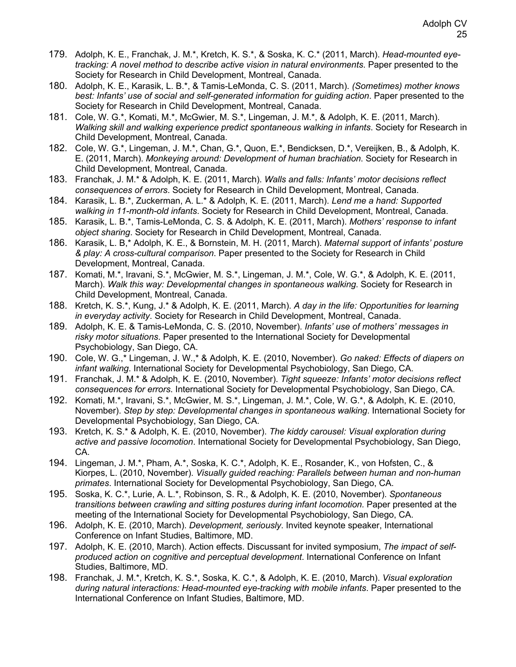- 179. Adolph, K. E., Franchak, J. M.\*, Kretch, K. S.\*, & Soska, K. C.\* (2011, March). *Head-mounted eyetracking: A novel method to describe active vision in natural environments*. Paper presented to the Society for Research in Child Development, Montreal, Canada.
- 180. Adolph, K. E., Karasik, L. B.\*, & Tamis-LeMonda, C. S. (2011, March). *(Sometimes) mother knows best: Infants' use of social and self-generated information for guiding action*. Paper presented to the Society for Research in Child Development, Montreal, Canada.
- 181. Cole, W. G.\*, Komati, M.\*, McGwier, M. S.\*, Lingeman, J. M.\*, & Adolph, K. E. (2011, March). *Walking skill and walking experience predict spontaneous walking in infants*. Society for Research in Child Development, Montreal, Canada.
- 182. Cole, W. G.\*, Lingeman, J. M.\*, Chan, G.\*, Quon, E.\*, Bendicksen, D.\*, Vereijken, B., & Adolph, K. E. (2011, March). *Monkeying around: Development of human brachiation*. Society for Research in Child Development, Montreal, Canada.
- 183. Franchak, J. M.\* & Adolph, K. E. (2011, March). *Walls and falls: Infants' motor decisions reflect consequences of errors*. Society for Research in Child Development, Montreal, Canada.
- 184. Karasik, L. B.\*, Zuckerman, A. L.\* & Adolph, K. E. (2011, March). *Lend me a hand: Supported walking in 11-month-old infants*. Society for Research in Child Development, Montreal, Canada.
- 185. Karasik, L. B.\*, Tamis-LeMonda, C. S. & Adolph, K. E. (2011, March). *Mothers' response to infant object sharing*. Society for Research in Child Development, Montreal, Canada.
- 186. Karasik, L. B,\* Adolph, K. E., & Bornstein, M. H. (2011, March). *Maternal support of infants' posture & play: A cross-cultural comparison*. Paper presented to the Society for Research in Child Development, Montreal, Canada.
- 187. Komati, M.\*, Iravani, S.\*, McGwier, M. S.\*, Lingeman, J. M.\*, Cole, W. G.\*, & Adolph, K. E. (2011, March). *Walk this way: Developmental changes in spontaneous walking*. Society for Research in Child Development, Montreal, Canada.
- 188. Kretch, K. S.\*, Kung, J.\* & Adolph, K. E. (2011, March). *A day in the life: Opportunities for learning in everyday activity*. Society for Research in Child Development, Montreal, Canada.
- 189. Adolph, K. E. & Tamis-LeMonda, C. S. (2010, November). *Infants' use of mothers' messages in risky motor situations*. Paper presented to the International Society for Developmental Psychobiology, San Diego, CA.
- 190. Cole, W. G.,\* Lingeman, J. W.,\* & Adolph, K. E. (2010, November). *Go naked: Effects of diapers on infant walking*. International Society for Developmental Psychobiology, San Diego, CA.
- 191. Franchak, J. M.\* & Adolph, K. E. (2010, November). *Tight squeeze: Infants' motor decisions reflect consequences for errors*. International Society for Developmental Psychobiology, San Diego, CA.
- 192. Komati, M.\*, Iravani, S.\*, McGwier, M. S.\*, Lingeman, J. M.\*, Cole, W. G.\*, & Adolph, K. E. (2010, November). *Step by step: Developmental changes in spontaneous walking*. International Society for Developmental Psychobiology, San Diego, CA.
- 193. Kretch, K. S.\* & Adolph, K. E. (2010, November). *The kiddy carousel: Visual exploration during active and passive locomotion*. International Society for Developmental Psychobiology, San Diego, CA.
- 194. Lingeman, J. M.\*, Pham, A.\*, Soska, K. C.\*, Adolph, K. E., Rosander, K., von Hofsten, C., & Kiorpes, L. (2010, November). *Visually guided reaching: Parallels between human and non-human primates*. International Society for Developmental Psychobiology, San Diego, CA.
- 195. Soska, K. C.\*, Lurie, A. L.\*, Robinson, S. R., & Adolph, K. E. (2010, November). *Spontaneous transitions between crawling and sitting postures during infant locomotion.* Paper presented at the meeting of the International Society for Developmental Psychobiology, San Diego, CA.
- 196. Adolph, K. E. (2010, March). *Development, seriously*. Invited keynote speaker, International Conference on Infant Studies, Baltimore, MD.
- 197. Adolph, K. E. (2010, March). Action effects. Discussant for invited symposium, *The impact of selfproduced action on cognitive and perceptual development*. International Conference on Infant Studies, Baltimore, MD.
- 198. Franchak, J. M.\*, Kretch, K. S.\*, Soska, K. C.\*, & Adolph, K. E. (2010, March). *Visual exploration during natural interactions: Head-mounted eye-tracking with mobile infants*. Paper presented to the International Conference on Infant Studies, Baltimore, MD.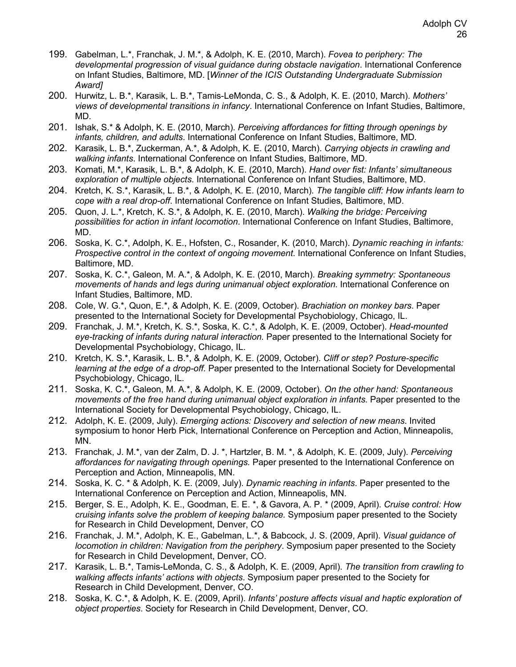- 199. Gabelman, L.\*, Franchak, J. M.\*, & Adolph, K. E. (2010, March). *Fovea to periphery: The developmental progression of visual guidance during obstacle navigation*. International Conference on Infant Studies, Baltimore, MD. [*Winner of the ICIS Outstanding Undergraduate Submission Award]*
- 200. Hurwitz, L. B.\*, Karasik, L. B.\*, Tamis-LeMonda, C. S., & Adolph, K. E. (2010, March). *Mothers' views of developmental transitions in infancy*. International Conference on Infant Studies, Baltimore, MD.
- 201. Ishak, S.\* & Adolph, K. E. (2010, March). *Perceiving affordances for fitting through openings by infants, children, and adults*. International Conference on Infant Studies, Baltimore, MD.
- 202. Karasik, L. B.\*, Zuckerman, A.\*, & Adolph, K. E. (2010, March). *Carrying objects in crawling and walking infants*. International Conference on Infant Studies, Baltimore, MD.
- 203. Komati, M.\*, Karasik, L. B.\*, & Adolph, K. E. (2010, March). *Hand over fist: Infants' simultaneous exploration of multiple objects*. International Conference on Infant Studies, Baltimore, MD.
- 204. Kretch, K. S.\*, Karasik, L. B.\*, & Adolph, K. E. (2010, March). *The tangible cliff: How infants learn to cope with a real drop-off*. International Conference on Infant Studies, Baltimore, MD.
- 205. Quon, J. L.\*, Kretch, K. S.\*, & Adolph, K. E. (2010, March). *Walking the bridge: Perceiving possibilities for action in infant locomotion*. International Conference on Infant Studies, Baltimore, MD.
- 206. Soska, K. C.\*, Adolph, K. E., Hofsten, C., Rosander, K. (2010, March). *Dynamic reaching in infants: Prospective control in the context of ongoing movement*. International Conference on Infant Studies, Baltimore, MD.
- 207. Soska, K. C.\*, Galeon, M. A.\*, & Adolph, K. E. (2010, March). *Breaking symmetry: Spontaneous movements of hands and legs during unimanual object exploration*. International Conference on Infant Studies, Baltimore, MD.
- 208. Cole, W. G.\*, Quon, E.\*, & Adolph, K. E. (2009, October). *Brachiation on monkey bars*. Paper presented to the International Society for Developmental Psychobiology, Chicago, IL.
- 209. Franchak, J. M.\*, Kretch, K. S.\*, Soska, K. C.\*, & Adolph, K. E. (2009, October). *Head-mounted eye-tracking of infants during natural interaction.* Paper presented to the International Society for Developmental Psychobiology, Chicago, IL.
- 210. Kretch, K. S.\*, Karasik, L. B.\*, & Adolph, K. E. (2009, October). *Cliff or step? Posture-specific learning at the edge of a drop-off.* Paper presented to the International Society for Developmental Psychobiology, Chicago, IL.
- 211. Soska, K. C.\*, Galeon, M. A.\*, & Adolph, K. E. (2009, October). *On the other hand: Spontaneous movements of the free hand during unimanual object exploration in infants*. Paper presented to the International Society for Developmental Psychobiology, Chicago, IL.
- 212. Adolph, K. E. (2009, July). *Emerging actions: Discovery and selection of new means*. Invited symposium to honor Herb Pick, International Conference on Perception and Action, Minneapolis, MN.
- 213. Franchak, J. M.\*, van der Zalm, D. J. \*, Hartzler, B. M. \*, & Adolph, K. E. (2009, July). *Perceiving affordances for navigating through openings.* Paper presented to the International Conference on Perception and Action, Minneapolis, MN.
- 214. Soska, K. C. \* & Adolph, K. E. (2009, July). *Dynamic reaching in infants*. Paper presented to the International Conference on Perception and Action, Minneapolis, MN.
- 215. Berger, S. E., Adolph, K. E., Goodman, E. E. \*, & Gavora, A. P. \* (2009, April). *Cruise control: How cruising infants solve the problem of keeping balance.* Symposium paper presented to the Society for Research in Child Development, Denver, CO
- 216. Franchak, J. M.\*, Adolph, K. E., Gabelman, L.\*, & Babcock, J. S. (2009, April). *Visual guidance of locomotion in children: Navigation from the periphery*. Symposium paper presented to the Society for Research in Child Development, Denver, CO.
- 217. Karasik, L. B.\*, Tamis-LeMonda, C. S., & Adolph, K. E. (2009, April). *The transition from crawling to walking affects infants' actions with objects*. Symposium paper presented to the Society for Research in Child Development, Denver, CO.
- 218. Soska, K. C.\*, & Adolph, K. E. (2009, April). *Infants' posture affects visual and haptic exploration of object properties*. Society for Research in Child Development, Denver, CO.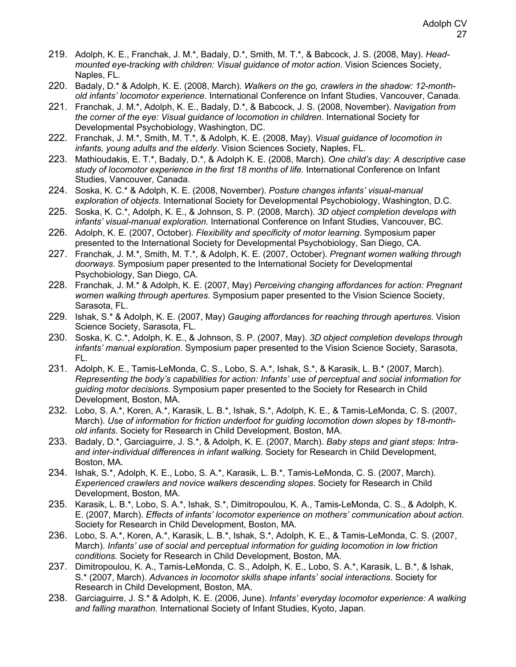- 219. Adolph, K. E., Franchak, J. M.\*, Badaly, D.\*, Smith, M. T.\*, & Babcock, J. S. (2008, May). *Headmounted eye-tracking with children: Visual guidance of motor action*. Vision Sciences Society, Naples, FL.
- 220. Badaly, D.\* & Adolph, K. E. (2008, March). *Walkers on the go, crawlers in the shadow: 12-monthold infants' locomotor experience*. International Conference on Infant Studies, Vancouver, Canada.
- 221. Franchak, J. M.\*, Adolph, K. E., Badaly, D.\*, & Babcock, J. S. (2008, November). *Navigation from the corner of the eye: Visual guidance of locomotion in children*. International Society for Developmental Psychobiology, Washington, DC.
- 222. Franchak, J. M.\*, Smith, M. T.\*, & Adolph, K. E. (2008, May). *Visual guidance of locomotion in infants, young adults and the elderly*. Vision Sciences Society, Naples, FL.
- 223. Mathioudakis, E. T.\*, Badaly, D.\*, & Adolph K. E. (2008, March). *One child's day: A descriptive case study of locomotor experience in the first 18 months of life.* International Conference on Infant Studies, Vancouver, Canada.
- 224. Soska, K. C.\* & Adolph, K. E. (2008, November). *Posture changes infants' visual-manual exploration of objects*. International Society for Developmental Psychobiology, Washington, D.C.
- 225. Soska, K. C.\*, Adolph, K. E., & Johnson, S. P. (2008, March). *3D object completion develops with infants' visual-manual exploration*. International Conference on Infant Studies, Vancouver, BC.
- 226. Adolph, K. E. (2007, October). *Flexibility and specificity of motor learning*. Symposium paper presented to the International Society for Developmental Psychobiology, San Diego, CA.
- 227. Franchak, J. M.\*, Smith, M. T.\*, & Adolph, K. E. (2007, October). *Pregnant women walking through doorways*. Symposium paper presented to the International Society for Developmental Psychobiology, San Diego, CA.
- 228. Franchak, J. M.\* & Adolph, K. E. (2007, May) *Perceiving changing affordances for action: Pregnant women walking through apertures*. Symposium paper presented to the Vision Science Society, Sarasota, FL.
- 229. Ishak, S.\* & Adolph, K. E. (2007, May) *Gauging affordances for reaching through apertures*. Vision Science Society, Sarasota, FL.
- 230. Soska, K. C.\*, Adolph, K. E., & Johnson, S. P. (2007, May). *3D object completion develops through infants' manual exploration.* Symposium paper presented to the Vision Science Society, Sarasota, FL.
- 231. Adolph, K. E., Tamis-LeMonda, C. S., Lobo, S. A.\*, Ishak, S.\*, & Karasik, L. B.\* (2007, March). *Representing the body's capabilities for action: Infants' use of perceptual and social information for guiding motor decisions*. Symposium paper presented to the Society for Research in Child Development, Boston, MA.
- 232. Lobo, S. A.\*, Koren, A.\*, Karasik, L. B.\*, Ishak, S.\*, Adolph, K. E., & Tamis-LeMonda, C. S. (2007, March). *Use of information for friction underfoot for guiding locomotion down slopes by 18-monthold infants.* Society for Research in Child Development, Boston, MA.
- 233. Badaly, D.\*, Garciaguirre, J. S.\*, & Adolph, K. E. (2007, March). *Baby steps and giant steps: Intraand inter-individual differences in infant walking.* Society for Research in Child Development, Boston, MA.
- 234. Ishak, S.\*, Adolph, K. E., Lobo, S. A.\*, Karasik, L. B.\*, Tamis-LeMonda, C. S. (2007, March). *Experienced crawlers and novice walkers descending slopes*. Society for Research in Child Development, Boston, MA.
- 235. Karasik, L. B.\*, Lobo, S. A.\*, Ishak, S.\*, Dimitropoulou, K. A., Tamis-LeMonda, C. S., & Adolph, K. E. (2007, March). *Effects of infants' locomotor experience on mothers' communication about action.* Society for Research in Child Development, Boston, MA.
- 236. Lobo, S. A.\*, Koren, A.\*, Karasik, L. B.\*, Ishak, S.\*, Adolph, K. E., & Tamis-LeMonda, C. S. (2007, March). *Infants' use of social and perceptual information for guiding locomotion in low friction conditions.* Society for Research in Child Development, Boston, MA.
- 237. Dimitropoulou, K. A., Tamis-LeMonda, C. S., Adolph, K. E., Lobo, S. A.\*, Karasik, L. B.\*, & Ishak, S.\* (2007, March). *Advances in locomotor skills shape infants' social interactions*. Society for Research in Child Development, Boston, MA.
- 238. Garciaguirre, J. S.\* & Adolph, K. E. (2006, June). *Infants' everyday locomotor experience: A walking and falling marathon.* International Society of Infant Studies, Kyoto, Japan.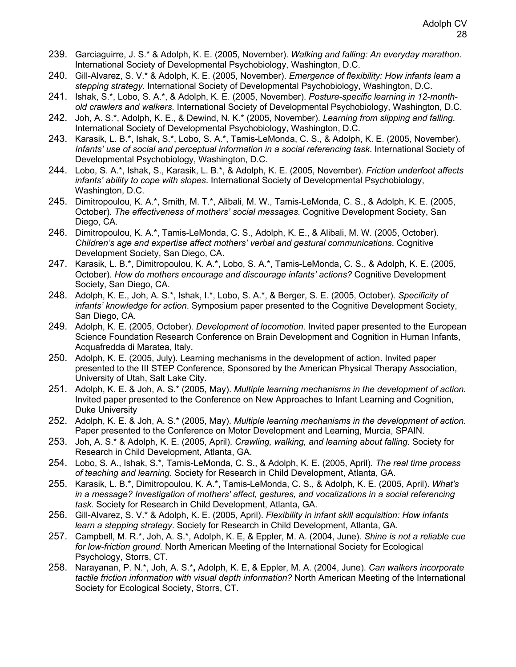- 239. Garciaguirre, J. S.\* & Adolph, K. E. (2005, November). *Walking and falling: An everyday marathon*. International Society of Developmental Psychobiology, Washington, D.C.
- 240. Gill-Alvarez, S. V.\* & Adolph, K. E. (2005, November). *Emergence of flexibility: How infants learn a stepping strategy*. International Society of Developmental Psychobiology, Washington, D.C.
- 241. Ishak, S.\*, Lobo, S. A.\*, & Adolph, K. E. (2005, November). *Posture-specific learning in 12-monthold crawlers and walkers*. International Society of Developmental Psychobiology, Washington, D.C.
- 242. Joh, A. S.\*, Adolph, K. E., & Dewind, N. K.\* (2005, November). *Learning from slipping and falling*. International Society of Developmental Psychobiology, Washington, D.C.
- 243. Karasik, L. B.\*, Ishak, S.\*, Lobo, S. A.\*, Tamis-LeMonda, C. S., & Adolph, K. E. (2005, November). *Infants' use of social and perceptual information in a social referencing task*. International Society of Developmental Psychobiology, Washington, D.C.
- 244. Lobo, S. A.\*, Ishak, S., Karasik, L. B.\*, & Adolph, K. E. (2005, November). *Friction underfoot affects infants' ability to cope with slopes*. International Society of Developmental Psychobiology, Washington, D.C.
- 245. Dimitropoulou, K. A.\*, Smith, M. T.\*, Alibali, M. W., Tamis-LeMonda, C. S., & Adolph, K. E. (2005, October). *The effectiveness of mothers' social messages*. Cognitive Development Society, San Diego, CA.
- 246. Dimitropoulou, K. A.\*, Tamis-LeMonda, C. S., Adolph, K. E., & Alibali, M. W. (2005, October). *Children's age and expertise affect mothers' verbal and gestural communications*. Cognitive Development Society, San Diego, CA.
- 247. Karasik, L. B.\*, Dimitropoulou, K. A.\*, Lobo, S. A.\*, Tamis-LeMonda, C. S., & Adolph, K. E. (2005, October). *How do mothers encourage and discourage infants' actions?* Cognitive Development Society, San Diego, CA.
- 248. Adolph, K. E., Joh, A. S.\*, Ishak, I.\*, Lobo, S. A.\*, & Berger, S. E. (2005, October). *Specificity of infants' knowledge for action*. Symposium paper presented to the Cognitive Development Society, San Diego, CA.
- 249. Adolph, K. E. (2005, October). *Development of locomotion*. Invited paper presented to the European Science Foundation Research Conference on Brain Development and Cognition in Human Infants, Acquafredda di Maratea, Italy.
- 250. Adolph, K. E. (2005, July). Learning mechanisms in the development of action. Invited paper presented to the III STEP Conference, Sponsored by the American Physical Therapy Association, University of Utah, Salt Lake City.
- 251. Adolph, K. E. & Joh, A. S.\* (2005, May). *Multiple learning mechanisms in the development of action*. Invited paper presented to the Conference on New Approaches to Infant Learning and Cognition, Duke University
- 252. Adolph, K. E. & Joh, A. S.\* (2005, May). *Multiple learning mechanisms in the development of action*. Paper presented to the Conference on Motor Development and Learning, Murcia, SPAIN.
- 253. Joh, A. S.\* & Adolph, K. E. (2005, April). *Crawling, walking, and learning about falling.* Society for Research in Child Development, Atlanta, GA.
- 254. Lobo, S. A., Ishak, S.\*, Tamis-LeMonda, C. S., & Adolph, K. E. (2005, April). *The real time process of teaching and learning*. Society for Research in Child Development, Atlanta, GA.
- 255. Karasik, L. B.\*, Dimitropoulou, K. A.\*, Tamis-LeMonda, C. S., & Adolph, K. E. (2005, April). *What's in a message? Investigation of mothers' affect, gestures, and vocalizations in a social referencing task.* Society for Research in Child Development, Atlanta, GA.
- 256. Gill-Alvarez, S. V.\* & Adolph, K. E. (2005, April). *Flexibility in infant skill acquisition: How infants learn a stepping strategy*. Society for Research in Child Development, Atlanta, GA.
- 257. Campbell, M. R.\*, Joh, A. S.\*, Adolph, K. E, & Eppler, M. A. (2004, June). *Shine is not a reliable cue for low-friction ground.* North American Meeting of the International Society for Ecological Psychology, Storrs, CT.
- 258. Narayanan, P. N.\*, Joh, A. S.\***,** Adolph, K. E, & Eppler, M. A. (2004, June). *Can walkers incorporate tactile friction information with visual depth information?* North American Meeting of the International Society for Ecological Society, Storrs, CT.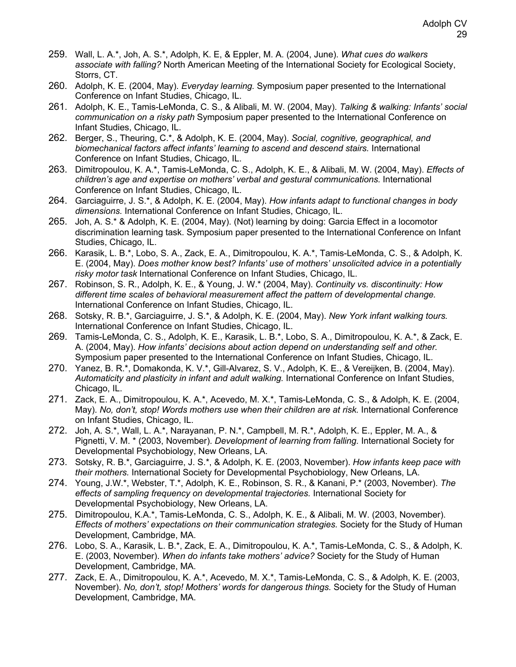- 259. Wall, L. A.\*, Joh, A. S.\*, Adolph, K. E, & Eppler, M. A. (2004, June). *What cues do walkers associate with falling?* North American Meeting of the International Society for Ecological Society, Storrs, CT.
- 260. Adolph, K. E. (2004, May). *Everyday learning.* Symposium paper presented to the International Conference on Infant Studies, Chicago, IL.
- 261. Adolph, K. E., Tamis-LeMonda, C. S., & Alibali, M. W. (2004, May). *Talking & walking: Infants' social communication on a risky path* Symposium paper presented to the International Conference on Infant Studies, Chicago, IL.
- 262. Berger, S., Theuring, C.\*, & Adolph, K. E. (2004, May). *Social, cognitive, geographical, and biomechanical factors affect infants' learning to ascend and descend stairs.* International Conference on Infant Studies, Chicago, IL.
- 263. Dimitropoulou, K. A.\*, Tamis-LeMonda, C. S., Adolph, K. E., & Alibali, M. W. (2004, May). *Effects of children's age and expertise on mothers' verbal and gestural communications.* International Conference on Infant Studies, Chicago, IL.
- 264. Garciaguirre, J. S.\*, & Adolph, K. E. (2004, May). *How infants adapt to functional changes in body dimensions.* International Conference on Infant Studies, Chicago, IL.
- 265. Joh, A. S.\* & Adolph, K. E. (2004, May). (Not) learning by doing: Garcia Effect in a locomotor discrimination learning task. Symposium paper presented to the International Conference on Infant Studies, Chicago, IL.
- 266. Karasik, L. B.\*, Lobo, S. A., Zack, E. A., Dimitropoulou, K. A.\*, Tamis-LeMonda, C. S., & Adolph, K. E. (2004, May). *Does mother know best? Infants' use of mothers' unsolicited advice in a potentially risky motor task* International Conference on Infant Studies, Chicago, IL.
- 267. Robinson, S. R., Adolph, K. E., & Young, J. W.\* (2004, May). *Continuity vs. discontinuity: How different time scales of behavioral measurement affect the pattern of developmental change.*  International Conference on Infant Studies, Chicago, IL.
- 268. Sotsky, R. B.\*, Garciaguirre, J. S.\*, & Adolph, K. E. (2004, May). *New York infant walking tours.*  International Conference on Infant Studies, Chicago, IL.
- 269. Tamis-LeMonda, C. S., Adolph, K. E., Karasik, L. B.\*, Lobo, S. A., Dimitropoulou, K. A.\*, & Zack, E. A. (2004, May). *How infants' decisions about action depend on understanding self and other.*  Symposium paper presented to the International Conference on Infant Studies, Chicago, IL.
- 270. Yanez, B. R.\*, Domakonda, K. V.\*, Gill-Alvarez, S. V., Adolph, K. E., & Vereijken, B. (2004, May). *Automaticity and plasticity in infant and adult walking.* International Conference on Infant Studies, Chicago, IL.
- 271. Zack, E. A., Dimitropoulou, K. A.\*, Acevedo, M. X.\*, Tamis-LeMonda, C. S., & Adolph, K. E. (2004, May). *No, don't, stop! Words mothers use when their children are at risk.* International Conference on Infant Studies, Chicago, IL.
- 272. Joh, A. S.\*, Wall, L. A.\*, Narayanan, P. N.\*, Campbell, M. R.\*, Adolph, K. E., Eppler, M. A., & Pignetti, V. M. \* (2003, November). *Development of learning from falling.* International Society for Developmental Psychobiology, New Orleans, LA.
- 273. Sotsky, R. B.\*, Garciaguirre, J. S.\*, & Adolph, K. E. (2003, November). *How infants keep pace with their mothers.* International Society for Developmental Psychobiology, New Orleans, LA.
- 274. Young, J.W.\*, Webster, T.\*, Adolph, K. E., Robinson, S. R., & Kanani, P.\* (2003, November). *The effects of sampling frequency on developmental trajectories.* International Society for Developmental Psychobiology, New Orleans, LA.
- 275. Dimitropoulou, K.A.\*, Tamis-LeMonda, C. S., Adolph, K. E., & Alibali, M. W. (2003, November). *Effects of mothers' expectations on their communication strategies.* Society for the Study of Human Development, Cambridge, MA.
- 276. Lobo, S. A., Karasik, L. B.\*, Zack, E. A., Dimitropoulou, K. A.\*, Tamis-LeMonda, C. S., & Adolph, K. E. (2003, November). *When do infants take mothers' advice?* Society for the Study of Human Development, Cambridge, MA.
- 277. Zack, E. A., Dimitropoulou, K. A.\*, Acevedo, M. X.\*, Tamis-LeMonda, C. S., & Adolph, K. E. (2003, November). *No, don't, stop! Mothers' words for dangerous things.* Society for the Study of Human Development, Cambridge, MA.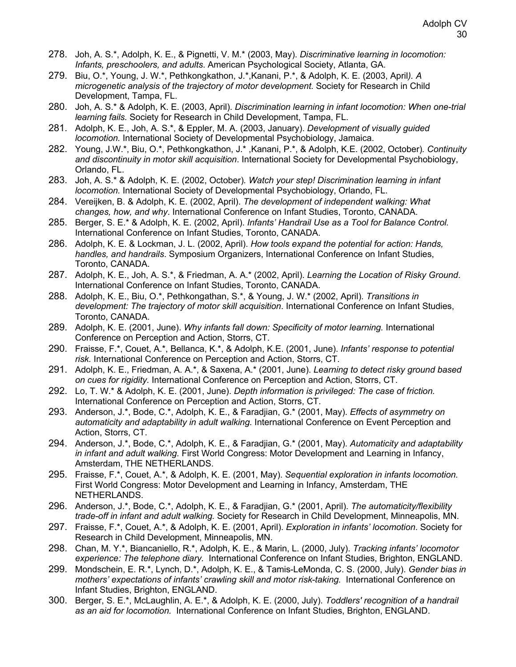- 278. Joh, A. S.\*, Adolph, K. E., & Pignetti, V. M.\* (2003, May). *Discriminative learning in locomotion: Infants, preschoolers, and adults*. American Psychological Society, Atlanta, GA.
- 279. Biu, O.\*, Young, J. W.\*, Pethkongkathon, J.\*,Kanani, P.\*, & Adolph, K. E. (2003, April*). A microgenetic analysis of the trajectory of motor development.* Society for Research in Child Development, Tampa, FL.
- 280. Joh, A. S.\* & Adolph, K. E. (2003, April). *Discrimination learning in infant locomotion: When one-trial learning fails.* Society for Research in Child Development, Tampa, FL.
- 281. Adolph, K. E., Joh, A. S.\*, & Eppler, M. A. (2003, January). *Development of visually guided locomotion.* International Society of Developmental Psychobiology, Jamaica.
- 282. Young, J.W.\*, Biu, O.\*, Pethkongkathon, J.\* ,Kanani, P.\*, & Adolph, K.E. (2002, October)*. Continuity and discontinuity in motor skill acquisition*. International Society for Developmental Psychobiology, Orlando, FL.
- 283. Joh, A. S.\* & Adolph, K. E. (2002, October)*. Watch your step! Discrimination learning in infant locomotion.* International Society of Developmental Psychobiology, Orlando, FL.
- 284. Vereijken, B. & Adolph, K. E. (2002, April). *The development of independent walking: What changes, how, and why*. International Conference on Infant Studies, Toronto, CANADA.
- 285. Berger, S. E.\* & Adolph, K. E. (2002, April). *Infants' Handrail Use as a Tool for Balance Control.* International Conference on Infant Studies, Toronto, CANADA.
- 286. Adolph, K. E. & Lockman, J. L. (2002, April). *How tools expand the potential for action: Hands, handles, and handrails*. Symposium Organizers, International Conference on Infant Studies, Toronto, CANADA.
- 287. Adolph, K. E., Joh, A. S.\*, & Friedman, A. A.\* (2002, April). *Learning the Location of Risky Ground*. International Conference on Infant Studies, Toronto, CANADA.
- 288. Adolph, K. E., Biu, O.\*, Pethkongathan, S.\*, & Young, J. W.\* (2002, April). *Transitions in development: The trajectory of motor skill acquisition*. International Conference on Infant Studies, Toronto, CANADA.
- 289. Adolph, K. E. (2001, June). *Why infants fall down: Specificity of motor learning.* International Conference on Perception and Action, Storrs, CT.
- 290. Fraisse, F.\*, Couet, A.\*, Bellanca, K.\*, & Adolph, K.E. (2001, June). *Infants' response to potential risk.* International Conference on Perception and Action, Storrs, CT.
- 291. Adolph, K. E., Friedman, A. A.\*, & Saxena, A.\* (2001, June). *Learning to detect risky ground based on cues for rigidity.* International Conference on Perception and Action, Storrs, CT.
- 292. Lo, T. W.\* & Adolph, K. E. (2001, June). *Depth information is privileged: The case of friction.*  International Conference on Perception and Action, Storrs, CT.
- 293. Anderson, J.\*, Bode, C.\*, Adolph, K. E., & Faradjian, G.\* (2001, May). *Effects of asymmetry on automaticity and adaptability in adult walking.* International Conference on Event Perception and Action, Storrs, CT.
- 294. Anderson, J.\*, Bode, C.\*, Adolph, K. E., & Faradjian, G.\* (2001, May). *Automaticity and adaptability in infant and adult walking.* First World Congress: Motor Development and Learning in Infancy, Amsterdam, THE NETHERLANDS.
- 295. Fraisse, F.\*, Couet, A.\*, & Adolph, K. E. (2001, May). *Sequential exploration in infants locomotion.*  First World Congress: Motor Development and Learning in Infancy, Amsterdam, THE NETHERLANDS.
- 296. Anderson, J.\*, Bode, C.\*, Adolph, K. E., & Faradjian, G.\* (2001, April). *The automaticity/flexibility trade-off in infant and adult walking.* Society for Research in Child Development, Minneapolis, MN.
- 297. Fraisse, F.\*, Couet, A.\*, & Adolph, K. E. (2001, April). *Exploration in infants' locomotion*. Society for Research in Child Development, Minneapolis, MN.
- 298. Chan, M. Y.\*, Biancaniello, R.\*, Adolph, K. E., & Marin, L. (2000, July). *Tracking infants' locomotor experience: The telephone diary.* International Conference on Infant Studies, Brighton, ENGLAND.
- 299. Mondschein, E. R.\*, Lynch, D.\*, Adolph, K. E., & Tamis-LeMonda, C. S. (2000, July). *Gender bias in mothers' expectations of infants' crawling skill and motor risk-taking.* International Conference on Infant Studies, Brighton, ENGLAND.
- 300. Berger, S. E.\*, McLaughlin, A. E.\*, & Adolph, K. E. (2000, July). *Toddlers' recognition of a handrail as an aid for locomotion.* International Conference on Infant Studies, Brighton, ENGLAND.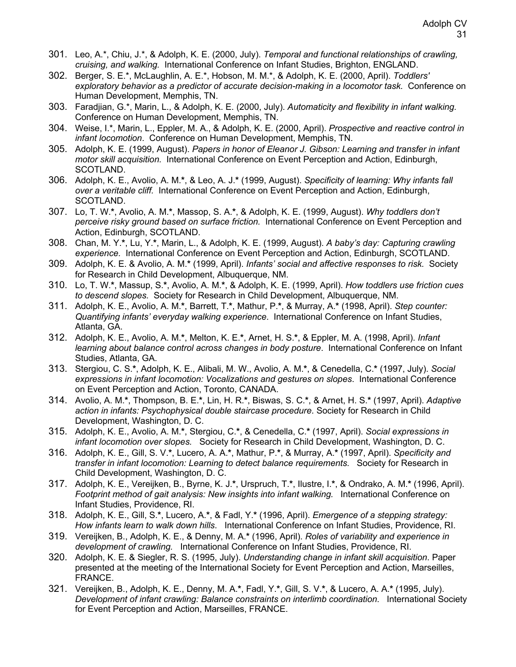- 301. Leo, A.\*, Chiu, J.\*, & Adolph, K. E. (2000, July). *Temporal and functional relationships of crawling, cruising, and walking.* International Conference on Infant Studies, Brighton, ENGLAND.
- 302. Berger, S. E.\*, McLaughlin, A. E.\*, Hobson, M. M.\*, & Adolph, K. E. (2000, April). *Toddlers' exploratory behavior as a predictor of accurate decision-making in a locomotor task.* Conference on Human Development, Memphis, TN.
- 303. Faradjian, G.\*, Marin, L., & Adolph, K. E. (2000, July). *Automaticity and flexibility in infant walking.* Conference on Human Development, Memphis, TN.
- 304. Weise, I.\*, Marin, L., Eppler, M. A., & Adolph, K. E. (2000, April). *Prospective and reactive control in infant locomotion*. Conference on Human Development, Memphis, TN.
- 305. Adolph, K. E. (1999, August). *Papers in honor of Eleanor J. Gibson: Learning and transfer in infant motor skill acquisition.* International Conference on Event Perception and Action, Edinburgh, SCOTLAND.
- 306. Adolph, K. E., Avolio, A. M.**\***, & Leo, A. J.**\*** (1999, August). *Specificity of learning: Why infants fall over a veritable cliff.* International Conference on Event Perception and Action, Edinburgh, SCOTLAND.
- 307. Lo, T. W.**\***, Avolio, A. M.**\***, Massop, S. A.**\***, & Adolph, K. E. (1999, August). *Why toddlers don't perceive risky ground based on surface friction.* International Conference on Event Perception and Action, Edinburgh, SCOTLAND.
- 308. Chan, M. Y.**\***, Lu, Y.**\***, Marin, L., & Adolph, K. E. (1999, August). *A baby's day: Capturing crawling experience.* International Conference on Event Perception and Action, Edinburgh, SCOTLAND.
- 309. Adolph, K. E. & Avolio, A. M.**\*** (1999, April). *Infants' social and affective responses to risk.* Society for Research in Child Development, Albuquerque, NM.
- 310. Lo, T. W.**\***, Massup, S.**\***, Avolio, A. M.**\***, & Adolph, K. E. (1999, April). *How toddlers use friction cues to descend slopes.* Society for Research in Child Development, Albuquerque, NM.
- 311. Adolph, K. E., Avolio, A. M.**\***, Barrett, T.**\***, Mathur, P.**\***, & Murray, A.**\*** (1998, April). *Step counter: Quantifying infants' everyday walking experience*. International Conference on Infant Studies, Atlanta, GA.
- 312. Adolph, K. E., Avolio, A. M.**\***, Melton, K. E.**\***, Arnet, H. S.**\***, & Eppler, M. A. (1998, April). *Infant learning about balance control across changes in body posture*. International Conference on Infant Studies, Atlanta, GA.
- 313. Stergiou, C. S.**\***, Adolph, K. E., Alibali, M. W., Avolio, A. M.**\***, & Cenedella, C.**\*** (1997, July). *Social expressions in infant locomotion: Vocalizations and gestures on slopes*. International Conference on Event Perception and Action, Toronto, CANADA.
- 314. Avolio, A. M.**\***, Thompson, B. E.**\***, Lin, H. R.**\***, Biswas, S. C.**\***, & Arnet, H. S.**\*** (1997, April). *Adaptive action in infants: Psychophysical double staircase procedure*. Society for Research in Child Development, Washington, D. C.
- 315. Adolph, K. E., Avolio, A. M.**\***, Stergiou, C.**\***, & Cenedella, C.**\*** (1997, April). *Social expressions in infant locomotion over slopes.* Society for Research in Child Development, Washington, D. C.
- 316. Adolph, K. E., Gill, S. V.**\***, Lucero, A. A.**\***, Mathur, P.**\***, & Murray, A.**\*** (1997, April). *Specificity and transfer in infant locomotion: Learning to detect balance requirements.* Society for Research in Child Development, Washington, D. C.
- 317. Adolph, K. E., Vereijken, B., Byrne, K. J.**\***, Urspruch, T.**\***, Ilustre, I.**\***, & Ondrako, A. M.**\*** (1996, April). *Footprint method of gait analysis: New insights into infant walking.* International Conference on Infant Studies, Providence, RI.
- 318. Adolph, K. E., Gill, S.**\***, Lucero, A.**\***, & Fadl, Y.**\*** (1996, April). *Emergence of a stepping strategy: How infants learn to walk down hills*. International Conference on Infant Studies, Providence, RI.
- 319. Vereijken, B., Adolph, K. E., & Denny, M. A.**\*** (1996, April). *Roles of variability and experience in development of crawling.* International Conference on Infant Studies, Providence, RI.
- 320. Adolph, K. E. & Siegler, R. S. (1995, July). *Understanding change in infant skill acquisition*. Paper presented at the meeting of the International Society for Event Perception and Action, Marseilles, FRANCE.
- 321. Vereijken, B., Adolph, K. E., Denny, M. A.**\***, Fadl, Y.**\***, Gill, S. V.**\***, & Lucero, A. A.**\*** (1995, July). *Development of infant crawling: Balance constraints on interlimb coordination.* International Society for Event Perception and Action, Marseilles, FRANCE.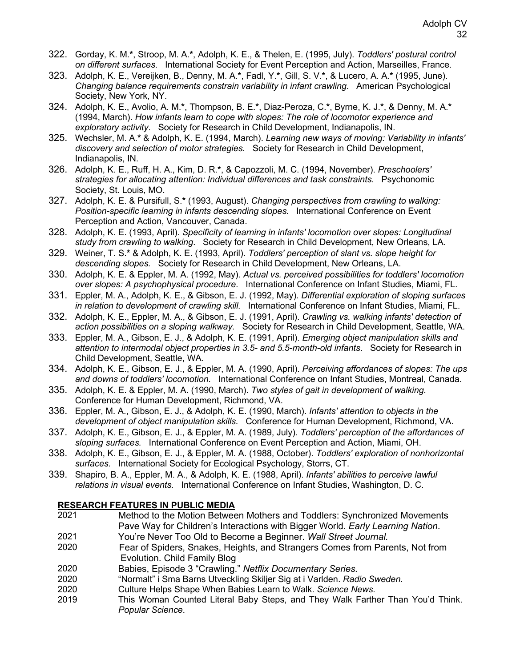- 322. Gorday, K. M.**\***, Stroop, M. A.**\***, Adolph, K. E., & Thelen, E. (1995, July). *Toddlers' postural control on different surfaces*. International Society for Event Perception and Action, Marseilles, France.
- 323. Adolph, K. E., Vereijken, B., Denny, M. A.**\***, Fadl, Y.**\***, Gill, S. V.**\***, & Lucero, A. A.**\*** (1995, June). *Changing balance requirements constrain variability in infant crawling*. American Psychological Society, New York, NY.
- 324. Adolph, K. E., Avolio, A. M.**\***, Thompson, B. E.**\***, Diaz-Peroza, C.**\***, Byrne, K. J.**\***, & Denny, M. A.**\*** (1994, March). *How infants learn to cope with slopes: The role of locomotor experience and exploratory activity*. Society for Research in Child Development, Indianapolis, IN.
- 325. Wechsler, M. A.**\*** & Adolph, K. E. (1994, March). *Learning new ways of moving: Variability in infants' discovery and selection of motor strategies.* Society for Research in Child Development, Indianapolis, IN.
- 326. Adolph, K. E., Ruff, H. A., Kim, D. R.**\***, & Capozzoli, M. C. (1994, November). *Preschoolers' strategies for allocating attention: Individual differences and task constraints.* Psychonomic Society, St. Louis, MO.
- 327. Adolph, K. E. & Pursifull, S.**\*** (1993, August). *Changing perspectives from crawling to walking: Position-specific learning in infants descending slopes.* International Conference on Event Perception and Action, Vancouver, Canada.
- 328. Adolph, K. E. (1993, April). *Specificity of learning in infants' locomotion over slopes: Longitudinal study from crawling to walking*. Society for Research in Child Development, New Orleans, LA.
- 329. Weiner, T. S.**\*** & Adolph, K. E. (1993, April). *Toddlers' perception of slant vs. slope height for descending slopes.* Society for Research in Child Development, New Orleans, LA.
- 330. Adolph, K. E. & Eppler, M. A. (1992, May). *Actual vs. perceived possibilities for toddlers' locomotion over slopes: A psychophysical procedure*. International Conference on Infant Studies, Miami, FL.
- 331. Eppler, M. A., Adolph, K. E., & Gibson, E. J. (1992, May). *Differential exploration of sloping surfaces in relation to development of crawling skill.* International Conference on Infant Studies, Miami, FL.
- 332. Adolph, K. E., Eppler, M. A., & Gibson, E. J. (1991, April). *Crawling vs. walking infants' detection of action possibilities on a sloping walkway.* Society for Research in Child Development, Seattle, WA.
- 333. Eppler, M. A., Gibson, E. J., & Adolph, K. E. (1991, April). *Emerging object manipulation skills and attention to intermodal object properties in 3.5- and 5.5-month-old infants*. Society for Research in Child Development, Seattle, WA.
- 334. Adolph, K. E., Gibson, E. J., & Eppler, M. A. (1990, April). *Perceiving affordances of slopes: The ups and downs of toddlers' locomotion.* International Conference on Infant Studies, Montreal, Canada.
- 335. Adolph, K. E. & Eppler, M. A. (1990, March). *Two styles of gait in development of walking*. Conference for Human Development, Richmond, VA.
- 336. Eppler, M. A., Gibson, E. J., & Adolph, K. E. (1990, March). *Infants' attention to objects in the development of object manipulation skills.* Conference for Human Development, Richmond, VA.
- 337. Adolph, K. E., Gibson, E. J., & Eppler, M. A. (1989, July). *Toddlers' perception of the affordances of sloping surfaces.* International Conference on Event Perception and Action, Miami, OH.
- 338. Adolph, K. E., Gibson, E. J., & Eppler, M. A. (1988, October). *Toddlers' exploration of nonhorizontal surfaces.* International Society for Ecological Psychology, Storrs, CT.
- 339. Shapiro, B. A., Eppler, M. A., & Adolph, K. E. (1988, April). *Infants' abilities to perceive lawful relations in visual events.* International Conference on Infant Studies, Washington, D. C.

# **RESEARCH FEATURES IN PUBLIC MEDIA**

- 2021 Method to the Motion Between Mothers and Toddlers: Synchronized Movements Pave Way for Children's Interactions with Bigger World. *Early Learning Nation*.
- 2021 You're Never Too Old to Become a Beginner. *Wall Street Journal.*
- 2020 Fear of Spiders, Snakes, Heights, and Strangers Comes from Parents, Not from Evolution. Child Family Blog
- 2020 Babies, Episode 3 "Crawling." *Netflix Documentary Series.*
- 2020 "Normalt" i Sma Barns Utveckling Skiljer Sig at i Varlden. *Radio Sweden.*
- 2020 Culture Helps Shape When Babies Learn to Walk. *Science News.*
- 2019 This Woman Counted Literal Baby Steps, and They Walk Farther Than You'd Think. *Popular Science*.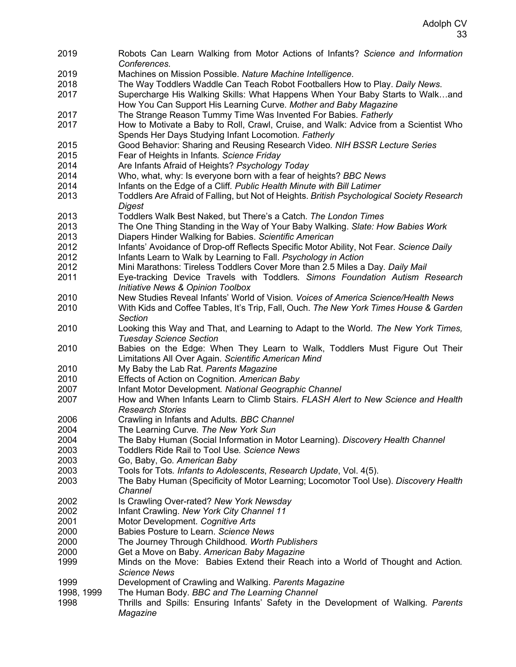Robots Can Learn Walking from Motor Actions of Infants? *Science and Information Conferences.* Machines on Mission Possible. *Nature Machine Intelligence*. The Way Toddlers Waddle Can Teach Robot Footballers How to Play. *Daily News*. Supercharge His Walking Skills: What Happens When Your Baby Starts to Walk…and How You Can Support His Learning Curve*. Mother and Baby Magazine* The Strange Reason Tummy Time Was Invented For Babies. *Fatherly* How to Motivate a Baby to Roll, Crawl, Cruise, and Walk: Advice from a Scientist Who Spends Her Days Studying Infant Locomotion*. Fatherly* Good Behavior: Sharing and Reusing Research Video*. NIH BSSR Lecture Series* Fear of Heights in Infants*. Science Friday* Are Infants Afraid of Heights? *Psychology Today* Who, what, why: Is everyone born with a fear of heights? *BBC News* Infants on the Edge of a Cliff*. Public Health Minute with Bill Latimer* Toddlers Are Afraid of Falling, but Not of Heights. *British Psychological Society Research Digest* Toddlers Walk Best Naked, but There's a Catch. *The London Times* The One Thing Standing in the Way of Your Baby Walking. *Slate: How Babies Work* Diapers Hinder Walking for Babies. *Scientific American* Infants' Avoidance of Drop-off Reflects Specific Motor Ability, Not Fear. *Science Daily* Infants Learn to Walk by Learning to Fall. *Psychology in Action* Mini Marathons: Tireless Toddlers Cover More than 2.5 Miles a Day*. Daily Mail* Eye-tracking Device Travels with Toddlers*. Simons Foundation Autism Research Initiative News & Opinion Toolbox* New Studies Reveal Infants' World of Vision*. Voices of America Science/Health News* With Kids and Coffee Tables, It's Trip, Fall, Ouch. *The New York Times House & Garden Section* Looking this Way and That, and Learning to Adapt to the World*. The New York Times, Tuesday Science Section* Babies on the Edge: When They Learn to Walk, Toddlers Must Figure Out Their Limitations All Over Again*. Scientific American Mind* My Baby the Lab Rat. *Parents Magazine* Effects of Action on Cognition*. American Baby* Infant Motor Development*. National Geographic Channel* How and When Infants Learn to Climb Stairs. *FLASH Alert to New Science and Health Research Stories* Crawling in Infants and Adults*. BBC Channel* The Learning Curve*. The New York Sun* The Baby Human (Social Information in Motor Learning). *Discovery Health Channel* Toddlers Ride Rail to Tool Use*. Science News* Go, Baby, Go*. American Baby* Tools for Tots*. Infants to Adolescents*, *Research Update*, Vol. 4(5). The Baby Human (Specificity of Motor Learning; Locomotor Tool Use). *Discovery Health Channel* Is Crawling Over-rated? *New York Newsday* Infant Crawling. *New York City Channel 11* Motor Development. *Cognitive Arts* Babies Posture to Learn. *Science News* The Journey Through Childhood*. Worth Publishers* Get a Move on Baby. *American Baby Magazine* Minds on the Move: Babies Extend their Reach into a World of Thought and Action*. Science News* Development of Crawling and Walking. *Parents Magazine* 1998, 1999 The Human Body. *BBC and The Learning Channel* Thrills and Spills: Ensuring Infants' Safety in the Development of Walking. *Parents Magazine*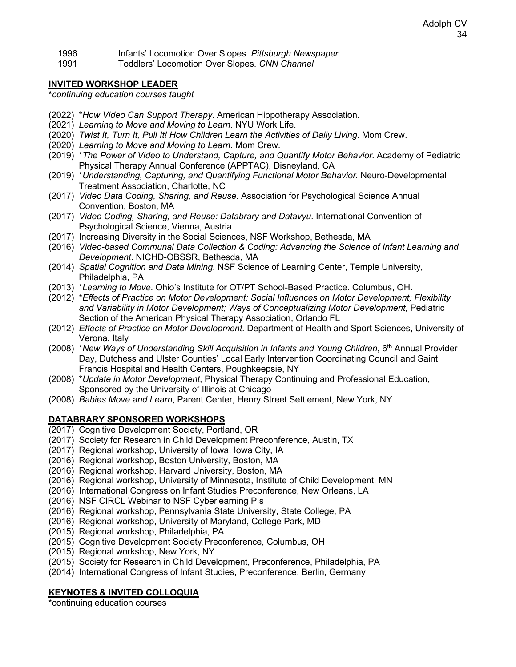1996 Infants' Locomotion Over Slopes. *Pittsburgh Newspaper*

1991 Toddlers' Locomotion Over Slopes. *CNN Channel*

### **INVITED WORKSHOP LEADER**

**\****continuing education courses taught*

- (2022) \**How Video Can Support Therapy*. American Hippotherapy Association.
- (2021) *Learning to Move and Moving to Learn*. NYU Work Life.
- (2020) *Twist It, Turn It, Pull It! How Children Learn the Activities of Daily Living*. Mom Crew.
- (2020) *Learning to Move and Moving to Learn*. Mom Crew.
- (2019) \**The Power of Video to Understand, Capture, and Quantify Motor Behavior*. Academy of Pediatric Physical Therapy Annual Conference (APPTAC), Disneyland, CA
- (2019) \**Understanding, Capturing, and Quantifying Functional Motor Behavior.* Neuro-Developmental Treatment Association, Charlotte, NC
- (2017) *Video Data Coding, Sharing, and Reuse.* Association for Psychological Science Annual Convention, Boston, MA
- (2017) *Video Coding, Sharing, and Reuse: Databrary and Datavyu*. International Convention of Psychological Science, Vienna, Austria.
- (2017) Increasing Diversity in the Social Sciences, NSF Workshop, Bethesda, MA
- (2016) *Video-based Communal Data Collection & Coding: Advancing the Science of Infant Learning and Development*. NICHD-OBSSR, Bethesda, MA
- (2014) *Spatial Cognition and Data Mining*. NSF Science of Learning Center, Temple University, Philadelphia, PA
- (2013) \**Learning to Move*. Ohio's Institute for OT/PT School-Based Practice. Columbus, OH.
- (2012) \**Effects of Practice on Motor Development; Social Influences on Motor Development; Flexibility and Variability in Motor Development; Ways of Conceptualizing Motor Development,* Pediatric Section of the American Physical Therapy Association, Orlando FL
- (2012) *Effects of Practice on Motor Development*. Department of Health and Sport Sciences, University of Verona, Italy
- (2008) \*New Ways of Understanding Skill Acquisition in Infants and Young Children, 6<sup>th</sup> Annual Provider Day, Dutchess and Ulster Counties' Local Early Intervention Coordinating Council and Saint Francis Hospital and Health Centers, Poughkeepsie, NY
- (2008) \**Update in Motor Development*, Physical Therapy Continuing and Professional Education, Sponsored by the University of Illinois at Chicago
- (2008) *Babies Move and Learn*, Parent Center, Henry Street Settlement, New York, NY

# **DATABRARY SPONSORED WORKSHOPS**

- (2017) Cognitive Development Society, Portland, OR
- (2017) Society for Research in Child Development Preconference, Austin, TX
- (2017) Regional workshop, University of Iowa, Iowa City, IA
- (2016) Regional workshop, Boston University, Boston, MA
- (2016) Regional workshop, Harvard University, Boston, MA
- (2016) Regional workshop, University of Minnesota, Institute of Child Development, MN
- (2016) International Congress on Infant Studies Preconference, New Orleans, LA
- (2016) NSF CIRCL Webinar to NSF Cyberlearning PIs
- (2016) Regional workshop, Pennsylvania State University, State College, PA
- (2016) Regional workshop, University of Maryland, College Park, MD
- (2015) Regional workshop, Philadelphia, PA
- (2015) Cognitive Development Society Preconference, Columbus, OH
- (2015) Regional workshop, New York, NY
- (2015) Society for Research in Child Development, Preconference, Philadelphia, PA
- (2014) International Congress of Infant Studies, Preconference, Berlin, Germany

# **KEYNOTES & INVITED COLLOQUIA**

\*continuing education courses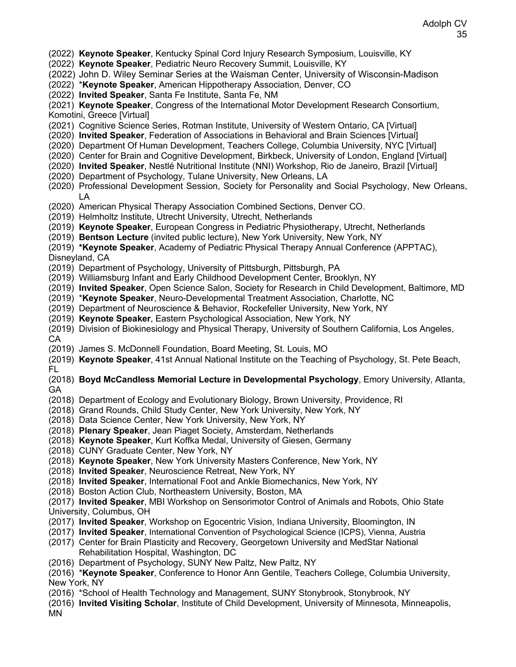- (2022) **Keynote Speaker**, Kentucky Spinal Cord Injury Research Symposium, Louisville, KY
- (2022) **Keynote Speaker**, Pediatric Neuro Recovery Summit, Louisville, KY
- (2022) John D. Wiley Seminar Series at the Waisman Center, University of Wisconsin-Madison
- (2022) \***Keynote Speaker**, American Hippotherapy Association, Denver, CO
- (2022) **Invited Speaker**, Santa Fe Institute, Santa Fe, NM

(2021) **Keynote Speaker**, Congress of the International Motor Development Research Consortium, Komotini, Greece [Virtual]

- (2021) Cognitive Science Series, Rotman Institute, University of Western Ontario, CA [Virtual]
- (2020) **Invited Speaker**, Federation of Associations in Behavioral and Brain Sciences [Virtual]
- (2020) Department Of Human Development, Teachers College, Columbia University, NYC [Virtual]
- (2020) Center for Brain and Cognitive Development, Birkbeck, University of London, England [Virtual]
- (2020) **Invited Speaker**, Nestlé Nutritional Institute (NNI) Workshop, Rio de Janeiro, Brazil [Virtual]
- (2020) Department of Psychology, Tulane University, New Orleans, LA
- (2020) Professional Development Session, Society for Personality and Social Psychology, New Orleans, LA
- (2020) American Physical Therapy Association Combined Sections, Denver CO.
- (2019) Helmholtz Institute, Utrecht University, Utrecht, Netherlands
- (2019) **Keynote Speaker**, European Congress in Pediatric Physiotherapy, Utrecht, Netherlands
- (2019) **Bentson Lecture** (invited public lecture), New York University, New York, NY
- (2019) **\*Keynote Speaker**, Academy of Pediatric Physical Therapy Annual Conference (APPTAC),

Disneyland, CA

- (2019) Department of Psychology, University of Pittsburgh, Pittsburgh, PA
- (2019) Williamsburg Infant and Early Childhood Development Center, Brooklyn, NY
- (2019) **Invited Speaker**, Open Science Salon, Society for Research in Child Development, Baltimore, MD
- (2019) \***Keynote Speaker**, Neuro-Developmental Treatment Association, Charlotte, NC
- (2019) Department of Neuroscience & Behavior, Rockefeller University, New York, NY
- (2019) **Keynote Speaker**, Eastern Psychological Association, New York, NY

(2019) Division of Biokinesiology and Physical Therapy, University of Southern California, Los Angeles, CA

(2019) James S. McDonnell Foundation, Board Meeting, St. Louis, MO

(2019) **Keynote Speaker**, 41st Annual National Institute on the Teaching of Psychology, St. Pete Beach, FL

(2018) **Boyd McCandless Memorial Lecture in Developmental Psychology**, Emory University, Atlanta, GA

- (2018) Department of Ecology and Evolutionary Biology, Brown University, Providence, RI
- (2018) Grand Rounds, Child Study Center, New York University, New York, NY
- (2018) Data Science Center, New York University, New York, NY
- (2018) **Plenary Speaker**, Jean Piaget Society, Amsterdam, Netherlands
- (2018) **Keynote Speaker**, Kurt Koffka Medal, University of Giesen, Germany
- (2018) CUNY Graduate Center, New York, NY
- (2018) **Keynote Speaker**, New York University Masters Conference, New York, NY
- (2018) **Invited Speaker**, Neuroscience Retreat, New York, NY
- (2018) **Invited Speaker**, International Foot and Ankle Biomechanics, New York, NY
- (2018) Boston Action Club, Northeastern University, Boston, MA

(2017) **Invited Speaker**, MBI Workshop on Sensorimotor Control of Animals and Robots, Ohio State University, Columbus, OH

- (2017) **Invited Speaker**, Workshop on Egocentric Vision, Indiana University, Bloomington, IN
- (2017) **Invited Speaker**, International Convention of Psychological Science (ICPS), Vienna, Austria
- (2017) Center for Brain Plasticity and Recovery, Georgetown University and MedStar National Rehabilitation Hospital, Washington, DC
- (2016) Department of Psychology, SUNY New Paltz, New Paltz, NY

(2016) \***Keynote Speaker**, Conference to Honor Ann Gentile, Teachers College, Columbia University, New York, NY

- (2016) \*School of Health Technology and Management, SUNY Stonybrook, Stonybrook, NY
- (2016) **Invited Visiting Scholar**, Institute of Child Development, University of Minnesota, Minneapolis, MN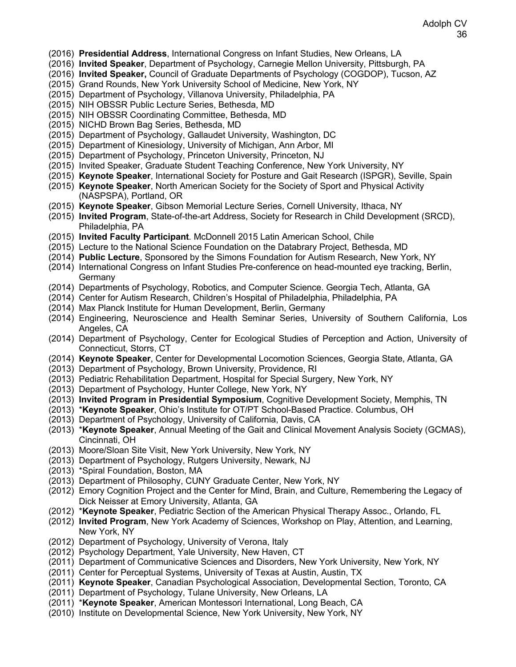## Adolph CV 36

- (2016) **Presidential Address**, International Congress on Infant Studies, New Orleans, LA
- (2016) **Invited Speaker**, Department of Psychology, Carnegie Mellon University, Pittsburgh, PA
- (2016) **Invited Speaker,** Council of Graduate Departments of Psychology (COGDOP), Tucson, AZ
- (2015) Grand Rounds, New York University School of Medicine, New York, NY
- (2015) Department of Psychology, Villanova University, Philadelphia, PA
- (2015) NIH OBSSR Public Lecture Series, Bethesda, MD
- (2015) NIH OBSSR Coordinating Committee, Bethesda, MD
- (2015) NICHD Brown Bag Series, Bethesda, MD
- (2015) Department of Psychology, Gallaudet University, Washington, DC
- (2015) Department of Kinesiology, University of Michigan, Ann Arbor, MI
- (2015) Department of Psychology, Princeton University, Princeton, NJ
- (2015) Invited Speaker, Graduate Student Teaching Conference, New York University, NY
- (2015) **Keynote Speaker**, International Society for Posture and Gait Research (ISPGR), Seville, Spain
- (2015) **Keynote Speaker**, North American Society for the Society of Sport and Physical Activity (NASPSPA), Portland, OR
- (2015) **Keynote Speaker**, Gibson Memorial Lecture Series, Cornell University, Ithaca, NY
- (2015) **Invited Program**, State-of-the-art Address, Society for Research in Child Development (SRCD), Philadelphia, PA
- (2015) **Invited Faculty Participant***.* McDonnell 2015 Latin American School, Chile
- (2015) Lecture to the National Science Foundation on the Databrary Project, Bethesda, MD
- (2014) **Public Lecture**, Sponsored by the Simons Foundation for Autism Research, New York, NY
- (2014) International Congress on Infant Studies Pre-conference on head-mounted eye tracking, Berlin, Germany
- (2014) Departments of Psychology, Robotics, and Computer Science. Georgia Tech, Atlanta, GA
- (2014) Center for Autism Research, Children's Hospital of Philadelphia, Philadelphia, PA
- (2014) Max Planck Institute for Human Development, Berlin, Germany
- (2014) Engineering, Neuroscience and Health Seminar Series, University of Southern California, Los Angeles, CA
- (2014) Department of Psychology, Center for Ecological Studies of Perception and Action, University of Connecticut, Storrs, CT
- (2014) **Keynote Speaker**, Center for Developmental Locomotion Sciences, Georgia State, Atlanta, GA
- (2013) Department of Psychology, Brown University, Providence, RI
- (2013) Pediatric Rehabilitation Department, Hospital for Special Surgery, New York, NY
- (2013) Department of Psychology, Hunter College, New York, NY
- (2013) **Invited Program in Presidential Symposium**, Cognitive Development Society, Memphis, TN
- (2013) \***Keynote Speaker**, Ohio's Institute for OT/PT School-Based Practice. Columbus, OH
- (2013) Department of Psychology, University of California, Davis, CA
- (2013) \***Keynote Speaker**, Annual Meeting of the Gait and Clinical Movement Analysis Society (GCMAS), Cincinnati, OH
- (2013) Moore/Sloan Site Visit, New York University, New York, NY
- (2013) Department of Psychology, Rutgers University, Newark, NJ
- (2013) \*Spiral Foundation, Boston, MA
- (2013) Department of Philosophy, CUNY Graduate Center, New York, NY
- (2012) Emory Cognition Project and the Center for Mind, Brain, and Culture, Remembering the Legacy of Dick Neisser at Emory University, Atlanta, GA
- (2012) \***Keynote Speaker**, Pediatric Section of the American Physical Therapy Assoc., Orlando, FL
- (2012) **Invited Program**, New York Academy of Sciences, Workshop on Play, Attention, and Learning, New York, NY
- (2012) Department of Psychology, University of Verona, Italy
- (2012) Psychology Department, Yale University, New Haven, CT
- (2011) Department of Communicative Sciences and Disorders, New York University, New York, NY
- (2011) Center for Perceptual Systems, University of Texas at Austin, Austin, TX
- (2011) **Keynote Speaker**, Canadian Psychological Association, Developmental Section, Toronto, CA
- (2011) Department of Psychology, Tulane University, New Orleans, LA
- (2011) \***Keynote Speaker**, American Montessori International, Long Beach, CA
- (2010) Institute on Developmental Science, New York University, New York, NY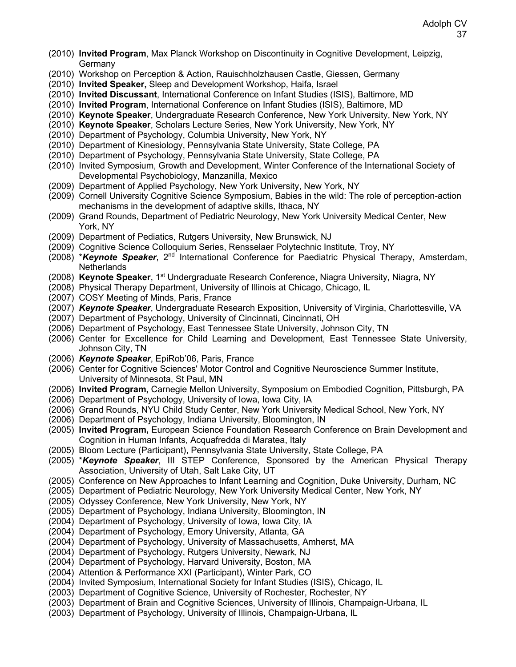- (2010) **Invited Program**, Max Planck Workshop on Discontinuity in Cognitive Development, Leipzig, Germany
- (2010) Workshop on Perception & Action, Rauischholzhausen Castle, Giessen, Germany
- (2010) **Invited Speaker,** Sleep and Development Workshop, Haifa, Israel
- (2010) **Invited Discussant**, International Conference on Infant Studies (ISIS), Baltimore, MD
- (2010) **Invited Program**, International Conference on Infant Studies (ISIS), Baltimore, MD
- (2010) **Keynote Speaker**, Undergraduate Research Conference, New York University, New York, NY
- (2010) **Keynote Speaker**, Scholars Lecture Series, New York University, New York, NY
- (2010) Department of Psychology, Columbia University, New York, NY
- (2010) Department of Kinesiology, Pennsylvania State University, State College, PA
- (2010) Department of Psychology, Pennsylvania State University, State College, PA
- (2010) Invited Symposium, Growth and Development, Winter Conference of the International Society of Developmental Psychobiology, Manzanilla, Mexico
- (2009) Department of Applied Psychology, New York University, New York, NY
- (2009) Cornell University Cognitive Science Symposium, Babies in the wild: The role of perception-action mechanisms in the development of adaptive skills, Ithaca, NY
- (2009) Grand Rounds, Department of Pediatric Neurology, New York University Medical Center, New York, NY
- (2009) Department of Pediatics, Rutgers University, New Brunswick, NJ
- (2009) Cognitive Science Colloquium Series, Rensselaer Polytechnic Institute, Troy, NY
- (2008) \**Keynote Speaker*, 2nd International Conference for Paediatric Physical Therapy, Amsterdam, Netherlands
- (2008) **Keynote Speaker**, 1st Undergraduate Research Conference, Niagra University, Niagra, NY
- (2008) Physical Therapy Department, University of Illinois at Chicago, Chicago, IL
- (2007) COSY Meeting of Minds, Paris, France
- (2007) *Keynote Speaker*, Undergraduate Research Exposition, University of Virginia, Charlottesville, VA
- (2007) Department of Psychology, University of Cincinnati, Cincinnati, OH
- (2006) Department of Psychology, East Tennessee State University, Johnson City, TN
- (2006) Center for Excellence for Child Learning and Development, East Tennessee State University, Johnson City, TN
- (2006) *Keynote Speaker*, EpiRob'06, Paris, France
- (2006) Center for Cognitive Sciences' Motor Control and Cognitive Neuroscience Summer Institute, University of Minnesota, St Paul, MN
- (2006) **Invited Program,** Carnegie Mellon University, Symposium on Embodied Cognition, Pittsburgh, PA
- (2006) Department of Psychology, University of Iowa, Iowa City, IA
- (2006) Grand Rounds, NYU Child Study Center, New York University Medical School, New York, NY
- (2006) Department of Psychology, Indiana University, Bloomington, IN
- (2005) **Invited Program,** European Science Foundation Research Conference on Brain Development and Cognition in Human Infants, Acquafredda di Maratea, Italy
- (2005) Bloom Lecture (Participant), Pennsylvania State University, State College, PA
- (2005) \**Keynote Speaker*, III STEP Conference, Sponsored by the American Physical Therapy Association, University of Utah, Salt Lake City, UT
- (2005) Conference on New Approaches to Infant Learning and Cognition, Duke University, Durham, NC
- (2005) Department of Pediatric Neurology, New York University Medical Center, New York, NY
- (2005) Odyssey Conference, New York University, New York, NY
- (2005) Department of Psychology, Indiana University, Bloomington, IN
- (2004) Department of Psychology, University of Iowa, Iowa City, IA
- (2004) Department of Psychology, Emory University, Atlanta, GA
- (2004) Department of Psychology, University of Massachusetts, Amherst, MA
- (2004) Department of Psychology, Rutgers University, Newark, NJ
- (2004) Department of Psychology, Harvard University, Boston, MA
- (2004) Attention & Performance XXI (Participant), Winter Park, CO
- (2004) Invited Symposium, International Society for Infant Studies (ISIS), Chicago, IL
- (2003) Department of Cognitive Science, University of Rochester, Rochester, NY
- (2003) Department of Brain and Cognitive Sciences, University of Illinois, Champaign-Urbana, IL
- (2003) Department of Psychology, University of Illinois, Champaign-Urbana, IL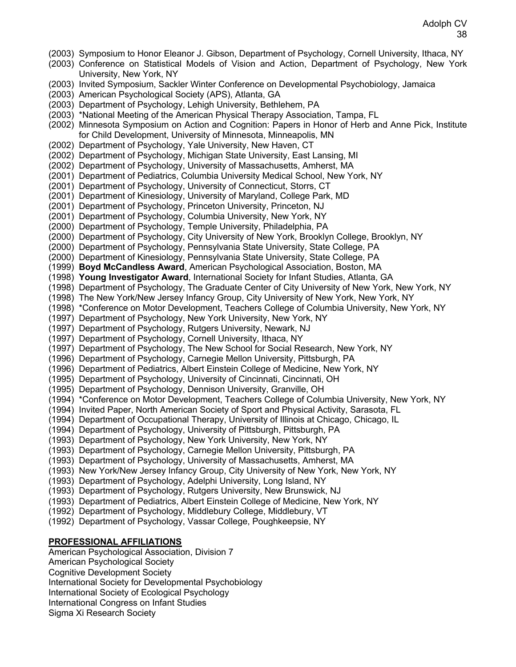- (2003) Symposium to Honor Eleanor J. Gibson, Department of Psychology, Cornell University, Ithaca, NY
- (2003) Conference on Statistical Models of Vision and Action, Department of Psychology, New York University, New York, NY
- (2003) Invited Symposium, Sackler Winter Conference on Developmental Psychobiology, Jamaica
- (2003) American Psychological Society (APS), Atlanta, GA
- (2003) Department of Psychology, Lehigh University, Bethlehem, PA
- (2003) \*National Meeting of the American Physical Therapy Association, Tampa, FL

(2002) Minnesota Symposium on Action and Cognition: Papers in Honor of Herb and Anne Pick, Institute for Child Development, University of Minnesota, Minneapolis, MN

- (2002) Department of Psychology, Yale University, New Haven, CT
- (2002) Department of Psychology, Michigan State University, East Lansing, MI
- (2002) Department of Psychology, University of Massachusetts, Amherst, MA
- (2001) Department of Pediatrics, Columbia University Medical School, New York, NY
- (2001) Department of Psychology, University of Connecticut, Storrs, CT
- (2001) Department of Kinesiology, University of Maryland, College Park, MD
- (2001) Department of Psychology, Princeton University, Princeton, NJ
- (2001) Department of Psychology, Columbia University, New York, NY
- (2000) Department of Psychology, Temple University, Philadelphia, PA
- (2000) Department of Psychology, City University of New York, Brooklyn College, Brooklyn, NY
- (2000) Department of Psychology, Pennsylvania State University, State College, PA
- (2000) Department of Kinesiology, Pennsylvania State University, State College, PA
- (1999) **Boyd McCandless Award**, American Psychological Association, Boston, MA
- (1998) **Young Investigator Award**, International Society for Infant Studies, Atlanta, GA
- (1998) Department of Psychology, The Graduate Center of City University of New York, New York, NY
- (1998) The New York/New Jersey Infancy Group, City University of New York, New York, NY
- (1998) \*Conference on Motor Development, Teachers College of Columbia University, New York, NY
- (1997) Department of Psychology, New York University, New York, NY
- (1997) Department of Psychology, Rutgers University, Newark, NJ
- (1997) Department of Psychology, Cornell University, Ithaca, NY
- (1997) Department of Psychology, The New School for Social Research, New York, NY
- (1996) Department of Psychology, Carnegie Mellon University, Pittsburgh, PA
- (1996) Department of Pediatrics, Albert Einstein College of Medicine, New York, NY
- (1995) Department of Psychology, University of Cincinnati, Cincinnati, OH
- (1995) Department of Psychology, Dennison University, Granville, OH
- (1994) \*Conference on Motor Development, Teachers College of Columbia University, New York, NY
- (1994) Invited Paper, North American Society of Sport and Physical Activity, Sarasota, FL
- (1994) Department of Occupational Therapy, University of Illinois at Chicago, Chicago, IL
- (1994) Department of Psychology, University of Pittsburgh, Pittsburgh, PA
- (1993) Department of Psychology, New York University, New York, NY
- (1993) Department of Psychology, Carnegie Mellon University, Pittsburgh, PA
- (1993) Department of Psychology, University of Massachusetts, Amherst, MA
- (1993) New York/New Jersey Infancy Group, City University of New York, New York, NY
- (1993) Department of Psychology, Adelphi University, Long Island, NY
- (1993) Department of Psychology, Rutgers University, New Brunswick, NJ
- (1993) Department of Pediatrics, Albert Einstein College of Medicine, New York, NY
- (1992) Department of Psychology, Middlebury College, Middlebury, VT
- (1992) Department of Psychology, Vassar College, Poughkeepsie, NY

#### **PROFESSIONAL AFFILIATIONS**

American Psychological Association, Division 7 American Psychological Society Cognitive Development Society International Society for Developmental Psychobiology International Society of Ecological Psychology International Congress on Infant Studies Sigma Xi Research Society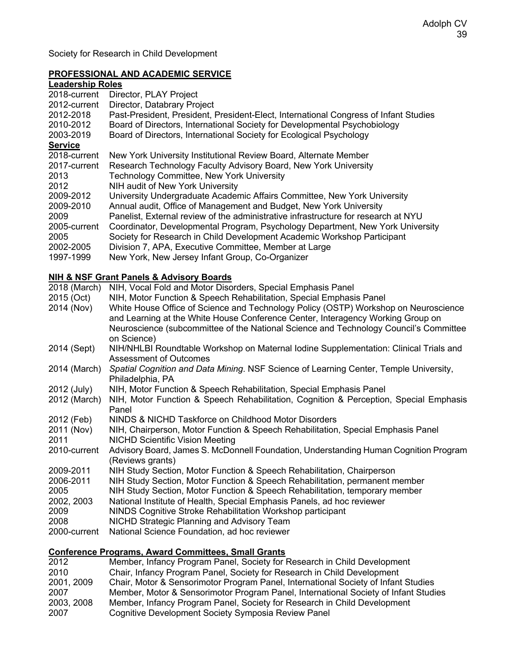Society for Research in Child Development

## **PROFESSIONAL AND ACADEMIC SERVICE**

# **Leadership Roles**

| Director, PLAY Project                                                               |
|--------------------------------------------------------------------------------------|
| Director, Databrary Project                                                          |
| Past-President, President, President-Elect, International Congress of Infant Studies |
| Board of Directors, International Society for Developmental Psychobiology            |
| Board of Directors, International Society for Ecological Psychology                  |
|                                                                                      |
| New York University Institutional Review Board, Alternate Member                     |
| Research Technology Faculty Advisory Board, New York University                      |
| <b>Technology Committee, New York University</b>                                     |
| NIH audit of New York University                                                     |
| University Undergraduate Academic Affairs Committee, New York University             |
| Annual audit, Office of Management and Budget, New York University                   |
| Panelist, External review of the administrative infrastructure for research at NYU   |
| Coordinator, Developmental Program, Psychology Department, New York University       |
| Society for Research in Child Development Academic Workshop Participant              |
| Division 7, APA, Executive Committee, Member at Large                                |
| New York, New Jersey Infant Group, Co-Organizer                                      |
|                                                                                      |

# **NIH & NSF Grant Panels & Advisory Boards**

| 2018 (March) | NIH, Vocal Fold and Motor Disorders, Special Emphasis Panel                                              |
|--------------|----------------------------------------------------------------------------------------------------------|
| 2015 (Oct)   | NIH, Motor Function & Speech Rehabilitation, Special Emphasis Panel                                      |
| 2014 (Nov)   | White House Office of Science and Technology Policy (OSTP) Workshop on Neuroscience                      |
|              | and Learning at the White House Conference Center, Interagency Working Group on                          |
|              | Neuroscience (subcommittee of the National Science and Technology Council's Committee                    |
|              | on Science)                                                                                              |
| 2014 (Sept)  | NIH/NHLBI Roundtable Workshop on Maternal Iodine Supplementation: Clinical Trials and                    |
|              | <b>Assessment of Outcomes</b>                                                                            |
| 2014 (March) | Spatial Cognition and Data Mining. NSF Science of Learning Center, Temple University,                    |
|              | Philadelphia, PA                                                                                         |
| 2012 (July)  | NIH, Motor Function & Speech Rehabilitation, Special Emphasis Panel                                      |
| 2012 (March) | NIH, Motor Function & Speech Rehabilitation, Cognition & Perception, Special Emphasis                    |
|              | Panel                                                                                                    |
| 2012 (Feb)   | NINDS & NICHD Taskforce on Childhood Motor Disorders                                                     |
| 2011 (Nov)   | NIH, Chairperson, Motor Function & Speech Rehabilitation, Special Emphasis Panel                         |
| 2011         | <b>NICHD Scientific Vision Meeting</b>                                                                   |
| 2010-current | Advisory Board, James S. McDonnell Foundation, Understanding Human Cognition Program<br>(Reviews grants) |
| 2009-2011    | NIH Study Section, Motor Function & Speech Rehabilitation, Chairperson                                   |
| 2006-2011    | NIH Study Section, Motor Function & Speech Rehabilitation, permanent member                              |
| 2005         | NIH Study Section, Motor Function & Speech Rehabilitation, temporary member                              |
| 2002, 2003   | National Institute of Health, Special Emphasis Panels, ad hoc reviewer                                   |
| 2009         | NINDS Cognitive Stroke Rehabilitation Workshop participant                                               |
| 2008         | NICHD Strategic Planning and Advisory Team                                                               |
| 2000-current | National Science Foundation, ad hoc reviewer                                                             |
|              |                                                                                                          |

# **Conference Programs, Award Committees, Small Grants**

| 2012       | Member, Infancy Program Panel, Society for Research in Child Development            |
|------------|-------------------------------------------------------------------------------------|
| 2010       | Chair, Infancy Program Panel, Society for Research in Child Development             |
| 2001, 2009 | Chair, Motor & Sensorimotor Program Panel, International Society of Infant Studies  |
| 2007       | Member, Motor & Sensorimotor Program Panel, International Society of Infant Studies |
| 2003, 2008 | Member, Infancy Program Panel, Society for Research in Child Development            |
| 2007       | Cognitive Development Society Symposia Review Panel                                 |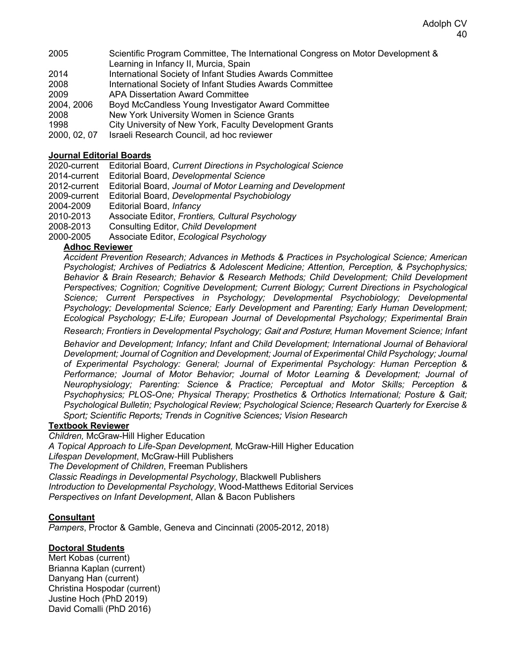- 2005 Scientific Program Committee, The International Congress on Motor Development & Learning in Infancy II, Murcia, Spain
- 2014 International Society of Infant Studies Awards Committee
- 2008 International Society of Infant Studies Awards Committee
- 2009 APA Dissertation Award Committee
- 2004, 2006 Boyd McCandless Young Investigator Award Committee 2008 New York University Women in Science Grants
- 1998 City University of New York, Faculty Development Grants
- 2000, 02, 07 Israeli Research Council, ad hoc reviewer

## **Journal Editorial Boards**

2020-current Editorial Board, *Current Directions in Psychological Science*

- 2014-current Editorial Board, *Developmental Science*
- 2012-current Editorial Board, *Journal of Motor Learning and Development*
- 2009-current Editorial Board, *Developmental Psychobiology*
- 2004-2009 Editorial Board, *Infancy*
- 2010-2013 Associate Editor, *Frontiers, Cultural Psychology*
- 2008-2013 Consulting Editor, *Child Development*
- 2000-2005 Associate Editor, *Ecological Psychology*

# **Adhoc Reviewer**

*Accident Prevention Research; Advances in Methods & Practices in Psychological Science; American Psychologist; Archives of Pediatrics & Adolescent Medicine; Attention, Perception, & Psychophysics; Behavior & Brain Research; Behavior & Research Methods; Child Development; Child Development Perspectives; Cognition; Cognitive Development; Current Biology; Current Directions in Psychological Science; Current Perspectives in Psychology; Developmental Psychobiology; Developmental Psychology; Developmental Science; Early Development and Parenting; Early Human Development; Ecological Psychology; E-Life; European Journal of Developmental Psychology; Experimental Brain* 

*Research; Frontiers in Developmental Psychology;* Gait and Posture; *Human Movement Science; Infant* 

*Behavior and Development; Infancy; Infant and Child Development; International Journal of Behavioral Development; Journal of Cognition and Development; Journal of Experimental Child Psychology; Journal of Experimental Psychology: General; Journal of Experimental Psychology: Human Perception & Performance; Journal of Motor Behavior; Journal of Motor Learning & Development; Journal of Neurophysiology; Parenting: Science & Practice; Perceptual and Motor Skills; Perception & Psychophysics; PLOS-One; Physical Therapy; Prosthetics & Orthotics International; Posture & Gait; Psychological Bulletin; Psychological Review; Psychological Science; Research Quarterly for Exercise & Sport; Scientific Reports; Trends in Cognitive Sciences; Vision Research* 

#### **Textbook Reviewer**

*Children,* McGraw-Hill Higher Education

*A Topical Approach to Life-Span Development,* McGraw-Hill Higher Education

*Lifespan Development*, McGraw-Hill Publishers

*The Development of Children*, Freeman Publishers

*Classic Readings in Developmental Psychology*, Blackwell Publishers

*Introduction to Developmental Psychology*, Wood-Matthews Editorial Services

*Perspectives on Infant Development*, Allan & Bacon Publishers

#### **Consultant**

*Pampers*, Proctor & Gamble, Geneva and Cincinnati (2005-2012, 2018)

#### **Doctoral Students**

Mert Kobas (current) Brianna Kaplan (current) Danyang Han (current) Christina Hospodar (current) Justine Hoch (PhD 2019) David Comalli (PhD 2016)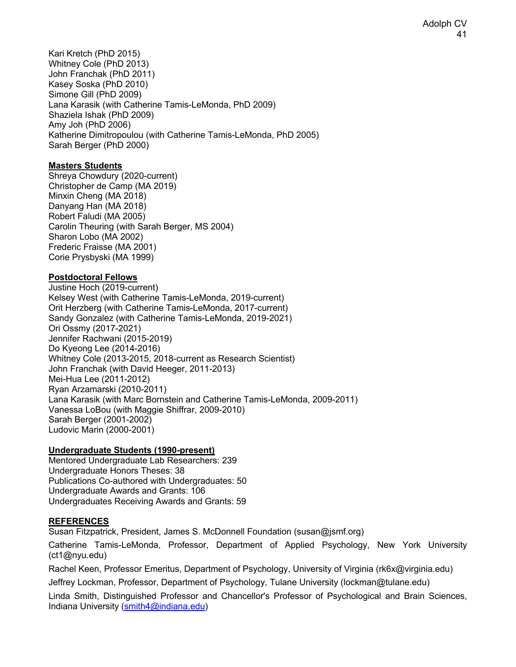Kari Kretch (PhD 2015) Whitney Cole (PhD 2013) John Franchak (PhD 2011) Kasey Soska (PhD 2010) Simone Gill (PhD 2009) Lana Karasik (with Catherine Tamis-LeMonda, PhD 2009) Shaziela Ishak (PhD 2009) Amy Joh (PhD 2006) Katherine Dimitropoulou (with Catherine Tamis-LeMonda, PhD 2005) Sarah Berger (PhD 2000)

#### **Masters Students**

Shreya Chowdury (2020-current) Christopher de Camp (MA 2019) Minxin Cheng (MA 2018) Danyang Han (MA 2018) Robert Faludi (MA 2005) Carolin Theuring (with Sarah Berger, MS 2004) Sharon Lobo (MA 2002) Frederic Fraisse (MA 2001) Corie Prysbyski (MA 1999)

## **Postdoctoral Fellows**

Justine Hoch (2019-current) Kelsey West (with Catherine Tamis-LeMonda, 2019-current) Orit Herzberg (with Catherine Tamis-LeMonda, 2017-current) Sandy Gonzalez (with Catherine Tamis-LeMonda, 2019-2021) Ori Ossmy (2017-2021) Jennifer Rachwani (2015-2019) Do Kyeong Lee (2014-2016) Whitney Cole (2013-2015, 2018-current as Research Scientist) John Franchak (with David Heeger, 2011-2013) Mei-Hua Lee (2011-2012) Ryan Arzamarski (2010-2011) Lana Karasik (with Marc Bornstein and Catherine Tamis-LeMonda, 2009-2011) Vanessa LoBou (with Maggie Shiffrar, 2009-2010) Sarah Berger (2001-2002) Ludovic Marin (2000-2001)

#### **Undergraduate Students (1990-present)**

Mentored Undergraduate Lab Researchers: 239 Undergraduate Honors Theses: 38 Publications Co-authored with Undergraduates: 50 Undergraduate Awards and Grants: 106 Undergraduates Receiving Awards and Grants: 59

#### **REFERENCES**

Susan Fitzpatrick, President, James S. McDonnell Foundation (susan@jsmf.org)

Catherine Tamis-LeMonda, Professor, Department of Applied Psychology, New York University (ct1@nyu.edu)

Rachel Keen, Professor Emeritus, Department of Psychology, University of Virginia (rk6x@virginia.edu)

Jeffrey Lockman, Professor, Department of Psychology, Tulane University (lockman@tulane.edu)

Linda Smith, Distinguished Professor and Chancellor's Professor of Psychological and Brain Sciences, Indiana University (smith4@indiana.edu)